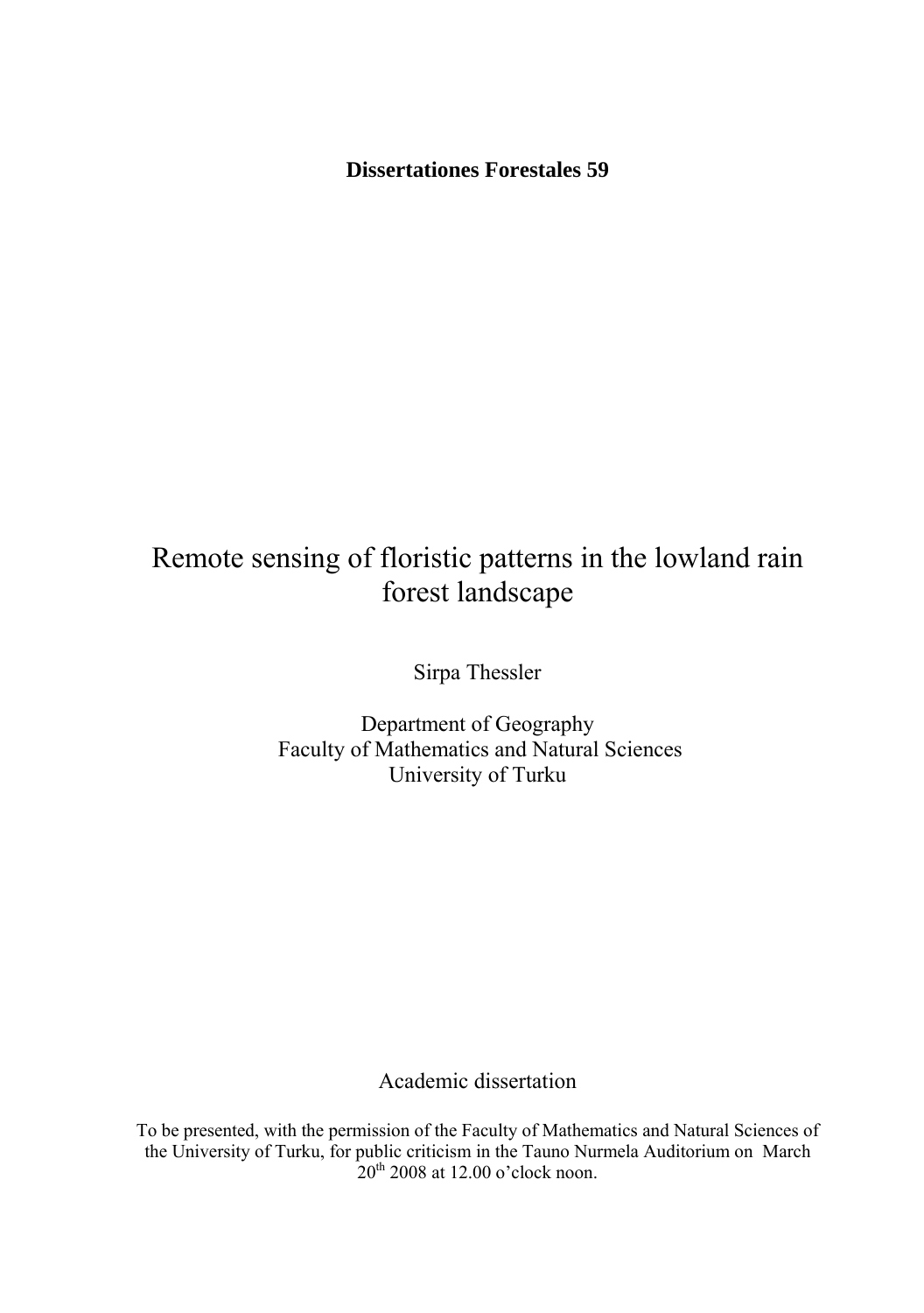**Dissertationes Forestales 59** 

# Remote sensing of floristic patterns in the lowland rain forest landscape

Sirpa Thessler

Department of Geography Faculty of Mathematics and Natural Sciences University of Turku

Academic dissertation

To be presented, with the permission of the Faculty of Mathematics and Natural Sciences of the University of Turku, for public criticism in the Tauno Nurmela Auditorium on March  $20^{th}$  2008 at 12.00 o'clock noon.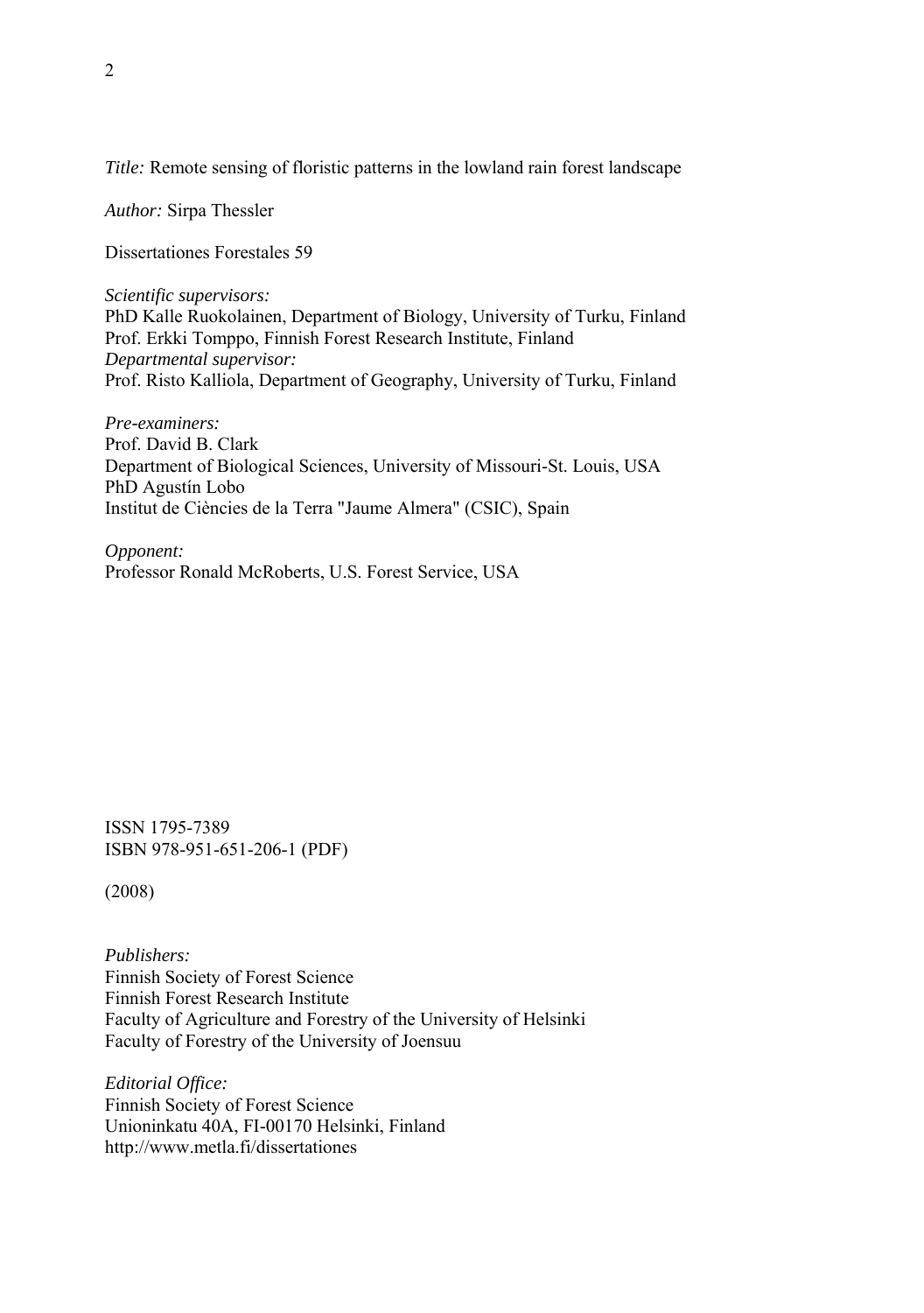*Title:* Remote sensing of floristic patterns in the lowland rain forest landscape

*Author:* Sirpa Thessler

Dissertationes Forestales 59

*Scientific supervisors:*  PhD Kalle Ruokolainen, Department of Biology, University of Turku, Finland Prof. Erkki Tomppo, Finnish Forest Research Institute, Finland *Departmental supervisor:*  Prof. Risto Kalliola, Department of Geography, University of Turku, Finland

*Pre-examiners:*  Prof. David B. Clark Department of Biological Sciences, University of Missouri-St. Louis, USA PhD Agustín Lobo Institut de Ciències de la Terra "Jaume Almera" (CSIC), Spain

*Opponent:*  Professor Ronald McRoberts, U.S. Forest Service, USA

ISSN 1795-7389 ISBN 978-951-651-206-1 (PDF)

(2008)

*Publishers:*  Finnish Society of Forest Science Finnish Forest Research Institute Faculty of Agriculture and Forestry of the University of Helsinki Faculty of Forestry of the University of Joensuu

*Editorial Office:*  Finnish Society of Forest Science Unioninkatu 40A, FI-00170 Helsinki, Finland http://www.metla.fi/dissertationes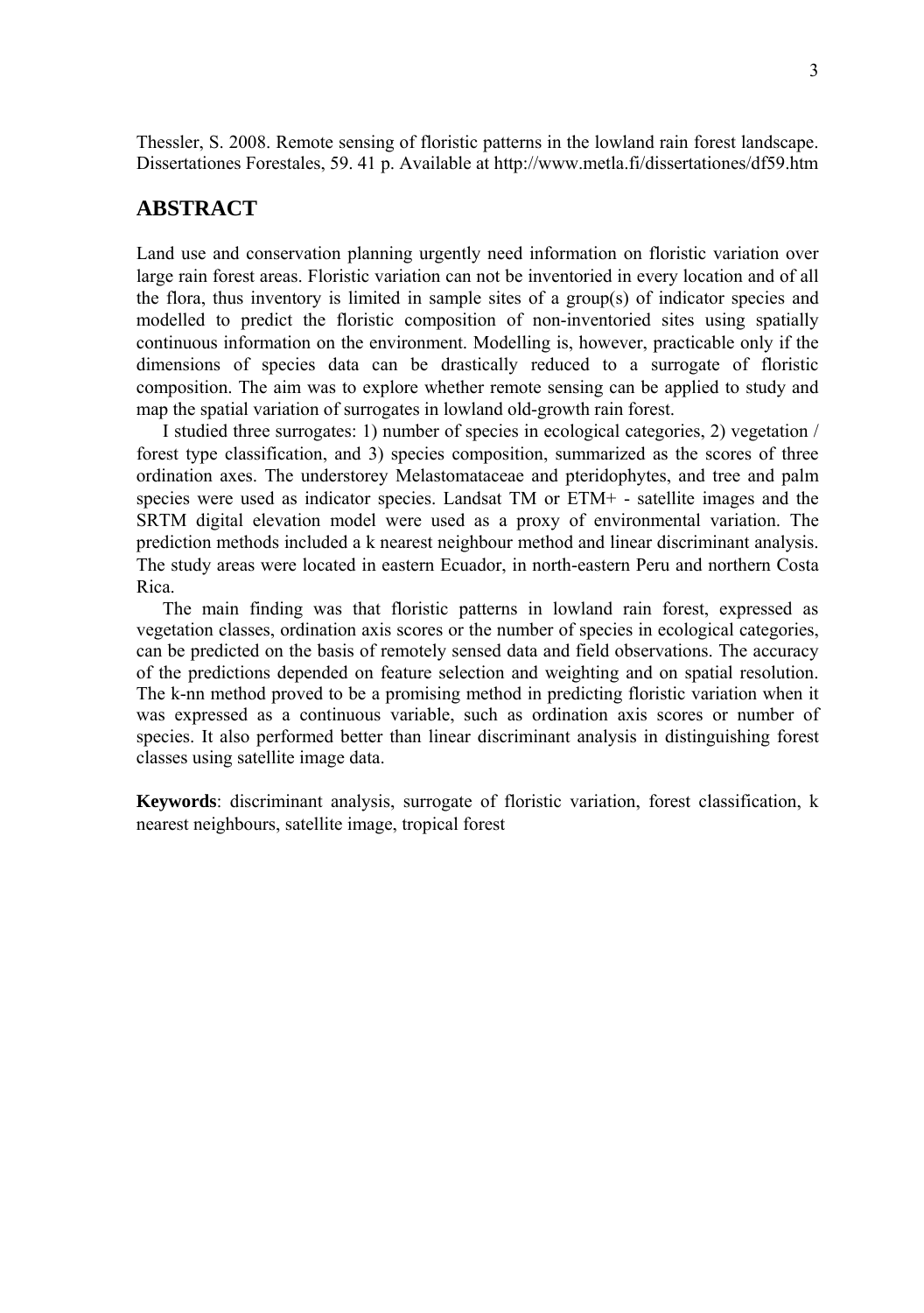Thessler, S. 2008. Remote sensing of floristic patterns in the lowland rain forest landscape. Dissertationes Forestales, 59. 41 p. Available at http://www.metla.fi/dissertationes/df59.htm

# **ABSTRACT**

Land use and conservation planning urgently need information on floristic variation over large rain forest areas. Floristic variation can not be inventoried in every location and of all the flora, thus inventory is limited in sample sites of a group(s) of indicator species and modelled to predict the floristic composition of non-inventoried sites using spatially continuous information on the environment. Modelling is, however, practicable only if the dimensions of species data can be drastically reduced to a surrogate of floristic composition. The aim was to explore whether remote sensing can be applied to study and map the spatial variation of surrogates in lowland old-growth rain forest.

I studied three surrogates: 1) number of species in ecological categories, 2) vegetation / forest type classification, and 3) species composition, summarized as the scores of three ordination axes. The understorey Melastomataceae and pteridophytes, and tree and palm species were used as indicator species. Landsat TM or ETM+ - satellite images and the SRTM digital elevation model were used as a proxy of environmental variation. The prediction methods included a k nearest neighbour method and linear discriminant analysis. The study areas were located in eastern Ecuador, in north-eastern Peru and northern Costa Rica.

The main finding was that floristic patterns in lowland rain forest, expressed as vegetation classes, ordination axis scores or the number of species in ecological categories, can be predicted on the basis of remotely sensed data and field observations. The accuracy of the predictions depended on feature selection and weighting and on spatial resolution. The k-nn method proved to be a promising method in predicting floristic variation when it was expressed as a continuous variable, such as ordination axis scores or number of species. It also performed better than linear discriminant analysis in distinguishing forest classes using satellite image data.

**Keywords**: discriminant analysis, surrogate of floristic variation, forest classification, k nearest neighbours, satellite image, tropical forest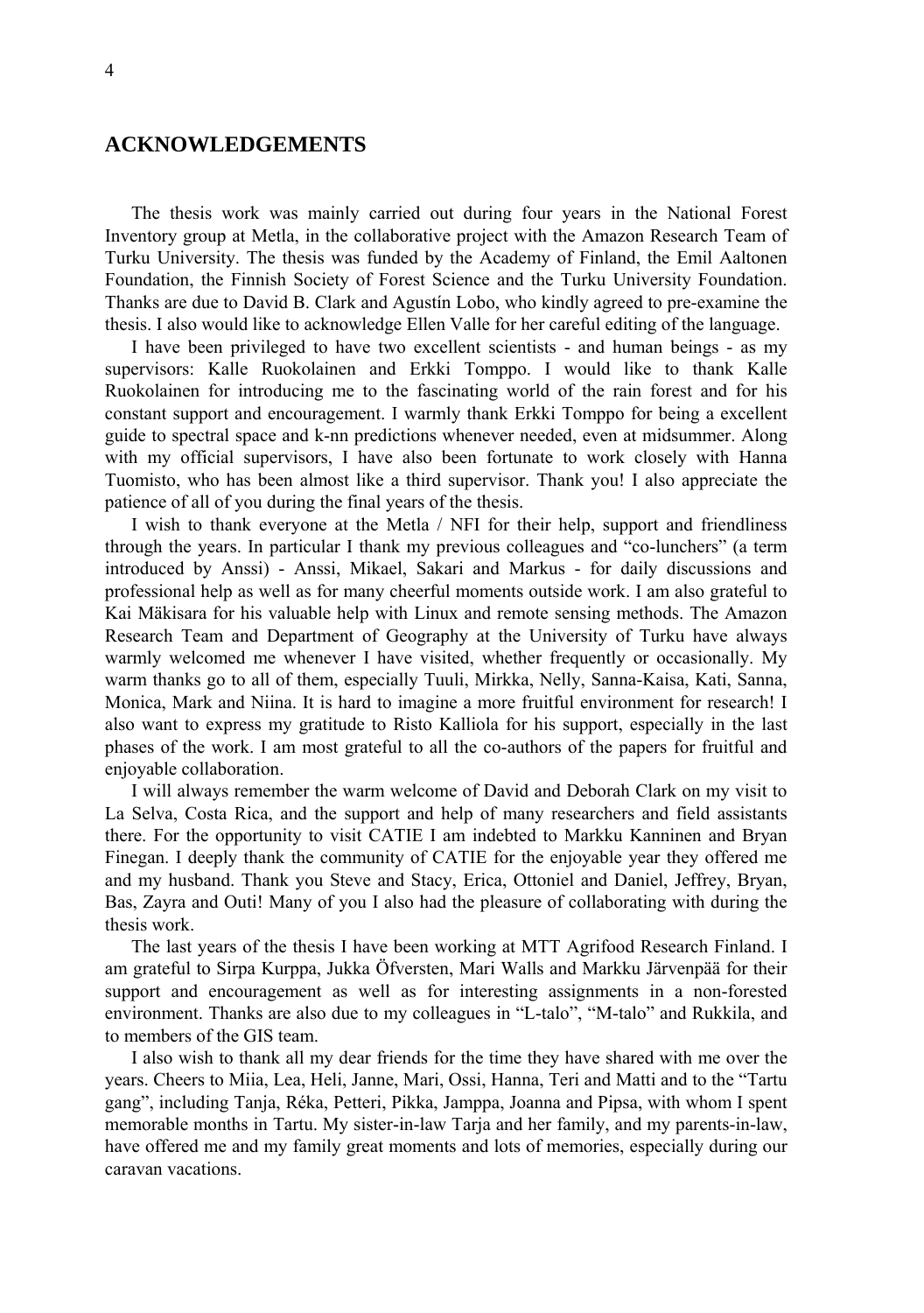# **ACKNOWLEDGEMENTS**

The thesis work was mainly carried out during four years in the National Forest Inventory group at Metla, in the collaborative project with the Amazon Research Team of Turku University. The thesis was funded by the Academy of Finland, the Emil Aaltonen Foundation, the Finnish Society of Forest Science and the Turku University Foundation. Thanks are due to David B. Clark and Agustín Lobo, who kindly agreed to pre-examine the thesis. I also would like to acknowledge Ellen Valle for her careful editing of the language.

I have been privileged to have two excellent scientists - and human beings - as my supervisors: Kalle Ruokolainen and Erkki Tomppo. I would like to thank Kalle Ruokolainen for introducing me to the fascinating world of the rain forest and for his constant support and encouragement. I warmly thank Erkki Tomppo for being a excellent guide to spectral space and k-nn predictions whenever needed, even at midsummer. Along with my official supervisors, I have also been fortunate to work closely with Hanna Tuomisto, who has been almost like a third supervisor. Thank you! I also appreciate the patience of all of you during the final years of the thesis.

I wish to thank everyone at the Metla / NFI for their help, support and friendliness through the years. In particular I thank my previous colleagues and "co-lunchers" (a term introduced by Anssi) - Anssi, Mikael, Sakari and Markus - for daily discussions and professional help as well as for many cheerful moments outside work. I am also grateful to Kai Mäkisara for his valuable help with Linux and remote sensing methods. The Amazon Research Team and Department of Geography at the University of Turku have always warmly welcomed me whenever I have visited, whether frequently or occasionally. My warm thanks go to all of them, especially Tuuli, Mirkka, Nelly, Sanna-Kaisa, Kati, Sanna, Monica, Mark and Niina. It is hard to imagine a more fruitful environment for research! I also want to express my gratitude to Risto Kalliola for his support, especially in the last phases of the work. I am most grateful to all the co-authors of the papers for fruitful and enjoyable collaboration.

I will always remember the warm welcome of David and Deborah Clark on my visit to La Selva, Costa Rica, and the support and help of many researchers and field assistants there. For the opportunity to visit CATIE I am indebted to Markku Kanninen and Bryan Finegan. I deeply thank the community of CATIE for the enjoyable year they offered me and my husband. Thank you Steve and Stacy, Erica, Ottoniel and Daniel, Jeffrey, Bryan, Bas, Zayra and Outi! Many of you I also had the pleasure of collaborating with during the thesis work.

The last years of the thesis I have been working at MTT Agrifood Research Finland. I am grateful to Sirpa Kurppa, Jukka Öfversten, Mari Walls and Markku Järvenpää for their support and encouragement as well as for interesting assignments in a non-forested environment. Thanks are also due to my colleagues in "L-talo", "M-talo" and Rukkila, and to members of the GIS team.

I also wish to thank all my dear friends for the time they have shared with me over the years. Cheers to Miia, Lea, Heli, Janne, Mari, Ossi, Hanna, Teri and Matti and to the "Tartu gang", including Tanja, Réka, Petteri, Pikka, Jamppa, Joanna and Pipsa, with whom I spent memorable months in Tartu. My sister-in-law Tarja and her family, and my parents-in-law, have offered me and my family great moments and lots of memories, especially during our caravan vacations.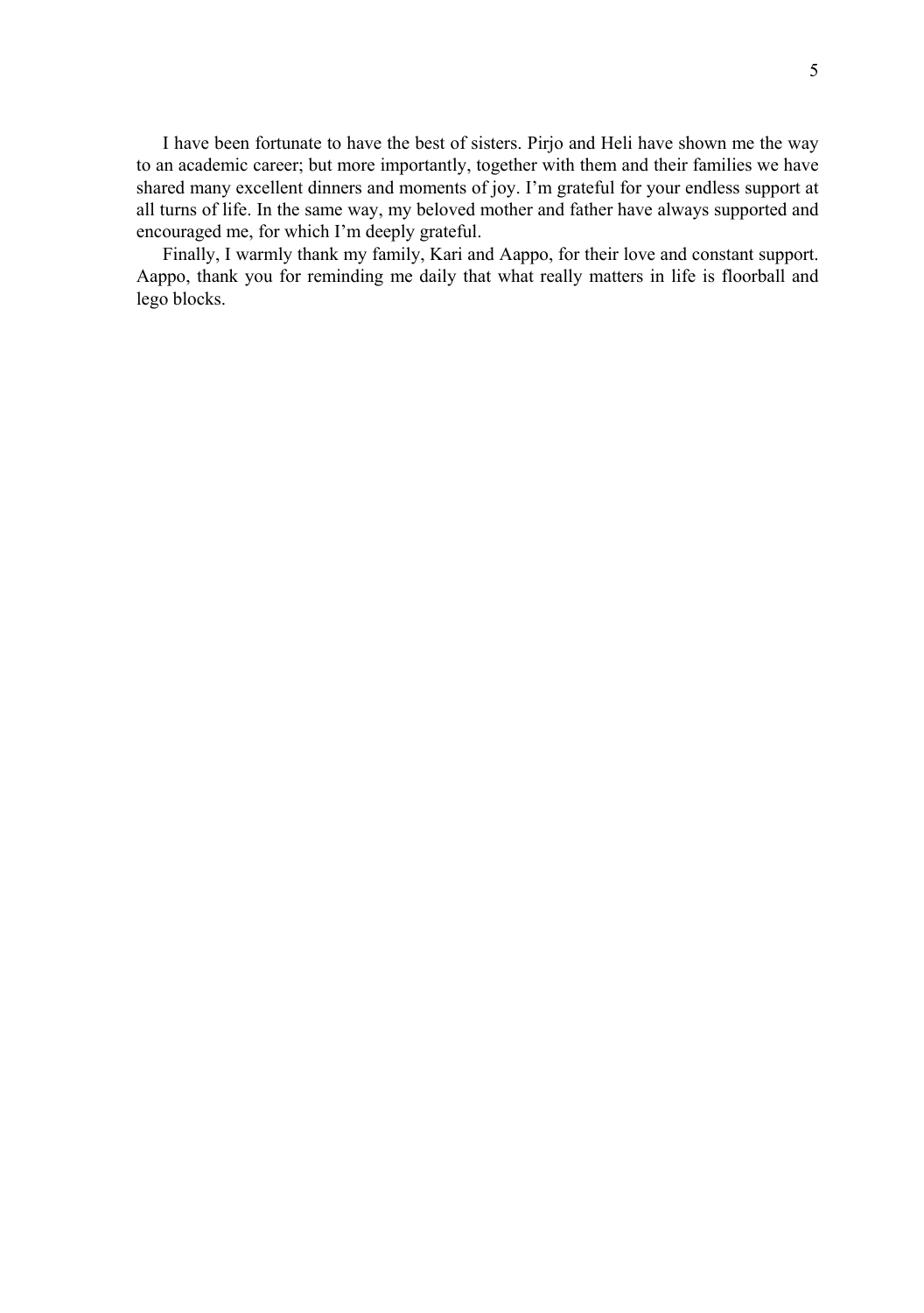I have been fortunate to have the best of sisters. Pirjo and Heli have shown me the way to an academic career; but more importantly, together with them and their families we have shared many excellent dinners and moments of joy. I'm grateful for your endless support at all turns of life. In the same way, my beloved mother and father have always supported and encouraged me, for which I'm deeply grateful.

Finally, I warmly thank my family, Kari and Aappo, for their love and constant support. Aappo, thank you for reminding me daily that what really matters in life is floorball and lego blocks.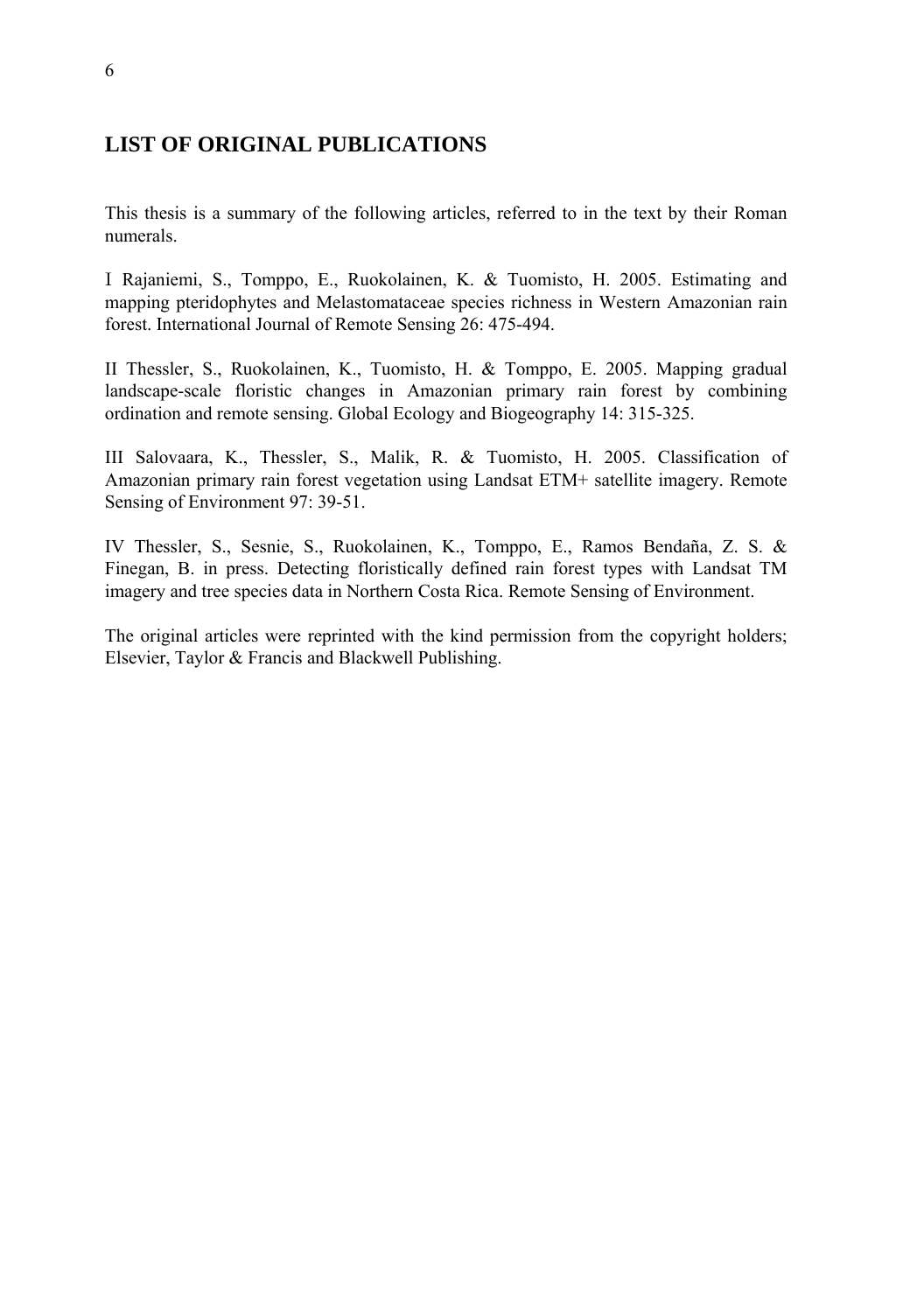# **LIST OF ORIGINAL PUBLICATIONS**

This thesis is a summary of the following articles, referred to in the text by their Roman numerals.

I Rajaniemi, S., Tomppo, E., Ruokolainen, K. & Tuomisto, H. 2005. Estimating and mapping pteridophytes and Melastomataceae species richness in Western Amazonian rain forest. International Journal of Remote Sensing 26: 475-494.

II Thessler, S., Ruokolainen, K., Tuomisto, H. & Tomppo, E. 2005. Mapping gradual landscape-scale floristic changes in Amazonian primary rain forest by combining ordination and remote sensing. Global Ecology and Biogeography 14: 315-325.

III Salovaara, K., Thessler, S., Malik, R. & Tuomisto, H. 2005. Classification of Amazonian primary rain forest vegetation using Landsat ETM+ satellite imagery. Remote Sensing of Environment 97: 39-51.

IV Thessler, S., Sesnie, S., Ruokolainen, K., Tomppo, E., Ramos Bendaña, Z. S. & Finegan, B. in press. Detecting floristically defined rain forest types with Landsat TM imagery and tree species data in Northern Costa Rica. Remote Sensing of Environment.

The original articles were reprinted with the kind permission from the copyright holders; Elsevier, Taylor & Francis and Blackwell Publishing.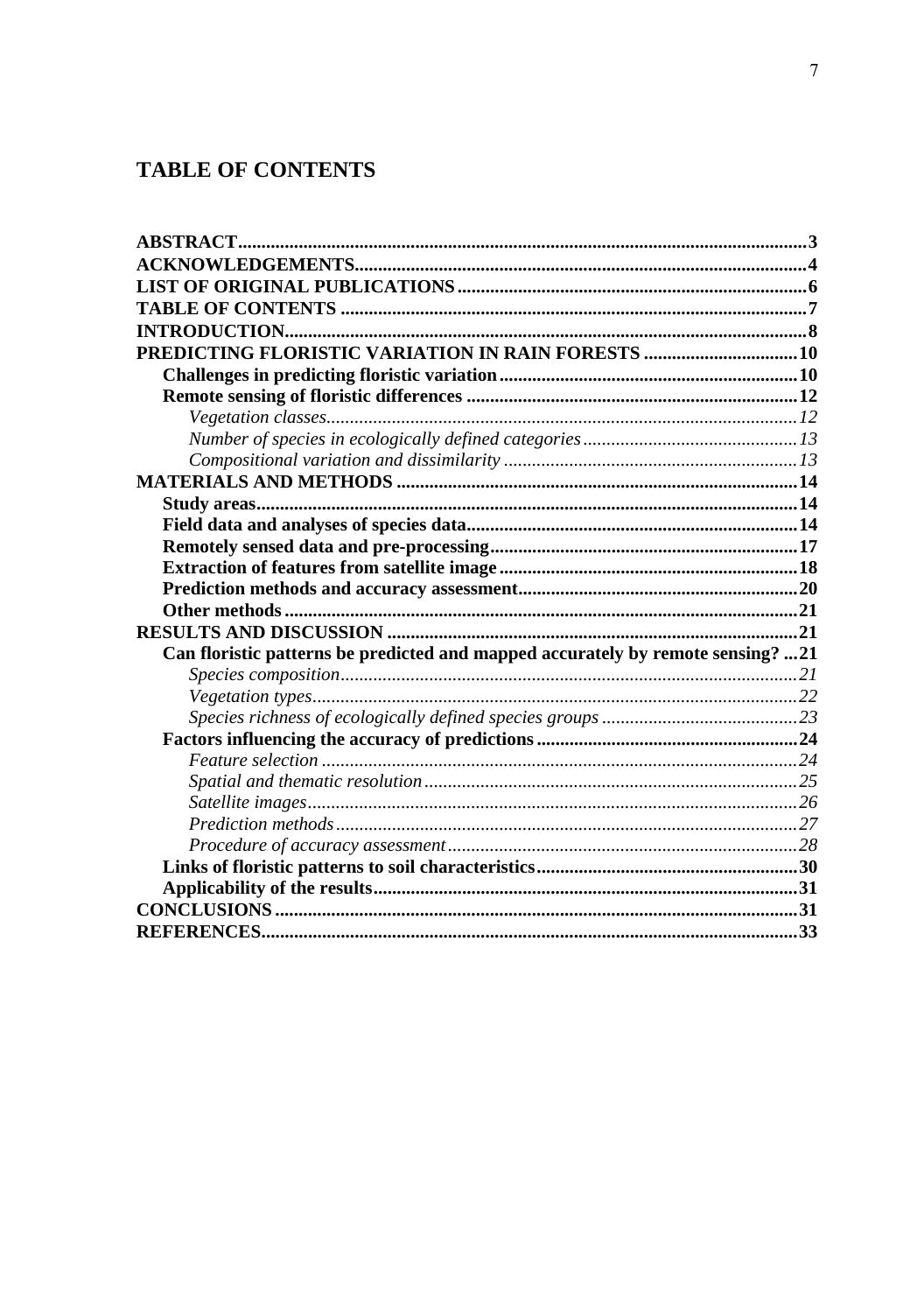# **TABLE OF CONTENTS**

| PREDICTING FLORISTIC VARIATION IN RAIN FORESTS  10                              |  |
|---------------------------------------------------------------------------------|--|
|                                                                                 |  |
|                                                                                 |  |
|                                                                                 |  |
|                                                                                 |  |
|                                                                                 |  |
|                                                                                 |  |
|                                                                                 |  |
|                                                                                 |  |
|                                                                                 |  |
|                                                                                 |  |
|                                                                                 |  |
|                                                                                 |  |
|                                                                                 |  |
| Can floristic patterns be predicted and mapped accurately by remote sensing? 21 |  |
|                                                                                 |  |
|                                                                                 |  |
|                                                                                 |  |
|                                                                                 |  |
|                                                                                 |  |
|                                                                                 |  |
|                                                                                 |  |
|                                                                                 |  |
|                                                                                 |  |
|                                                                                 |  |
|                                                                                 |  |
|                                                                                 |  |
|                                                                                 |  |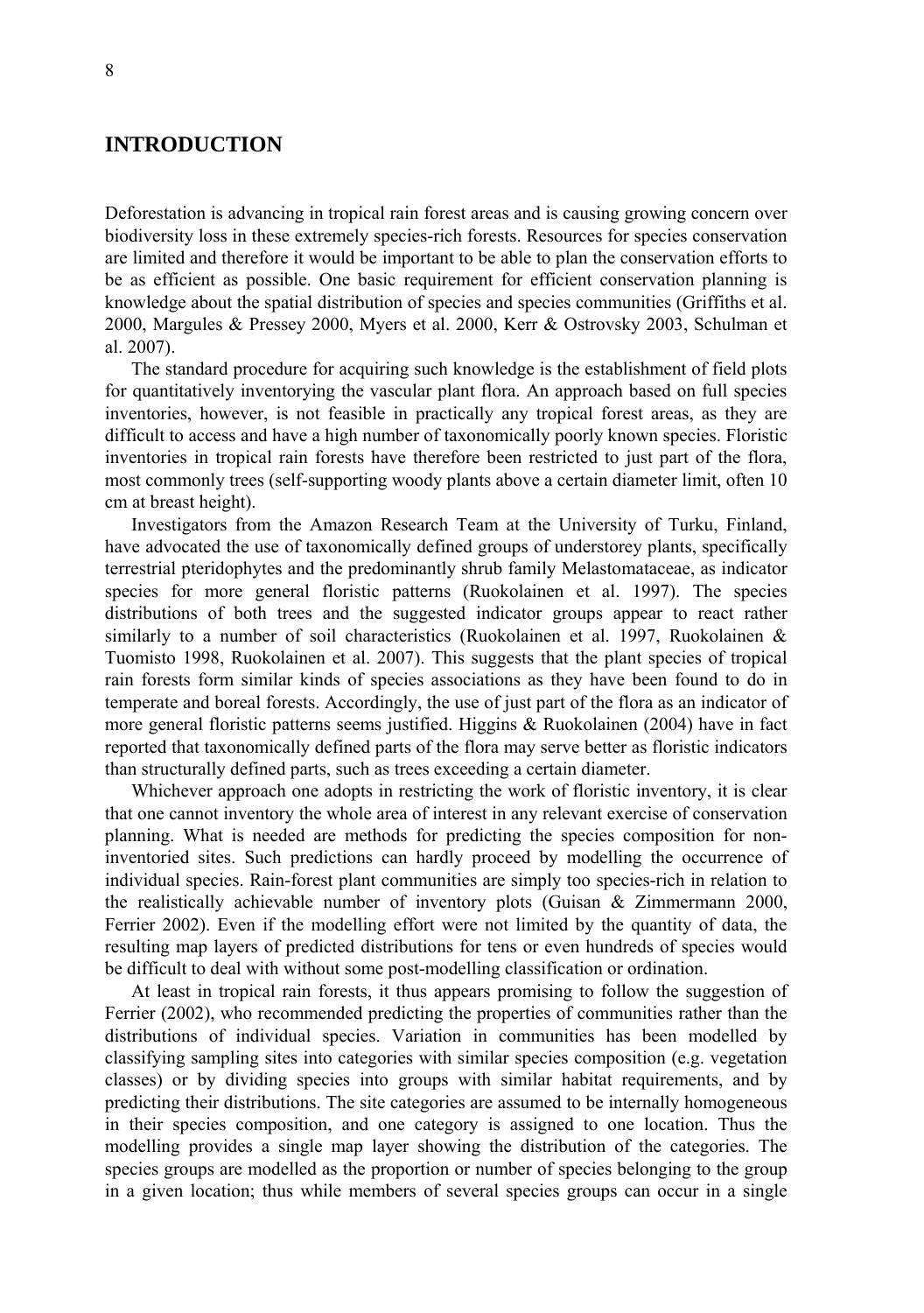# **INTRODUCTION**

Deforestation is advancing in tropical rain forest areas and is causing growing concern over biodiversity loss in these extremely species-rich forests. Resources for species conservation are limited and therefore it would be important to be able to plan the conservation efforts to be as efficient as possible. One basic requirement for efficient conservation planning is knowledge about the spatial distribution of species and species communities (Griffiths et al. 2000, Margules & Pressey 2000, Myers et al. 2000, Kerr & Ostrovsky 2003, Schulman et al. 2007).

The standard procedure for acquiring such knowledge is the establishment of field plots for quantitatively inventorying the vascular plant flora. An approach based on full species inventories, however, is not feasible in practically any tropical forest areas, as they are difficult to access and have a high number of taxonomically poorly known species. Floristic inventories in tropical rain forests have therefore been restricted to just part of the flora, most commonly trees (self-supporting woody plants above a certain diameter limit, often 10 cm at breast height).

Investigators from the Amazon Research Team at the University of Turku, Finland, have advocated the use of taxonomically defined groups of understorey plants, specifically terrestrial pteridophytes and the predominantly shrub family Melastomataceae, as indicator species for more general floristic patterns (Ruokolainen et al. 1997). The species distributions of both trees and the suggested indicator groups appear to react rather similarly to a number of soil characteristics (Ruokolainen et al. 1997, Ruokolainen & Tuomisto 1998, Ruokolainen et al. 2007). This suggests that the plant species of tropical rain forests form similar kinds of species associations as they have been found to do in temperate and boreal forests. Accordingly, the use of just part of the flora as an indicator of more general floristic patterns seems justified. Higgins & Ruokolainen (2004) have in fact reported that taxonomically defined parts of the flora may serve better as floristic indicators than structurally defined parts, such as trees exceeding a certain diameter.

Whichever approach one adopts in restricting the work of floristic inventory, it is clear that one cannot inventory the whole area of interest in any relevant exercise of conservation planning. What is needed are methods for predicting the species composition for noninventoried sites. Such predictions can hardly proceed by modelling the occurrence of individual species. Rain-forest plant communities are simply too species-rich in relation to the realistically achievable number of inventory plots (Guisan & Zimmermann 2000, Ferrier 2002). Even if the modelling effort were not limited by the quantity of data, the resulting map layers of predicted distributions for tens or even hundreds of species would be difficult to deal with without some post-modelling classification or ordination.

At least in tropical rain forests, it thus appears promising to follow the suggestion of Ferrier (2002), who recommended predicting the properties of communities rather than the distributions of individual species. Variation in communities has been modelled by classifying sampling sites into categories with similar species composition (e.g. vegetation classes) or by dividing species into groups with similar habitat requirements, and by predicting their distributions. The site categories are assumed to be internally homogeneous in their species composition, and one category is assigned to one location. Thus the modelling provides a single map layer showing the distribution of the categories. The species groups are modelled as the proportion or number of species belonging to the group in a given location; thus while members of several species groups can occur in a single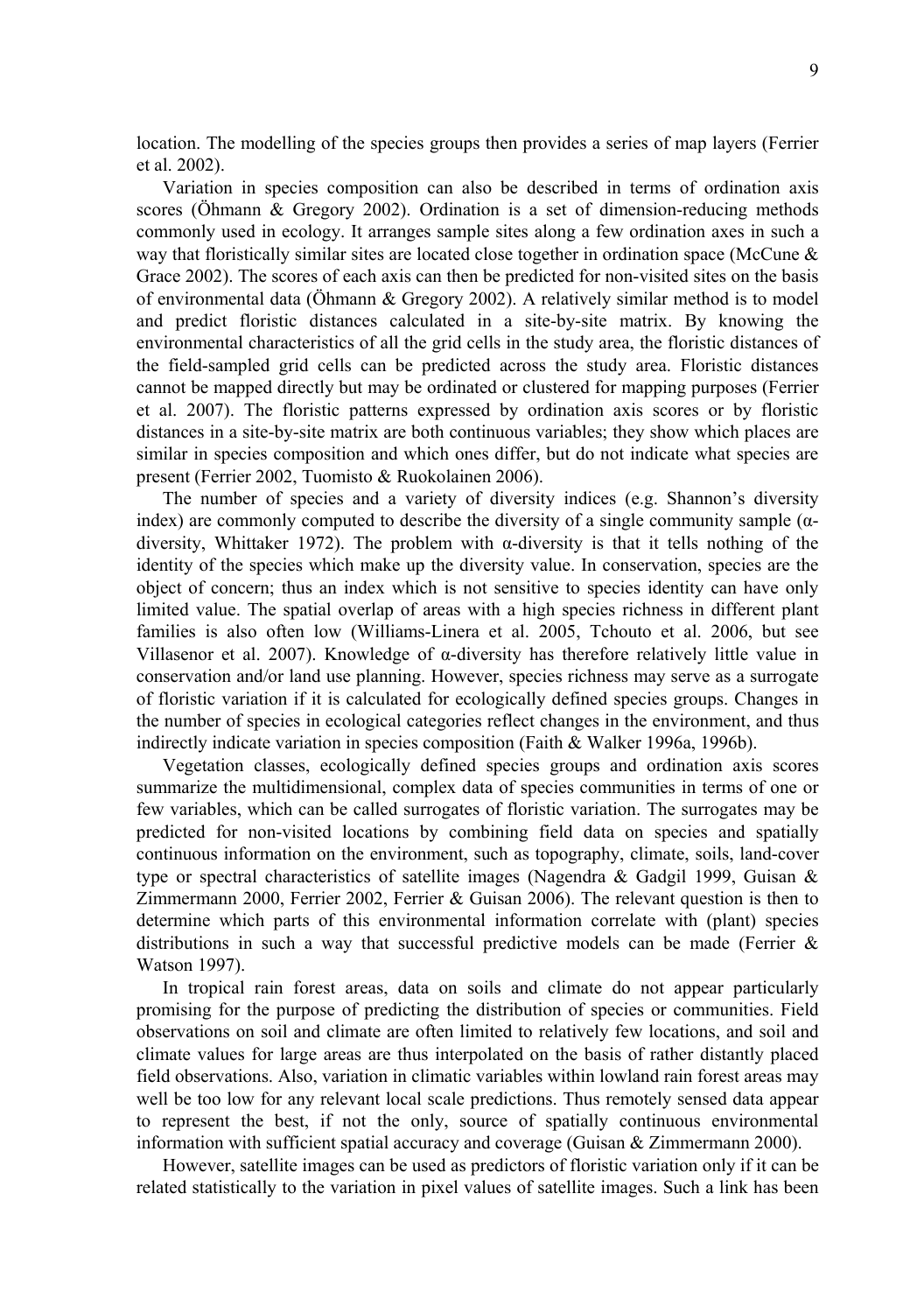location. The modelling of the species groups then provides a series of map layers (Ferrier et al. 2002).

Variation in species composition can also be described in terms of ordination axis scores (Öhmann & Gregory 2002). Ordination is a set of dimension-reducing methods commonly used in ecology. It arranges sample sites along a few ordination axes in such a way that floristically similar sites are located close together in ordination space (McCune  $\&$ Grace 2002). The scores of each axis can then be predicted for non-visited sites on the basis of environmental data (Öhmann & Gregory 2002). A relatively similar method is to model and predict floristic distances calculated in a site-by-site matrix. By knowing the environmental characteristics of all the grid cells in the study area, the floristic distances of the field-sampled grid cells can be predicted across the study area. Floristic distances cannot be mapped directly but may be ordinated or clustered for mapping purposes (Ferrier et al. 2007). The floristic patterns expressed by ordination axis scores or by floristic distances in a site-by-site matrix are both continuous variables; they show which places are similar in species composition and which ones differ, but do not indicate what species are present (Ferrier 2002, Tuomisto & Ruokolainen 2006).

The number of species and a variety of diversity indices (e.g. Shannon's diversity index) are commonly computed to describe the diversity of a single community sample  $(\alpha$ diversity, Whittaker 1972). The problem with  $\alpha$ -diversity is that it tells nothing of the identity of the species which make up the diversity value. In conservation, species are the object of concern; thus an index which is not sensitive to species identity can have only limited value. The spatial overlap of areas with a high species richness in different plant families is also often low (Williams-Linera et al. 2005, Tchouto et al. 2006, but see Villasenor et al. 2007). Knowledge of α-diversity has therefore relatively little value in conservation and/or land use planning. However, species richness may serve as a surrogate of floristic variation if it is calculated for ecologically defined species groups. Changes in the number of species in ecological categories reflect changes in the environment, and thus indirectly indicate variation in species composition (Faith & Walker 1996a, 1996b).

Vegetation classes, ecologically defined species groups and ordination axis scores summarize the multidimensional, complex data of species communities in terms of one or few variables, which can be called surrogates of floristic variation. The surrogates may be predicted for non-visited locations by combining field data on species and spatially continuous information on the environment, such as topography, climate, soils, land-cover type or spectral characteristics of satellite images (Nagendra & Gadgil 1999, Guisan & Zimmermann 2000, Ferrier 2002, Ferrier & Guisan 2006). The relevant question is then to determine which parts of this environmental information correlate with (plant) species distributions in such a way that successful predictive models can be made (Ferrier  $\&$ Watson 1997).

In tropical rain forest areas, data on soils and climate do not appear particularly promising for the purpose of predicting the distribution of species or communities. Field observations on soil and climate are often limited to relatively few locations, and soil and climate values for large areas are thus interpolated on the basis of rather distantly placed field observations. Also, variation in climatic variables within lowland rain forest areas may well be too low for any relevant local scale predictions. Thus remotely sensed data appear to represent the best, if not the only, source of spatially continuous environmental information with sufficient spatial accuracy and coverage (Guisan & Zimmermann 2000).

However, satellite images can be used as predictors of floristic variation only if it can be related statistically to the variation in pixel values of satellite images. Such a link has been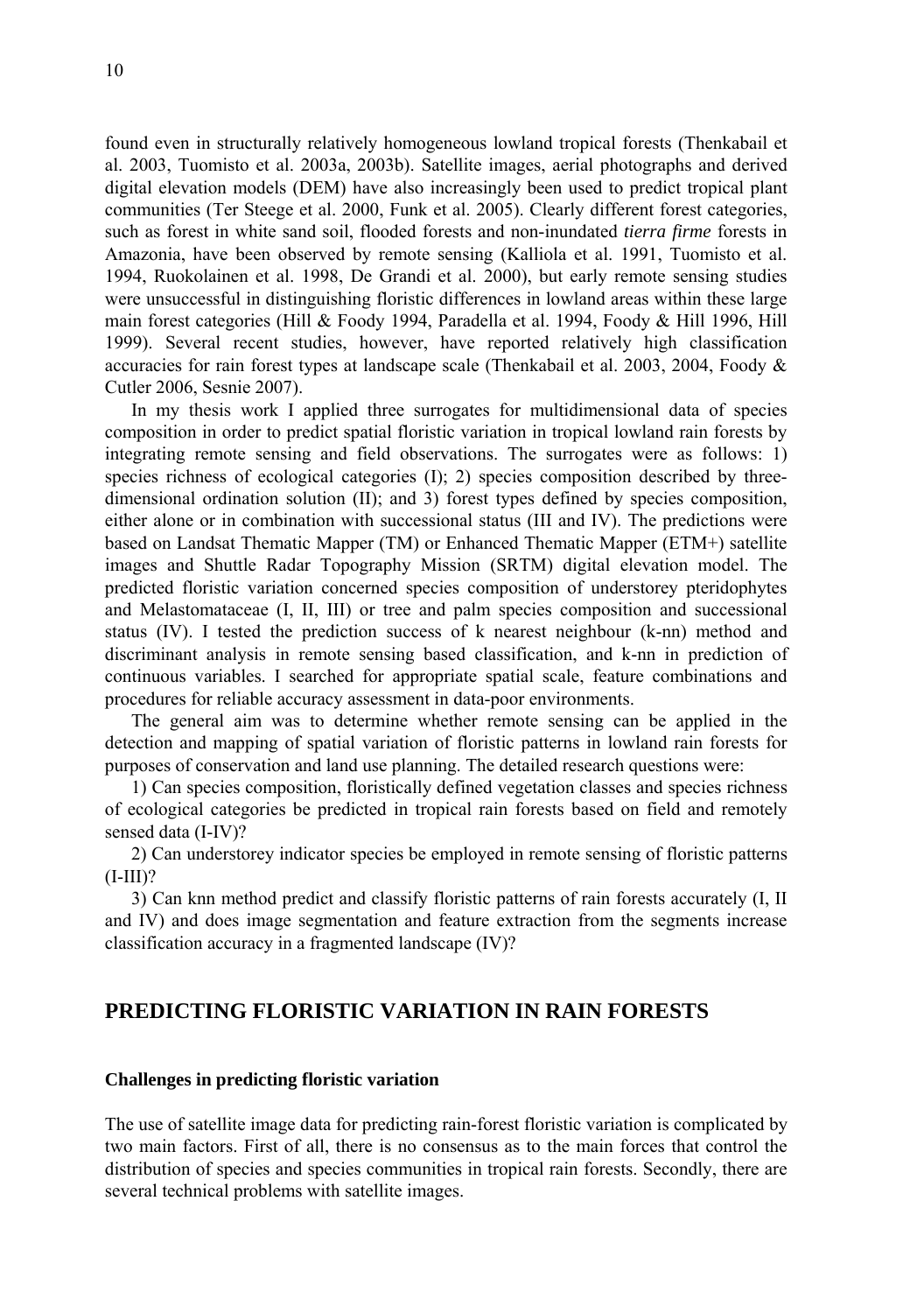found even in structurally relatively homogeneous lowland tropical forests (Thenkabail et al. 2003, Tuomisto et al. 2003a, 2003b). Satellite images, aerial photographs and derived digital elevation models (DEM) have also increasingly been used to predict tropical plant communities (Ter Steege et al. 2000, Funk et al. 2005). Clearly different forest categories, such as forest in white sand soil, flooded forests and non-inundated *tierra firme* forests in Amazonia, have been observed by remote sensing (Kalliola et al. 1991, Tuomisto et al. 1994, Ruokolainen et al. 1998, De Grandi et al. 2000), but early remote sensing studies were unsuccessful in distinguishing floristic differences in lowland areas within these large main forest categories (Hill & Foody 1994, Paradella et al. 1994, Foody & Hill 1996, Hill 1999). Several recent studies, however, have reported relatively high classification accuracies for rain forest types at landscape scale (Thenkabail et al. 2003, 2004, Foody & Cutler 2006, Sesnie 2007).

In my thesis work I applied three surrogates for multidimensional data of species composition in order to predict spatial floristic variation in tropical lowland rain forests by integrating remote sensing and field observations. The surrogates were as follows: 1) species richness of ecological categories (I); 2) species composition described by threedimensional ordination solution (II); and 3) forest types defined by species composition, either alone or in combination with successional status (III and IV). The predictions were based on Landsat Thematic Mapper (TM) or Enhanced Thematic Mapper (ETM+) satellite images and Shuttle Radar Topography Mission (SRTM) digital elevation model. The predicted floristic variation concerned species composition of understorey pteridophytes and Melastomataceae (I, II, III) or tree and palm species composition and successional status (IV). I tested the prediction success of k nearest neighbour (k-nn) method and discriminant analysis in remote sensing based classification, and k-nn in prediction of continuous variables. I searched for appropriate spatial scale, feature combinations and procedures for reliable accuracy assessment in data-poor environments.

The general aim was to determine whether remote sensing can be applied in the detection and mapping of spatial variation of floristic patterns in lowland rain forests for purposes of conservation and land use planning. The detailed research questions were:

1) Can species composition, floristically defined vegetation classes and species richness of ecological categories be predicted in tropical rain forests based on field and remotely sensed data (I-IV)?

2) Can understorey indicator species be employed in remote sensing of floristic patterns  $(I-III)?$ 

3) Can knn method predict and classify floristic patterns of rain forests accurately (I, II and IV) and does image segmentation and feature extraction from the segments increase classification accuracy in a fragmented landscape (IV)?

# **PREDICTING FLORISTIC VARIATION IN RAIN FORESTS**

### **Challenges in predicting floristic variation**

The use of satellite image data for predicting rain-forest floristic variation is complicated by two main factors. First of all, there is no consensus as to the main forces that control the distribution of species and species communities in tropical rain forests. Secondly, there are several technical problems with satellite images.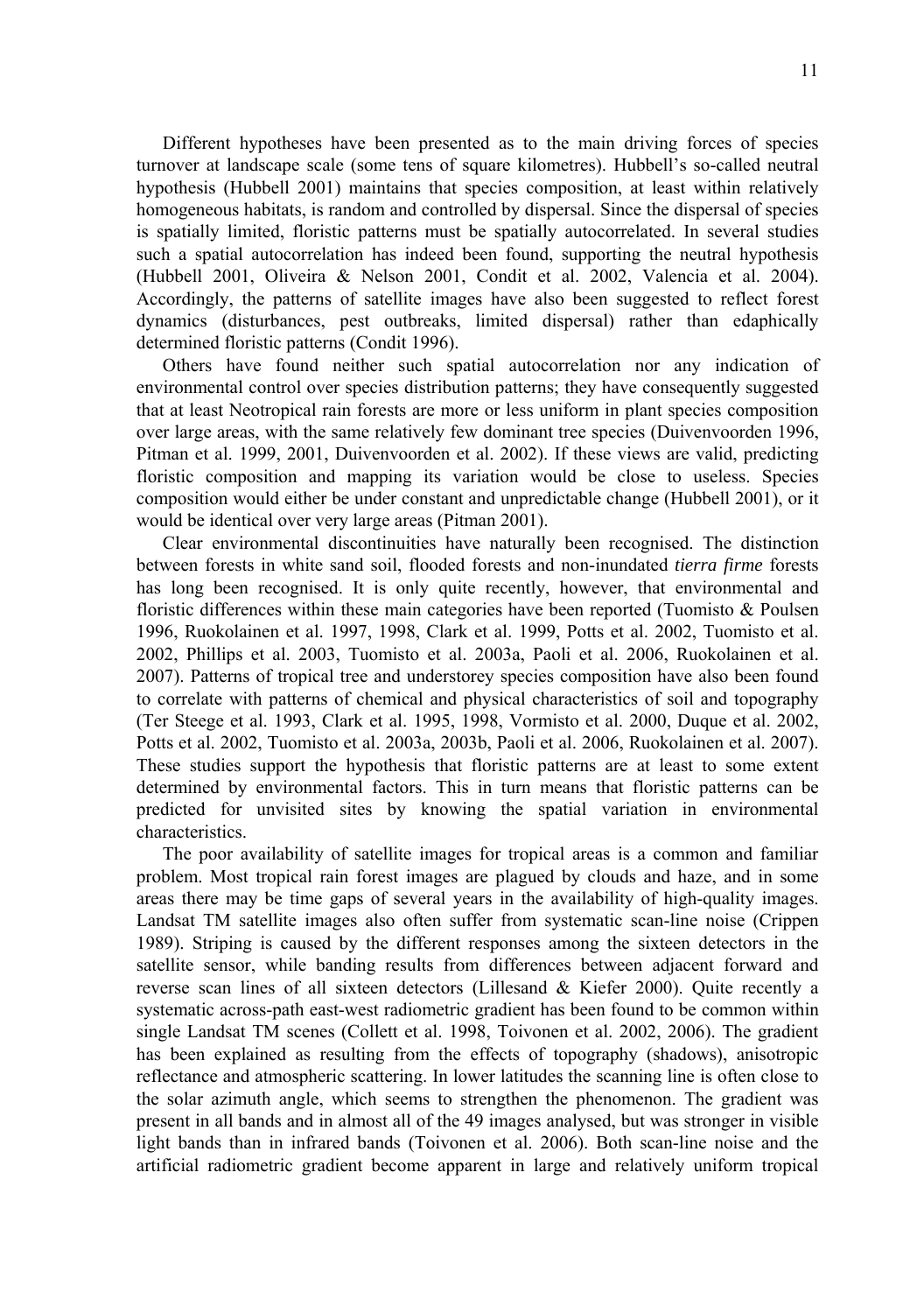Different hypotheses have been presented as to the main driving forces of species turnover at landscape scale (some tens of square kilometres). Hubbell's so-called neutral hypothesis (Hubbell 2001) maintains that species composition, at least within relatively homogeneous habitats, is random and controlled by dispersal. Since the dispersal of species is spatially limited, floristic patterns must be spatially autocorrelated. In several studies such a spatial autocorrelation has indeed been found, supporting the neutral hypothesis (Hubbell 2001, Oliveira & Nelson 2001, Condit et al. 2002, Valencia et al. 2004). Accordingly, the patterns of satellite images have also been suggested to reflect forest dynamics (disturbances, pest outbreaks, limited dispersal) rather than edaphically determined floristic patterns (Condit 1996).

Others have found neither such spatial autocorrelation nor any indication of environmental control over species distribution patterns; they have consequently suggested that at least Neotropical rain forests are more or less uniform in plant species composition over large areas, with the same relatively few dominant tree species (Duivenvoorden 1996, Pitman et al. 1999, 2001, Duivenvoorden et al. 2002). If these views are valid, predicting floristic composition and mapping its variation would be close to useless. Species composition would either be under constant and unpredictable change (Hubbell 2001), or it would be identical over very large areas (Pitman 2001).

Clear environmental discontinuities have naturally been recognised. The distinction between forests in white sand soil, flooded forests and non-inundated *tierra firme* forests has long been recognised. It is only quite recently, however, that environmental and floristic differences within these main categories have been reported (Tuomisto  $\&$  Poulsen 1996, Ruokolainen et al. 1997, 1998, Clark et al. 1999, Potts et al. 2002, Tuomisto et al. 2002, Phillips et al. 2003, Tuomisto et al. 2003a, Paoli et al. 2006, Ruokolainen et al. 2007). Patterns of tropical tree and understorey species composition have also been found to correlate with patterns of chemical and physical characteristics of soil and topography (Ter Steege et al. 1993, Clark et al. 1995, 1998, Vormisto et al. 2000, Duque et al. 2002, Potts et al. 2002, Tuomisto et al. 2003a, 2003b, Paoli et al. 2006, Ruokolainen et al. 2007). These studies support the hypothesis that floristic patterns are at least to some extent determined by environmental factors. This in turn means that floristic patterns can be predicted for unvisited sites by knowing the spatial variation in environmental characteristics.

The poor availability of satellite images for tropical areas is a common and familiar problem. Most tropical rain forest images are plagued by clouds and haze, and in some areas there may be time gaps of several years in the availability of high-quality images. Landsat TM satellite images also often suffer from systematic scan-line noise (Crippen 1989). Striping is caused by the different responses among the sixteen detectors in the satellite sensor, while banding results from differences between adjacent forward and reverse scan lines of all sixteen detectors (Lillesand  $&$  Kiefer 2000). Quite recently a systematic across-path east-west radiometric gradient has been found to be common within single Landsat TM scenes (Collett et al. 1998, Toivonen et al. 2002, 2006). The gradient has been explained as resulting from the effects of topography (shadows), anisotropic reflectance and atmospheric scattering. In lower latitudes the scanning line is often close to the solar azimuth angle, which seems to strengthen the phenomenon. The gradient was present in all bands and in almost all of the 49 images analysed, but was stronger in visible light bands than in infrared bands (Toivonen et al. 2006). Both scan-line noise and the artificial radiometric gradient become apparent in large and relatively uniform tropical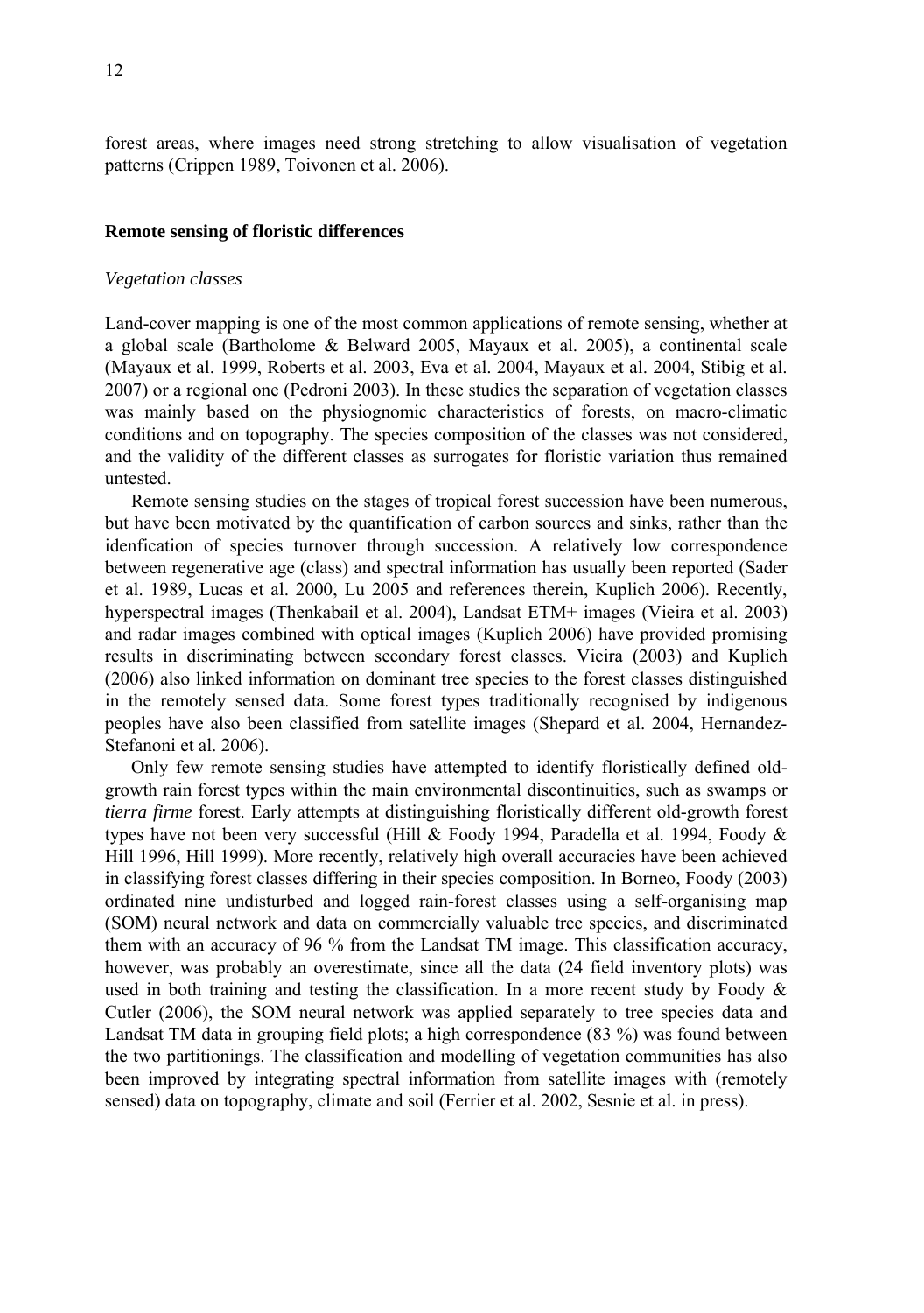forest areas, where images need strong stretching to allow visualisation of vegetation patterns (Crippen 1989, Toivonen et al. 2006).

#### **Remote sensing of floristic differences**

#### *Vegetation classes*

Land-cover mapping is one of the most common applications of remote sensing, whether at a global scale (Bartholome & Belward 2005, Mayaux et al. 2005), a continental scale (Mayaux et al. 1999, Roberts et al. 2003, Eva et al. 2004, Mayaux et al. 2004, Stibig et al. 2007) or a regional one (Pedroni 2003). In these studies the separation of vegetation classes was mainly based on the physiognomic characteristics of forests, on macro-climatic conditions and on topography. The species composition of the classes was not considered, and the validity of the different classes as surrogates for floristic variation thus remained untested.

Remote sensing studies on the stages of tropical forest succession have been numerous, but have been motivated by the quantification of carbon sources and sinks, rather than the idenfication of species turnover through succession. A relatively low correspondence between regenerative age (class) and spectral information has usually been reported (Sader et al. 1989, Lucas et al. 2000, Lu 2005 and references therein, Kuplich 2006). Recently, hyperspectral images (Thenkabail et al. 2004), Landsat ETM+ images (Vieira et al. 2003) and radar images combined with optical images (Kuplich 2006) have provided promising results in discriminating between secondary forest classes. Vieira (2003) and Kuplich (2006) also linked information on dominant tree species to the forest classes distinguished in the remotely sensed data. Some forest types traditionally recognised by indigenous peoples have also been classified from satellite images (Shepard et al. 2004, Hernandez-Stefanoni et al. 2006).

Only few remote sensing studies have attempted to identify floristically defined oldgrowth rain forest types within the main environmental discontinuities, such as swamps or *tierra firme* forest. Early attempts at distinguishing floristically different old-growth forest types have not been very successful (Hill & Foody 1994, Paradella et al. 1994, Foody & Hill 1996, Hill 1999). More recently, relatively high overall accuracies have been achieved in classifying forest classes differing in their species composition. In Borneo, Foody (2003) ordinated nine undisturbed and logged rain-forest classes using a self-organising map (SOM) neural network and data on commercially valuable tree species, and discriminated them with an accuracy of 96 % from the Landsat TM image. This classification accuracy, however, was probably an overestimate, since all the data (24 field inventory plots) was used in both training and testing the classification. In a more recent study by Foody  $\&$ Cutler (2006), the SOM neural network was applied separately to tree species data and Landsat TM data in grouping field plots; a high correspondence (83 %) was found between the two partitionings. The classification and modelling of vegetation communities has also been improved by integrating spectral information from satellite images with (remotely sensed) data on topography, climate and soil (Ferrier et al. 2002, Sesnie et al. in press).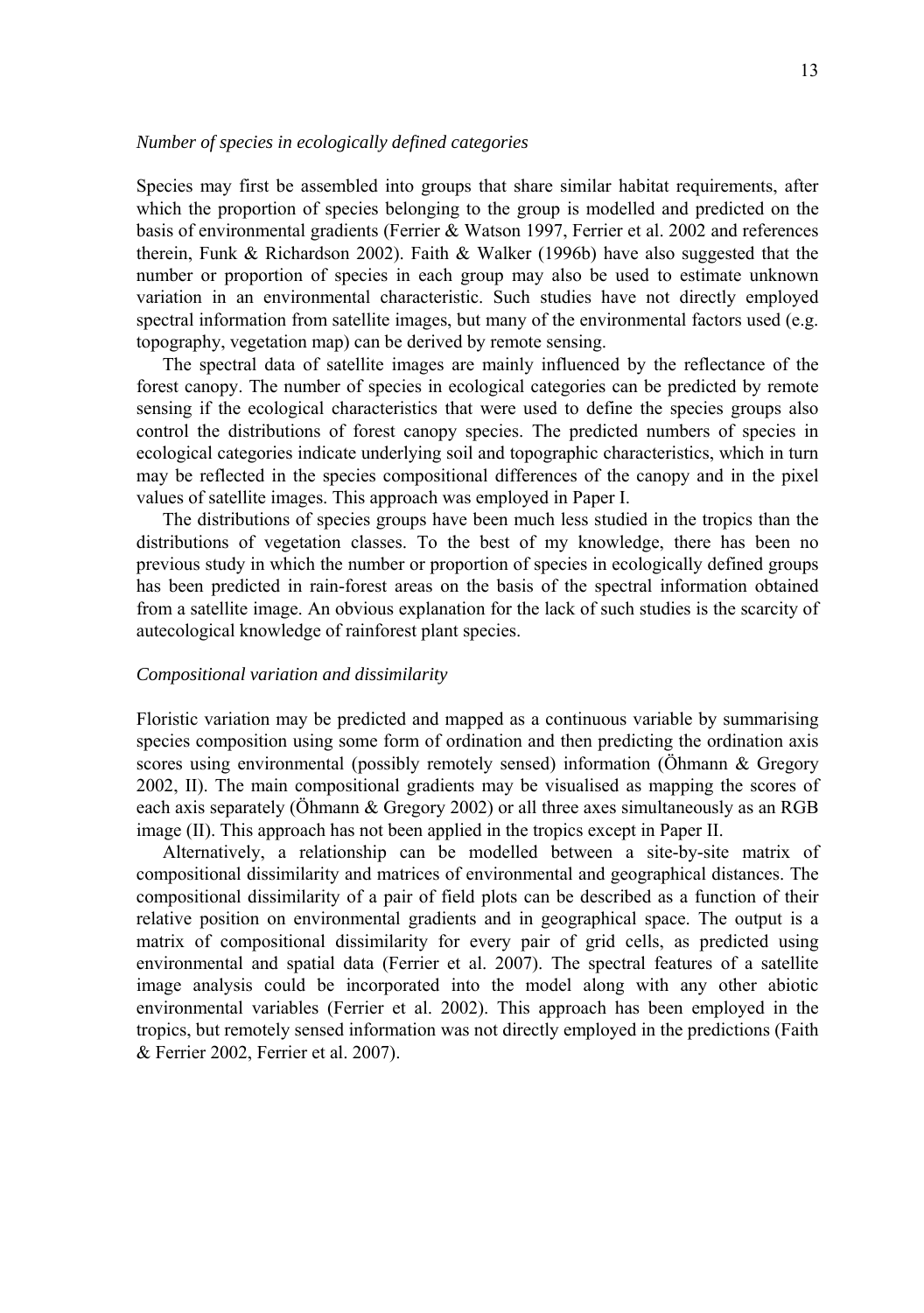### *Number of species in ecologically defined categories*

Species may first be assembled into groups that share similar habitat requirements, after which the proportion of species belonging to the group is modelled and predicted on the basis of environmental gradients (Ferrier & Watson 1997, Ferrier et al. 2002 and references therein, Funk & Richardson 2002). Faith & Walker (1996b) have also suggested that the number or proportion of species in each group may also be used to estimate unknown variation in an environmental characteristic. Such studies have not directly employed spectral information from satellite images, but many of the environmental factors used (e.g. topography, vegetation map) can be derived by remote sensing.

The spectral data of satellite images are mainly influenced by the reflectance of the forest canopy. The number of species in ecological categories can be predicted by remote sensing if the ecological characteristics that were used to define the species groups also control the distributions of forest canopy species. The predicted numbers of species in ecological categories indicate underlying soil and topographic characteristics, which in turn may be reflected in the species compositional differences of the canopy and in the pixel values of satellite images. This approach was employed in Paper I.

The distributions of species groups have been much less studied in the tropics than the distributions of vegetation classes. To the best of my knowledge, there has been no previous study in which the number or proportion of species in ecologically defined groups has been predicted in rain-forest areas on the basis of the spectral information obtained from a satellite image. An obvious explanation for the lack of such studies is the scarcity of autecological knowledge of rainforest plant species.

### *Compositional variation and dissimilarity*

Floristic variation may be predicted and mapped as a continuous variable by summarising species composition using some form of ordination and then predicting the ordination axis scores using environmental (possibly remotely sensed) information (Öhmann & Gregory 2002, II). The main compositional gradients may be visualised as mapping the scores of each axis separately (Öhmann & Gregory 2002) or all three axes simultaneously as an RGB image (II). This approach has not been applied in the tropics except in Paper II.

Alternatively, a relationship can be modelled between a site-by-site matrix of compositional dissimilarity and matrices of environmental and geographical distances. The compositional dissimilarity of a pair of field plots can be described as a function of their relative position on environmental gradients and in geographical space. The output is a matrix of compositional dissimilarity for every pair of grid cells, as predicted using environmental and spatial data (Ferrier et al. 2007). The spectral features of a satellite image analysis could be incorporated into the model along with any other abiotic environmental variables (Ferrier et al. 2002). This approach has been employed in the tropics, but remotely sensed information was not directly employed in the predictions (Faith & Ferrier 2002, Ferrier et al. 2007).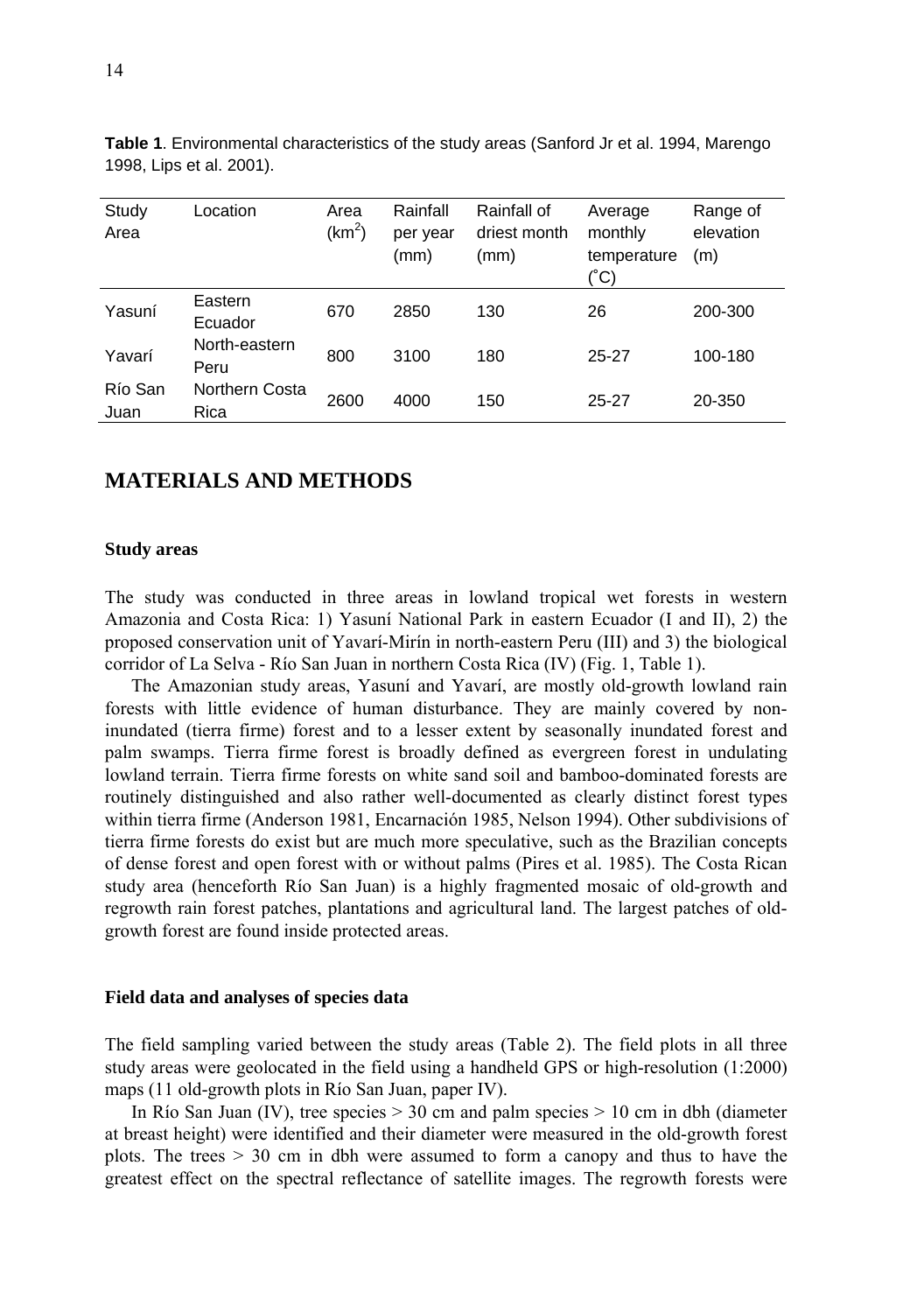| Study<br>Area   | _ocation                      | Area<br>(km <sup>2</sup> ) | Rainfall<br>per year<br>(mm) | Rainfall of<br>driest month<br>(mm) | Average<br>monthly<br>temperature<br>(°C) | Range of<br>elevation<br>(m) |
|-----------------|-------------------------------|----------------------------|------------------------------|-------------------------------------|-------------------------------------------|------------------------------|
| Yasuní          | Eastern<br>Ecuador            | 670                        | 2850                         | 130                                 | 26                                        | 200-300                      |
| Yavarí          | North-eastern<br>Peru         | 800                        | 3100                         | 180                                 | $25 - 27$                                 | 100-180                      |
| Río San<br>Juan | <b>Northern Costa</b><br>Rica | 2600                       | 4000                         | 150                                 | $25 - 27$                                 | 20-350                       |

**Table 1**. Environmental characteristics of the study areas (Sanford Jr et al. 1994, Marengo 1998, Lips et al. 2001).

# **MATERIALS AND METHODS**

#### **Study areas**

The study was conducted in three areas in lowland tropical wet forests in western Amazonia and Costa Rica: 1) Yasuní National Park in eastern Ecuador (I and II), 2) the proposed conservation unit of Yavarí-Mirín in north-eastern Peru (III) and 3) the biological corridor of La Selva - Río San Juan in northern Costa Rica (IV) (Fig. 1, Table 1).

The Amazonian study areas, Yasuní and Yavarí, are mostly old-growth lowland rain forests with little evidence of human disturbance. They are mainly covered by noninundated (tierra firme) forest and to a lesser extent by seasonally inundated forest and palm swamps. Tierra firme forest is broadly defined as evergreen forest in undulating lowland terrain. Tierra firme forests on white sand soil and bamboo-dominated forests are routinely distinguished and also rather well-documented as clearly distinct forest types within tierra firme (Anderson 1981, Encarnación 1985, Nelson 1994). Other subdivisions of tierra firme forests do exist but are much more speculative, such as the Brazilian concepts of dense forest and open forest with or without palms (Pires et al. 1985). The Costa Rican study area (henceforth Río San Juan) is a highly fragmented mosaic of old-growth and regrowth rain forest patches, plantations and agricultural land. The largest patches of oldgrowth forest are found inside protected areas.

#### **Field data and analyses of species data**

The field sampling varied between the study areas (Table 2). The field plots in all three study areas were geolocated in the field using a handheld GPS or high-resolution (1:2000) maps (11 old-growth plots in Río San Juan, paper IV).

In Río San Juan (IV), tree species  $> 30$  cm and palm species  $> 10$  cm in dbh (diameter at breast height) were identified and their diameter were measured in the old-growth forest plots. The trees  $> 30$  cm in dbh were assumed to form a canopy and thus to have the greatest effect on the spectral reflectance of satellite images. The regrowth forests were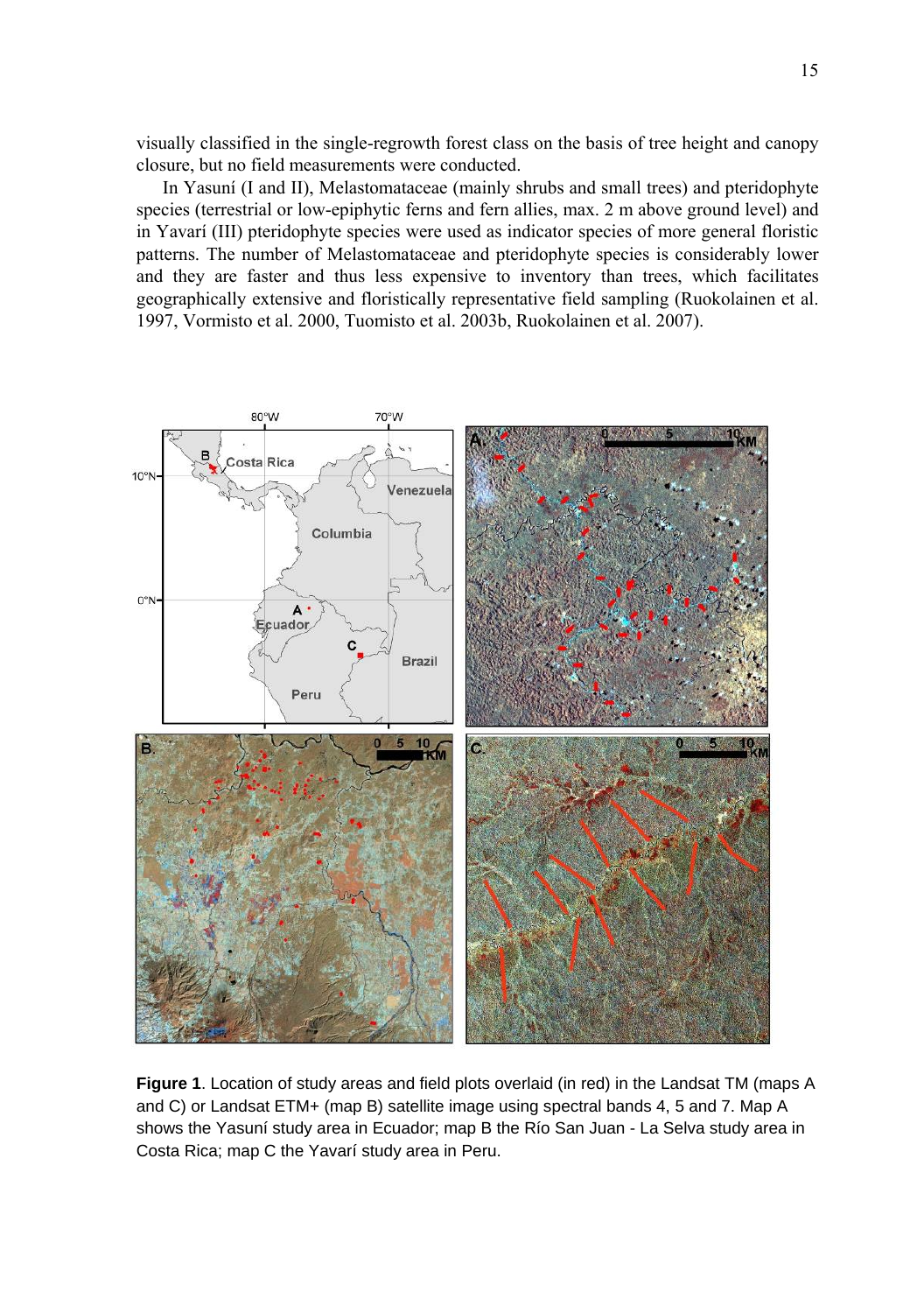visually classified in the single-regrowth forest class on the basis of tree height and canopy closure, but no field measurements were conducted.

In Yasuní (I and II), Melastomataceae (mainly shrubs and small trees) and pteridophyte species (terrestrial or low-epiphytic ferns and fern allies, max. 2 m above ground level) and in Yavarí (III) pteridophyte species were used as indicator species of more general floristic patterns. The number of Melastomataceae and pteridophyte species is considerably lower and they are faster and thus less expensive to inventory than trees, which facilitates geographically extensive and floristically representative field sampling (Ruokolainen et al. 1997, Vormisto et al. 2000, Tuomisto et al. 2003b, Ruokolainen et al. 2007).



**Figure 1**. Location of study areas and field plots overlaid (in red) in the Landsat TM (maps A and C) or Landsat ETM+ (map B) satellite image using spectral bands 4, 5 and 7. Map A shows the Yasuní study area in Ecuador; map B the Río San Juan - La Selva study area in Costa Rica; map C the Yavarí study area in Peru.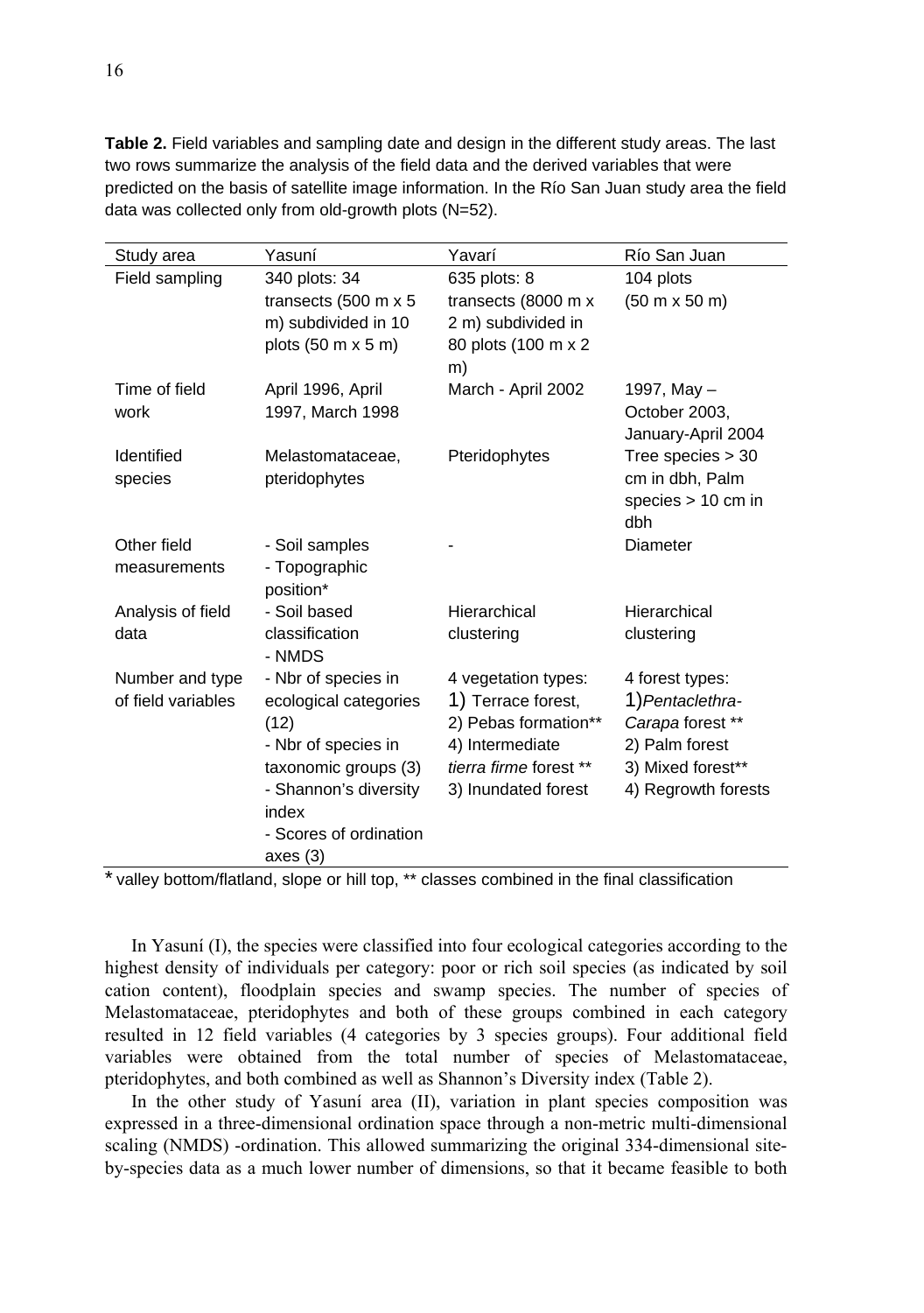| Study area         | Yasuní                                    | Yavarí                 | Río San Juan                         |
|--------------------|-------------------------------------------|------------------------|--------------------------------------|
| Field sampling     | 340 plots: 34                             | 635 plots: 8           | 104 plots                            |
|                    | transects (500 m x 5                      | transects (8000 m x    | $(50 \text{ m} \times 50 \text{ m})$ |
|                    | m) subdivided in 10                       | 2 m) subdivided in     |                                      |
|                    | plots $(50 \text{ m} \times 5 \text{ m})$ | 80 plots (100 m x 2    |                                      |
|                    |                                           | m)                     |                                      |
| Time of field      | April 1996, April                         | March - April 2002     | 1997, May $-$                        |
| work               | 1997, March 1998                          |                        | October 2003,                        |
|                    |                                           |                        | January-April 2004                   |
| Identified         | Melastomataceae,                          | Pteridophytes          | Tree species $> 30$                  |
| species            | pteridophytes                             |                        | cm in dbh, Palm                      |
|                    |                                           |                        | species $> 10$ cm in                 |
|                    |                                           |                        | dbh                                  |
| Other field        | - Soil samples                            |                        | Diameter                             |
| measurements       | - Topographic                             |                        |                                      |
|                    | position*                                 |                        |                                      |
| Analysis of field  | - Soil based                              | Hierarchical           | Hierarchical                         |
| data               | classification                            | clustering             | clustering                           |
|                    | - NMDS                                    |                        |                                      |
| Number and type    | - Nbr of species in                       | 4 vegetation types:    | 4 forest types:                      |
| of field variables | ecological categories                     | 1) Terrace forest,     | 1) Pentaclethra-                     |
|                    | (12)                                      | 2) Pebas formation**   | Carapa forest **                     |
|                    | - Nbr of species in                       | 4) Intermediate        | 2) Palm forest                       |
|                    | taxonomic groups (3)                      | tierra firme forest ** | 3) Mixed forest**                    |
|                    | - Shannon's diversity                     | 3) Inundated forest    | 4) Regrowth forests                  |
|                    | index                                     |                        |                                      |
|                    | - Scores of ordination                    |                        |                                      |
|                    | axes (3)                                  | $\cdot$ $\cdot$        |                                      |

**Table 2.** Field variables and sampling date and design in the different study areas. The last two rows summarize the analysis of the field data and the derived variables that were predicted on the basis of satellite image information. In the Río San Juan study area the field data was collected only from old-growth plots (N=52).

\* valley bottom/flatland, slope or hill top, \*\* classes combined in the final classification

In Yasuní (I), the species were classified into four ecological categories according to the highest density of individuals per category: poor or rich soil species (as indicated by soil cation content), floodplain species and swamp species. The number of species of Melastomataceae, pteridophytes and both of these groups combined in each category resulted in 12 field variables (4 categories by 3 species groups). Four additional field variables were obtained from the total number of species of Melastomataceae, pteridophytes, and both combined as well as Shannon's Diversity index (Table 2).

In the other study of Yasuní area (II), variation in plant species composition was expressed in a three-dimensional ordination space through a non-metric multi-dimensional scaling (NMDS) -ordination. This allowed summarizing the original 334-dimensional siteby-species data as a much lower number of dimensions, so that it became feasible to both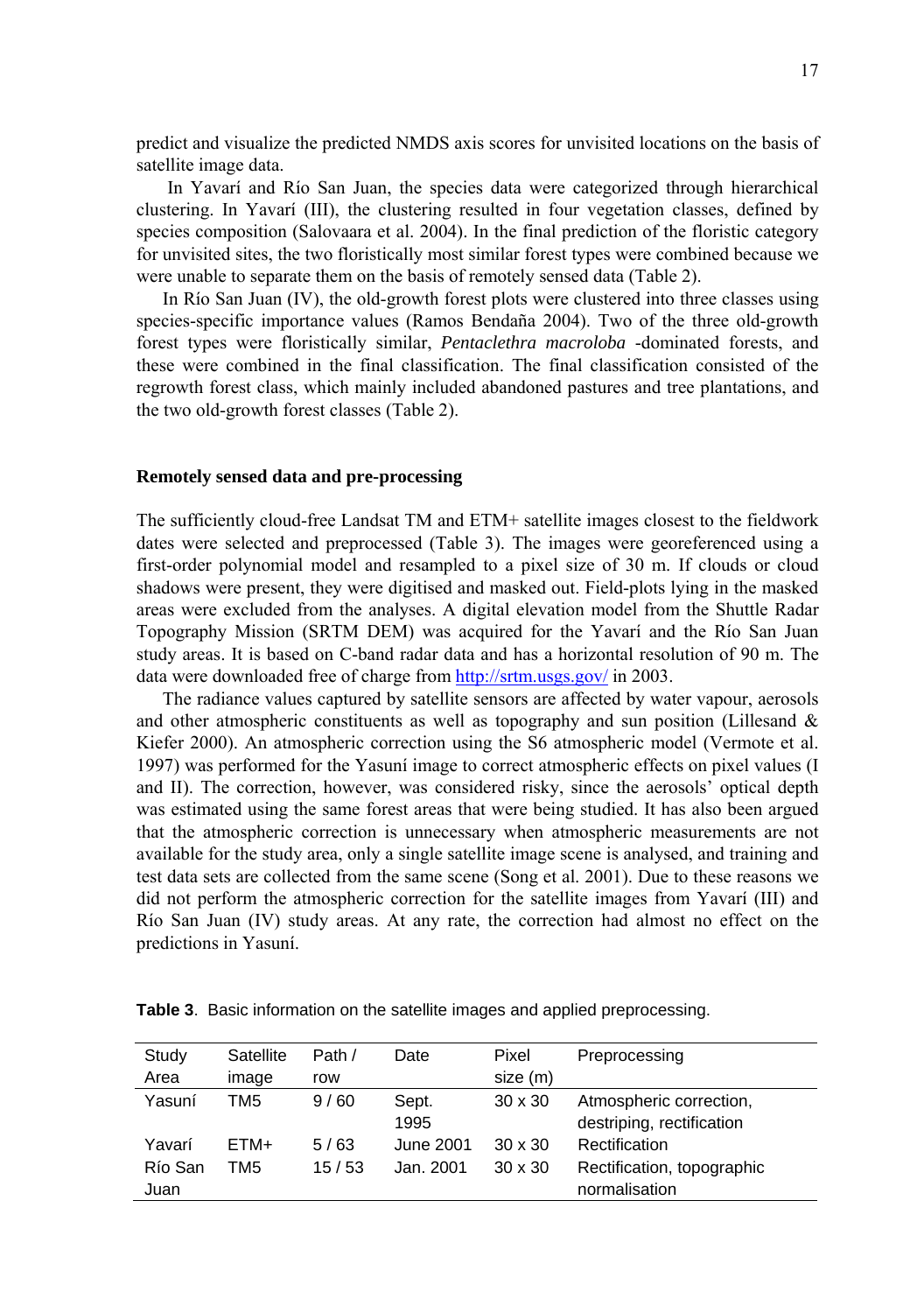predict and visualize the predicted NMDS axis scores for unvisited locations on the basis of satellite image data.

 In Yavarí and Río San Juan, the species data were categorized through hierarchical clustering. In Yavarí (III), the clustering resulted in four vegetation classes, defined by species composition (Salovaara et al. 2004). In the final prediction of the floristic category for unvisited sites, the two floristically most similar forest types were combined because we were unable to separate them on the basis of remotely sensed data (Table 2).

In Río San Juan (IV), the old-growth forest plots were clustered into three classes using species-specific importance values (Ramos Bendaña 2004). Two of the three old-growth forest types were floristically similar, *Pentaclethra macroloba* -dominated forests, and these were combined in the final classification. The final classification consisted of the regrowth forest class, which mainly included abandoned pastures and tree plantations, and the two old-growth forest classes (Table 2).

### **Remotely sensed data and pre-processing**

The sufficiently cloud-free Landsat TM and ETM+ satellite images closest to the fieldwork dates were selected and preprocessed (Table 3). The images were georeferenced using a first-order polynomial model and resampled to a pixel size of 30 m. If clouds or cloud shadows were present, they were digitised and masked out. Field-plots lying in the masked areas were excluded from the analyses. A digital elevation model from the Shuttle Radar Topography Mission (SRTM DEM) was acquired for the Yavarí and the Río San Juan study areas. It is based on C-band radar data and has a horizontal resolution of 90 m. The data were downloaded free of charge from http://srtm.usgs.gov/ in 2003.

The radiance values captured by satellite sensors are affected by water vapour, aerosols and other atmospheric constituents as well as topography and sun position (Lillesand  $\&$ Kiefer 2000). An atmospheric correction using the S6 atmospheric model (Vermote et al. 1997) was performed for the Yasuní image to correct atmospheric effects on pixel values (I and II). The correction, however, was considered risky, since the aerosols' optical depth was estimated using the same forest areas that were being studied. It has also been argued that the atmospheric correction is unnecessary when atmospheric measurements are not available for the study area, only a single satellite image scene is analysed, and training and test data sets are collected from the same scene (Song et al. 2001). Due to these reasons we did not perform the atmospheric correction for the satellite images from Yavarí (III) and Río San Juan (IV) study areas. At any rate, the correction had almost no effect on the predictions in Yasuní.

| Study   | Satellite | Path / | Date       | Pixel          | Preprocessing              |
|---------|-----------|--------|------------|----------------|----------------------------|
| Area    | image     | row    |            | size (m)       |                            |
| Yasuní  | TM5       | 9/60   | Sept.      | $30 \times 30$ | Atmospheric correction,    |
|         |           |        | 1995       |                | destriping, rectification  |
| Yavarí  | ETM+      | 5/63   | June 2001  | $30 \times 30$ | Rectification              |
| Río San | TM5       | 15/53  | Jan. 2001. | $30 \times 30$ | Rectification, topographic |
| Juan    |           |        |            |                | normalisation              |

**Table 3**. Basic information on the satellite images and applied preprocessing.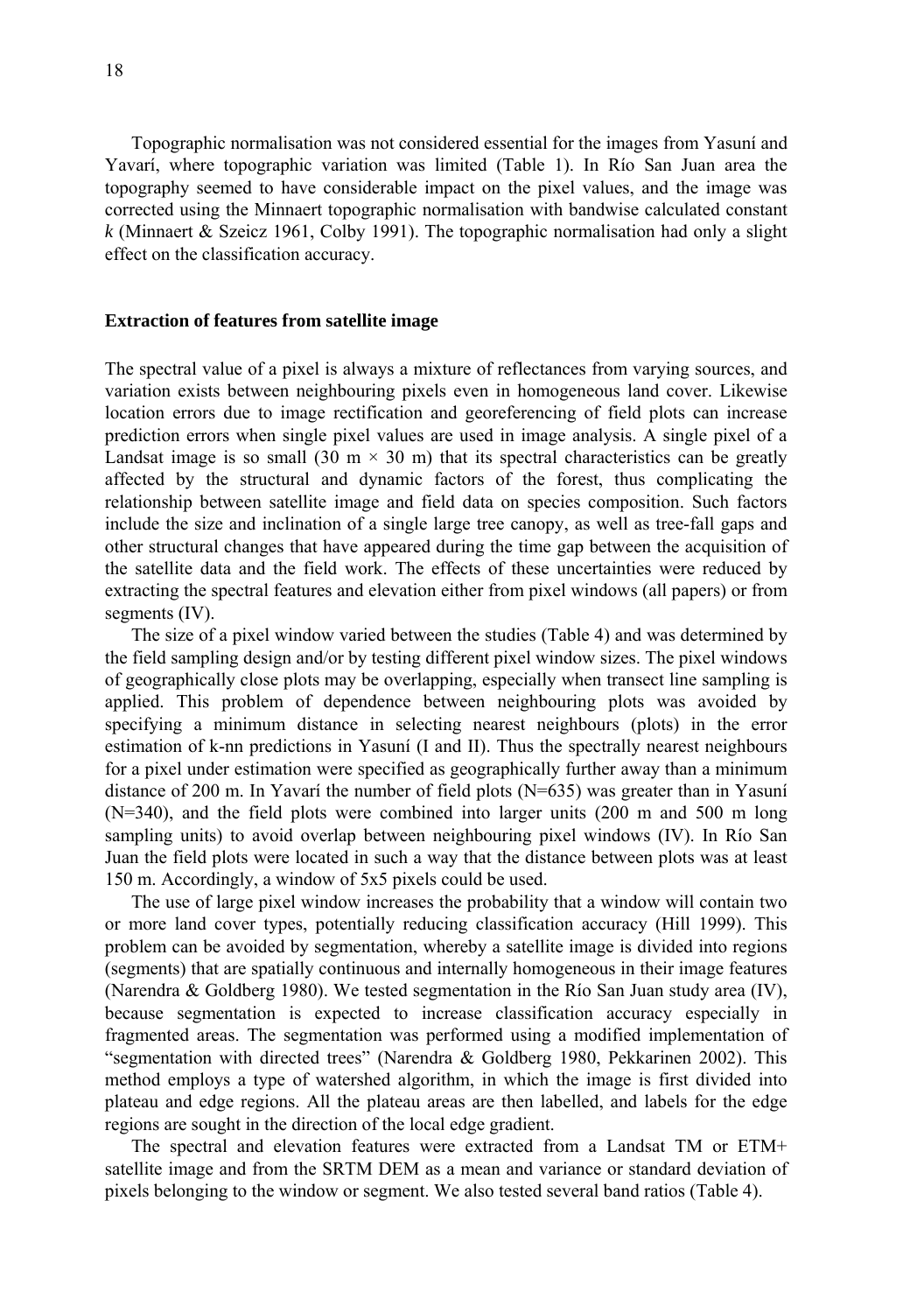Topographic normalisation was not considered essential for the images from Yasuní and Yavarí, where topographic variation was limited (Table 1). In Río San Juan area the topography seemed to have considerable impact on the pixel values, and the image was corrected using the Minnaert topographic normalisation with bandwise calculated constant *k* (Minnaert & Szeicz 1961, Colby 1991). The topographic normalisation had only a slight effect on the classification accuracy.

#### **Extraction of features from satellite image**

The spectral value of a pixel is always a mixture of reflectances from varying sources, and variation exists between neighbouring pixels even in homogeneous land cover. Likewise location errors due to image rectification and georeferencing of field plots can increase prediction errors when single pixel values are used in image analysis. A single pixel of a Landsat image is so small (30 m  $\times$  30 m) that its spectral characteristics can be greatly affected by the structural and dynamic factors of the forest, thus complicating the relationship between satellite image and field data on species composition. Such factors include the size and inclination of a single large tree canopy, as well as tree-fall gaps and other structural changes that have appeared during the time gap between the acquisition of the satellite data and the field work. The effects of these uncertainties were reduced by extracting the spectral features and elevation either from pixel windows (all papers) or from segments (IV).

The size of a pixel window varied between the studies (Table 4) and was determined by the field sampling design and/or by testing different pixel window sizes. The pixel windows of geographically close plots may be overlapping, especially when transect line sampling is applied. This problem of dependence between neighbouring plots was avoided by specifying a minimum distance in selecting nearest neighbours (plots) in the error estimation of k-nn predictions in Yasuní (I and II). Thus the spectrally nearest neighbours for a pixel under estimation were specified as geographically further away than a minimum distance of 200 m. In Yavarí the number of field plots (N=635) was greater than in Yasuní (N=340), and the field plots were combined into larger units (200 m and 500 m long sampling units) to avoid overlap between neighbouring pixel windows (IV). In Río San Juan the field plots were located in such a way that the distance between plots was at least 150 m. Accordingly, a window of 5x5 pixels could be used.

The use of large pixel window increases the probability that a window will contain two or more land cover types, potentially reducing classification accuracy (Hill 1999). This problem can be avoided by segmentation, whereby a satellite image is divided into regions (segments) that are spatially continuous and internally homogeneous in their image features (Narendra & Goldberg 1980). We tested segmentation in the Río San Juan study area (IV), because segmentation is expected to increase classification accuracy especially in fragmented areas. The segmentation was performed using a modified implementation of "segmentation with directed trees" (Narendra & Goldberg 1980, Pekkarinen 2002). This method employs a type of watershed algorithm, in which the image is first divided into plateau and edge regions. All the plateau areas are then labelled, and labels for the edge regions are sought in the direction of the local edge gradient.

The spectral and elevation features were extracted from a Landsat TM or ETM+ satellite image and from the SRTM DEM as a mean and variance or standard deviation of pixels belonging to the window or segment. We also tested several band ratios (Table 4).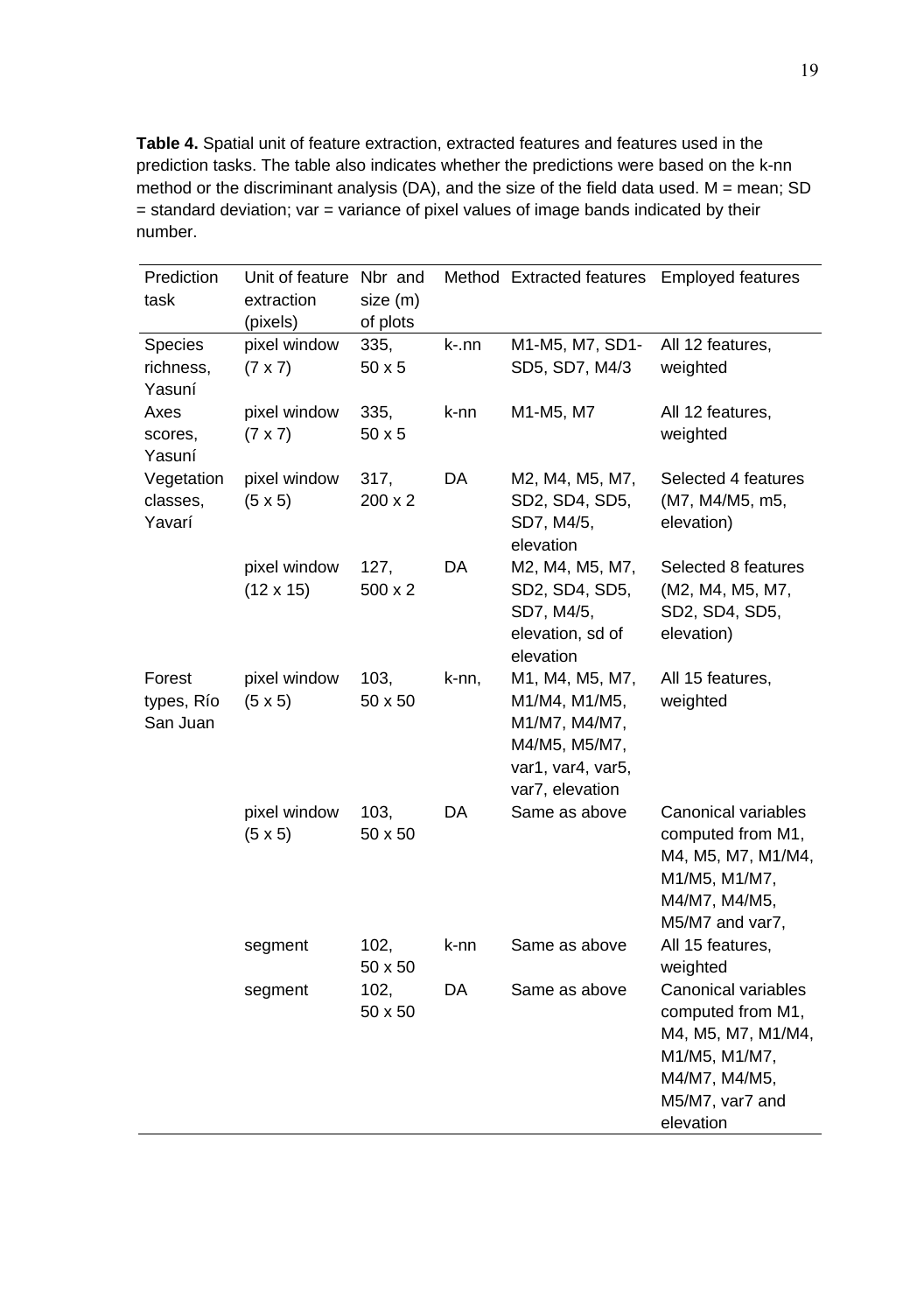**Table 4.** Spatial unit of feature extraction, extracted features and features used in the prediction tasks. The table also indicates whether the predictions were based on the k-nn method or the discriminant analysis (DA), and the size of the field data used. M = mean; SD  $=$  standard deviation; var  $=$  variance of pixel values of image bands indicated by their number.

| Prediction<br>task               | Unit of feature<br>extraction<br>(pixels) | Nbr and<br>size (m)<br>of plots |       | Method Extracted features                                                                                  | <b>Employed features</b>                                                                                                         |
|----------------------------------|-------------------------------------------|---------------------------------|-------|------------------------------------------------------------------------------------------------------------|----------------------------------------------------------------------------------------------------------------------------------|
| Species<br>richness,<br>Yasuní   | pixel window<br>$(7 \times 7)$            | 335,<br>$50 \times 5$           | k-.nn | M1-M5, M7, SD1-<br>SD5, SD7, M4/3                                                                          | All 12 features,<br>weighted                                                                                                     |
| Axes<br>scores,<br>Yasuní        | pixel window<br>$(7 \times 7)$            | 335,<br>50 x 5                  | k-nn  | M1-M5, M7                                                                                                  | All 12 features,<br>weighted                                                                                                     |
| Vegetation<br>classes,<br>Yavarí | pixel window<br>$(5 \times 5)$            | 317,<br>$200 \times 2$          | DA    | M2, M4, M5, M7,<br>SD2, SD4, SD5,<br>SD7, M4/5,<br>elevation                                               | Selected 4 features<br>(M7, M4/M5, m5,<br>elevation)                                                                             |
|                                  | pixel window<br>$(12 \times 15)$          | 127,<br>500 x 2                 | DA    | M2, M4, M5, M7,<br>SD2, SD4, SD5,<br>SD7, M4/5,<br>elevation, sd of<br>elevation                           | Selected 8 features<br>(M2, M4, M5, M7,<br>SD2, SD4, SD5,<br>elevation)                                                          |
| Forest<br>types, Río<br>San Juan | pixel window<br>$(5 \times 5)$            | 103,<br>50 x 50                 | k-nn, | M1, M4, M5, M7,<br>M1/M4, M1/M5,<br>M1/M7, M4/M7,<br>M4/M5, M5/M7,<br>var1, var4, var5,<br>var7, elevation | All 15 features,<br>weighted                                                                                                     |
|                                  | pixel window<br>$(5 \times 5)$            | 103,<br>50 x 50                 | DA    | Same as above                                                                                              | Canonical variables<br>computed from M1,<br>M4, M5, M7, M1/M4,<br>M1/M5, M1/M7,<br>M4/M7, M4/M5,<br>M5/M7 and var7,              |
|                                  | segment                                   | 102,<br>50 x 50                 | k-nn  | Same as above                                                                                              | All 15 features,<br>weighted                                                                                                     |
|                                  | segment                                   | 102,<br>50 x 50                 | DA    | Same as above                                                                                              | Canonical variables<br>computed from M1,<br>M4, M5, M7, M1/M4,<br>M1/M5, M1/M7,<br>M4/M7, M4/M5,<br>M5/M7, var7 and<br>elevation |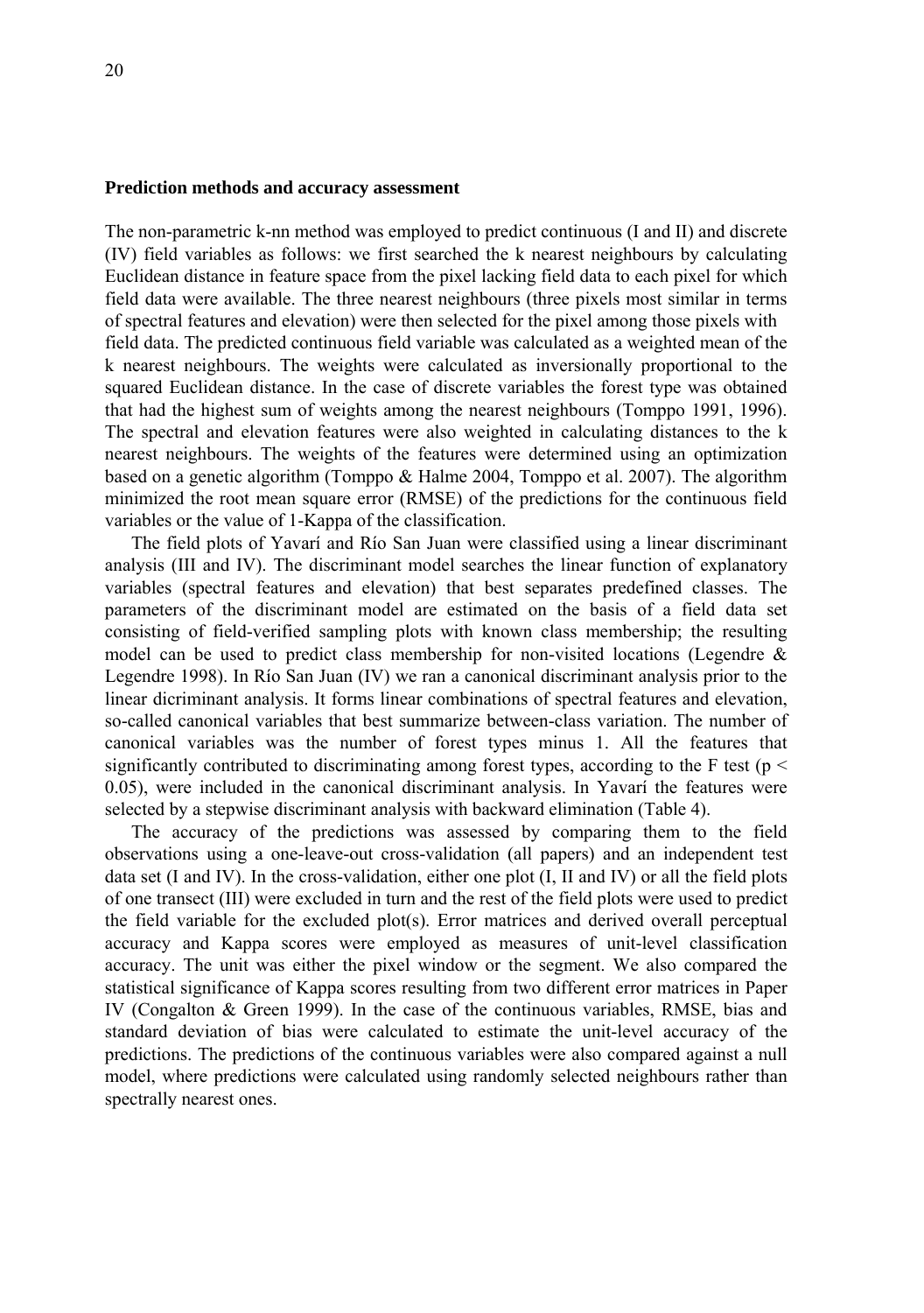#### **Prediction methods and accuracy assessment**

The non-parametric k-nn method was employed to predict continuous (I and II) and discrete (IV) field variables as follows: we first searched the k nearest neighbours by calculating Euclidean distance in feature space from the pixel lacking field data to each pixel for which field data were available. The three nearest neighbours (three pixels most similar in terms of spectral features and elevation) were then selected for the pixel among those pixels with field data. The predicted continuous field variable was calculated as a weighted mean of the k nearest neighbours. The weights were calculated as inversionally proportional to the squared Euclidean distance. In the case of discrete variables the forest type was obtained that had the highest sum of weights among the nearest neighbours (Tomppo 1991, 1996). The spectral and elevation features were also weighted in calculating distances to the k nearest neighbours. The weights of the features were determined using an optimization based on a genetic algorithm (Tomppo & Halme 2004, Tomppo et al. 2007). The algorithm minimized the root mean square error (RMSE) of the predictions for the continuous field variables or the value of 1-Kappa of the classification.

The field plots of Yavarí and Río San Juan were classified using a linear discriminant analysis (III and IV). The discriminant model searches the linear function of explanatory variables (spectral features and elevation) that best separates predefined classes. The parameters of the discriminant model are estimated on the basis of a field data set consisting of field-verified sampling plots with known class membership; the resulting model can be used to predict class membership for non-visited locations (Legendre  $\&$ Legendre 1998). In Río San Juan (IV) we ran a canonical discriminant analysis prior to the linear dicriminant analysis. It forms linear combinations of spectral features and elevation, so-called canonical variables that best summarize between-class variation. The number of canonical variables was the number of forest types minus 1. All the features that significantly contributed to discriminating among forest types, according to the F test ( $p \le$ 0.05), were included in the canonical discriminant analysis. In Yavarí the features were selected by a stepwise discriminant analysis with backward elimination (Table 4).

The accuracy of the predictions was assessed by comparing them to the field observations using a one-leave-out cross-validation (all papers) and an independent test data set (I and IV). In the cross-validation, either one plot (I, II and IV) or all the field plots of one transect (III) were excluded in turn and the rest of the field plots were used to predict the field variable for the excluded plot(s). Error matrices and derived overall perceptual accuracy and Kappa scores were employed as measures of unit-level classification accuracy. The unit was either the pixel window or the segment. We also compared the statistical significance of Kappa scores resulting from two different error matrices in Paper IV (Congalton & Green 1999). In the case of the continuous variables, RMSE, bias and standard deviation of bias were calculated to estimate the unit-level accuracy of the predictions. The predictions of the continuous variables were also compared against a null model, where predictions were calculated using randomly selected neighbours rather than spectrally nearest ones.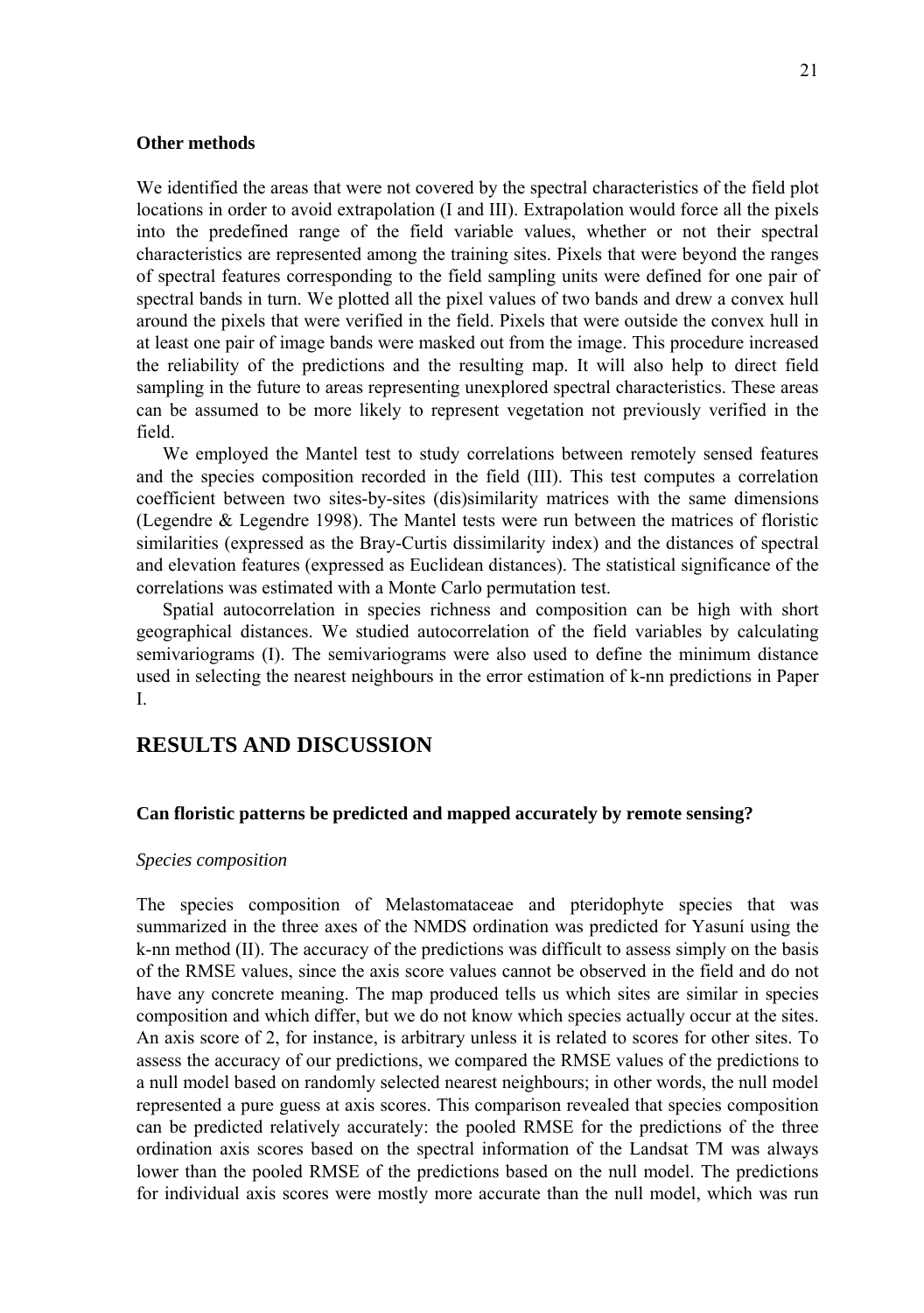### **Other methods**

We identified the areas that were not covered by the spectral characteristics of the field plot locations in order to avoid extrapolation (I and III). Extrapolation would force all the pixels into the predefined range of the field variable values, whether or not their spectral characteristics are represented among the training sites. Pixels that were beyond the ranges of spectral features corresponding to the field sampling units were defined for one pair of spectral bands in turn. We plotted all the pixel values of two bands and drew a convex hull around the pixels that were verified in the field. Pixels that were outside the convex hull in at least one pair of image bands were masked out from the image. This procedure increased the reliability of the predictions and the resulting map. It will also help to direct field sampling in the future to areas representing unexplored spectral characteristics. These areas can be assumed to be more likely to represent vegetation not previously verified in the field.

We employed the Mantel test to study correlations between remotely sensed features and the species composition recorded in the field (III). This test computes a correlation coefficient between two sites-by-sites (dis)similarity matrices with the same dimensions (Legendre & Legendre 1998). The Mantel tests were run between the matrices of floristic similarities (expressed as the Bray-Curtis dissimilarity index) and the distances of spectral and elevation features (expressed as Euclidean distances). The statistical significance of the correlations was estimated with a Monte Carlo permutation test.

Spatial autocorrelation in species richness and composition can be high with short geographical distances. We studied autocorrelation of the field variables by calculating semivariograms (I). The semivariograms were also used to define the minimum distance used in selecting the nearest neighbours in the error estimation of k-nn predictions in Paper I.

# **RESULTS AND DISCUSSION**

#### **Can floristic patterns be predicted and mapped accurately by remote sensing?**

#### *Species composition*

The species composition of Melastomataceae and pteridophyte species that was summarized in the three axes of the NMDS ordination was predicted for Yasuní using the k-nn method (II). The accuracy of the predictions was difficult to assess simply on the basis of the RMSE values, since the axis score values cannot be observed in the field and do not have any concrete meaning. The map produced tells us which sites are similar in species composition and which differ, but we do not know which species actually occur at the sites. An axis score of 2, for instance, is arbitrary unless it is related to scores for other sites. To assess the accuracy of our predictions, we compared the RMSE values of the predictions to a null model based on randomly selected nearest neighbours; in other words, the null model represented a pure guess at axis scores. This comparison revealed that species composition can be predicted relatively accurately: the pooled RMSE for the predictions of the three ordination axis scores based on the spectral information of the Landsat TM was always lower than the pooled RMSE of the predictions based on the null model. The predictions for individual axis scores were mostly more accurate than the null model, which was run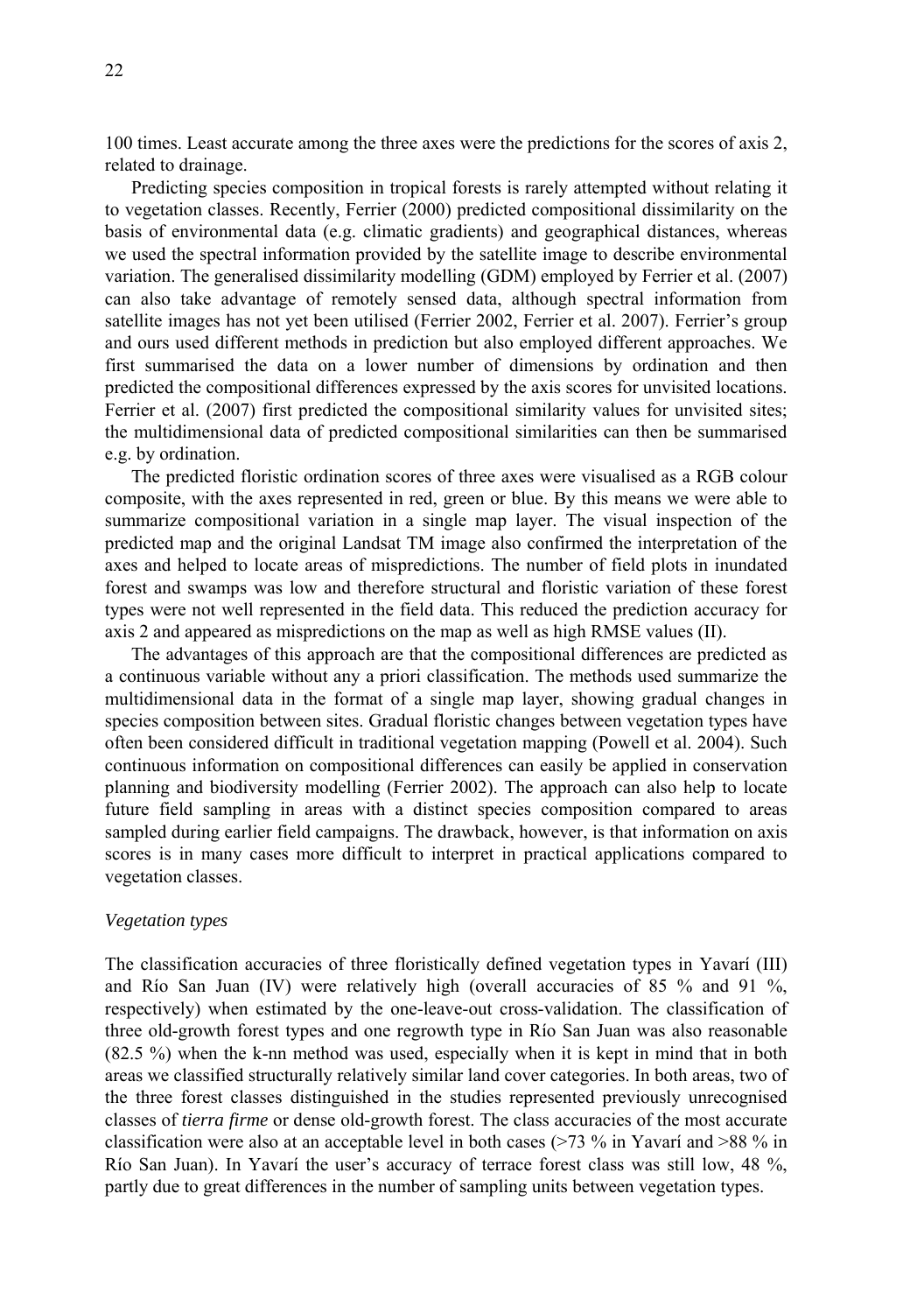100 times. Least accurate among the three axes were the predictions for the scores of axis 2, related to drainage.

Predicting species composition in tropical forests is rarely attempted without relating it to vegetation classes. Recently, Ferrier (2000) predicted compositional dissimilarity on the basis of environmental data (e.g. climatic gradients) and geographical distances, whereas we used the spectral information provided by the satellite image to describe environmental variation. The generalised dissimilarity modelling (GDM) employed by Ferrier et al. (2007) can also take advantage of remotely sensed data, although spectral information from satellite images has not yet been utilised (Ferrier 2002, Ferrier et al. 2007). Ferrier's group and ours used different methods in prediction but also employed different approaches. We first summarised the data on a lower number of dimensions by ordination and then predicted the compositional differences expressed by the axis scores for unvisited locations. Ferrier et al. (2007) first predicted the compositional similarity values for unvisited sites; the multidimensional data of predicted compositional similarities can then be summarised e.g. by ordination.

The predicted floristic ordination scores of three axes were visualised as a RGB colour composite, with the axes represented in red, green or blue. By this means we were able to summarize compositional variation in a single map layer. The visual inspection of the predicted map and the original Landsat TM image also confirmed the interpretation of the axes and helped to locate areas of mispredictions. The number of field plots in inundated forest and swamps was low and therefore structural and floristic variation of these forest types were not well represented in the field data. This reduced the prediction accuracy for axis 2 and appeared as mispredictions on the map as well as high RMSE values (II).

The advantages of this approach are that the compositional differences are predicted as a continuous variable without any a priori classification. The methods used summarize the multidimensional data in the format of a single map layer, showing gradual changes in species composition between sites. Gradual floristic changes between vegetation types have often been considered difficult in traditional vegetation mapping (Powell et al. 2004). Such continuous information on compositional differences can easily be applied in conservation planning and biodiversity modelling (Ferrier 2002). The approach can also help to locate future field sampling in areas with a distinct species composition compared to areas sampled during earlier field campaigns. The drawback, however, is that information on axis scores is in many cases more difficult to interpret in practical applications compared to vegetation classes.

# *Vegetation types*

The classification accuracies of three floristically defined vegetation types in Yavarí (III) and Río San Juan (IV) were relatively high (overall accuracies of 85 % and 91 %, respectively) when estimated by the one-leave-out cross-validation. The classification of three old-growth forest types and one regrowth type in Río San Juan was also reasonable (82.5 %) when the k-nn method was used, especially when it is kept in mind that in both areas we classified structurally relatively similar land cover categories. In both areas, two of the three forest classes distinguished in the studies represented previously unrecognised classes of *tierra firme* or dense old-growth forest. The class accuracies of the most accurate classification were also at an acceptable level in both cases (>73 % in Yavarí and >88 % in Río San Juan). In Yavarí the user's accuracy of terrace forest class was still low, 48 %, partly due to great differences in the number of sampling units between vegetation types.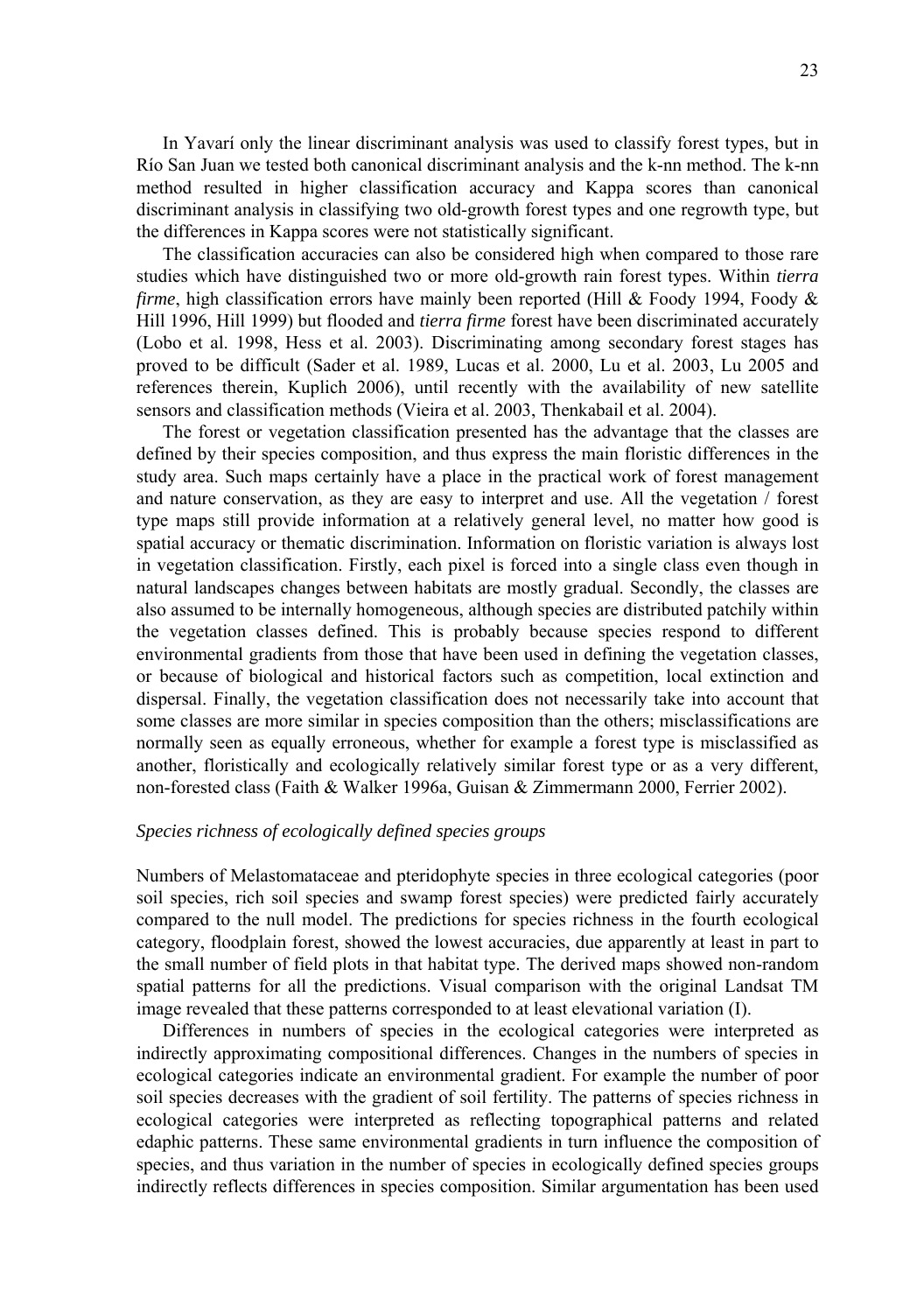In Yavarí only the linear discriminant analysis was used to classify forest types, but in Río San Juan we tested both canonical discriminant analysis and the k-nn method. The k-nn method resulted in higher classification accuracy and Kappa scores than canonical discriminant analysis in classifying two old-growth forest types and one regrowth type, but the differences in Kappa scores were not statistically significant.

The classification accuracies can also be considered high when compared to those rare studies which have distinguished two or more old-growth rain forest types. Within *tierra firme*, high classification errors have mainly been reported (Hill & Foody 1994, Foody & Hill 1996, Hill 1999) but flooded and *tierra firme* forest have been discriminated accurately (Lobo et al. 1998, Hess et al. 2003). Discriminating among secondary forest stages has proved to be difficult (Sader et al. 1989, Lucas et al. 2000, Lu et al. 2003, Lu 2005 and references therein, Kuplich 2006), until recently with the availability of new satellite sensors and classification methods (Vieira et al. 2003, Thenkabail et al. 2004).

The forest or vegetation classification presented has the advantage that the classes are defined by their species composition, and thus express the main floristic differences in the study area. Such maps certainly have a place in the practical work of forest management and nature conservation, as they are easy to interpret and use. All the vegetation / forest type maps still provide information at a relatively general level, no matter how good is spatial accuracy or thematic discrimination. Information on floristic variation is always lost in vegetation classification. Firstly, each pixel is forced into a single class even though in natural landscapes changes between habitats are mostly gradual. Secondly, the classes are also assumed to be internally homogeneous, although species are distributed patchily within the vegetation classes defined. This is probably because species respond to different environmental gradients from those that have been used in defining the vegetation classes, or because of biological and historical factors such as competition, local extinction and dispersal. Finally, the vegetation classification does not necessarily take into account that some classes are more similar in species composition than the others; misclassifications are normally seen as equally erroneous, whether for example a forest type is misclassified as another, floristically and ecologically relatively similar forest type or as a very different, non-forested class (Faith & Walker 1996a, Guisan & Zimmermann 2000, Ferrier 2002).

## *Species richness of ecologically defined species groups*

Numbers of Melastomataceae and pteridophyte species in three ecological categories (poor soil species, rich soil species and swamp forest species) were predicted fairly accurately compared to the null model. The predictions for species richness in the fourth ecological category, floodplain forest, showed the lowest accuracies, due apparently at least in part to the small number of field plots in that habitat type. The derived maps showed non-random spatial patterns for all the predictions. Visual comparison with the original Landsat TM image revealed that these patterns corresponded to at least elevational variation (I).

Differences in numbers of species in the ecological categories were interpreted as indirectly approximating compositional differences. Changes in the numbers of species in ecological categories indicate an environmental gradient. For example the number of poor soil species decreases with the gradient of soil fertility. The patterns of species richness in ecological categories were interpreted as reflecting topographical patterns and related edaphic patterns. These same environmental gradients in turn influence the composition of species, and thus variation in the number of species in ecologically defined species groups indirectly reflects differences in species composition. Similar argumentation has been used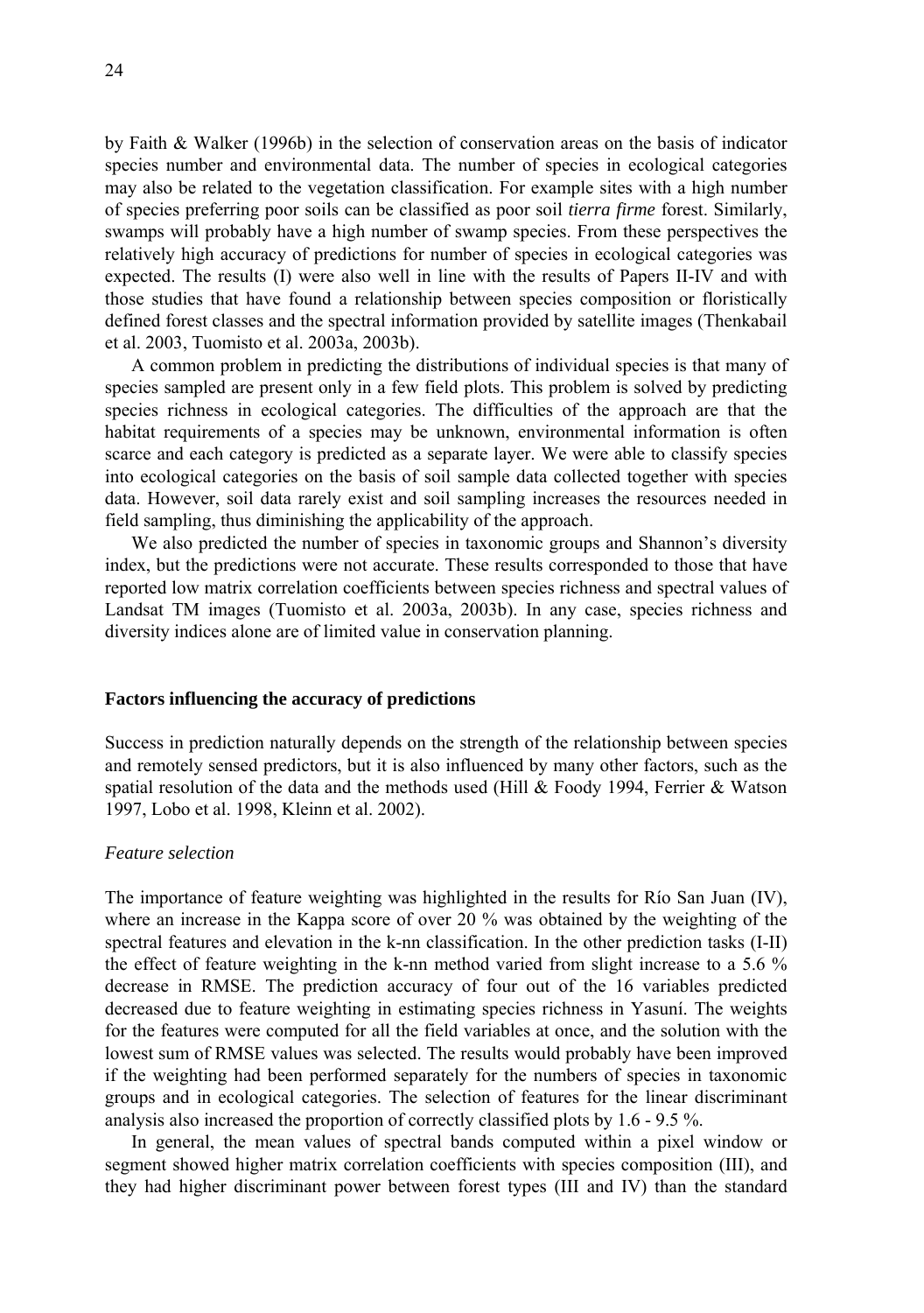by Faith & Walker (1996b) in the selection of conservation areas on the basis of indicator species number and environmental data. The number of species in ecological categories may also be related to the vegetation classification. For example sites with a high number of species preferring poor soils can be classified as poor soil *tierra firme* forest. Similarly, swamps will probably have a high number of swamp species. From these perspectives the relatively high accuracy of predictions for number of species in ecological categories was expected. The results (I) were also well in line with the results of Papers II-IV and with those studies that have found a relationship between species composition or floristically defined forest classes and the spectral information provided by satellite images (Thenkabail et al. 2003, Tuomisto et al. 2003a, 2003b).

A common problem in predicting the distributions of individual species is that many of species sampled are present only in a few field plots. This problem is solved by predicting species richness in ecological categories. The difficulties of the approach are that the habitat requirements of a species may be unknown, environmental information is often scarce and each category is predicted as a separate layer. We were able to classify species into ecological categories on the basis of soil sample data collected together with species data. However, soil data rarely exist and soil sampling increases the resources needed in field sampling, thus diminishing the applicability of the approach.

We also predicted the number of species in taxonomic groups and Shannon's diversity index, but the predictions were not accurate. These results corresponded to those that have reported low matrix correlation coefficients between species richness and spectral values of Landsat TM images (Tuomisto et al. 2003a, 2003b). In any case, species richness and diversity indices alone are of limited value in conservation planning.

#### **Factors influencing the accuracy of predictions**

Success in prediction naturally depends on the strength of the relationship between species and remotely sensed predictors, but it is also influenced by many other factors, such as the spatial resolution of the data and the methods used (Hill  $&$  Foody 1994, Ferrier  $&$  Watson 1997, Lobo et al. 1998, Kleinn et al. 2002).

#### *Feature selection*

The importance of feature weighting was highlighted in the results for Río San Juan (IV), where an increase in the Kappa score of over 20 % was obtained by the weighting of the spectral features and elevation in the k-nn classification. In the other prediction tasks (I-II) the effect of feature weighting in the k-nn method varied from slight increase to a 5.6 % decrease in RMSE. The prediction accuracy of four out of the 16 variables predicted decreased due to feature weighting in estimating species richness in Yasuní. The weights for the features were computed for all the field variables at once, and the solution with the lowest sum of RMSE values was selected. The results would probably have been improved if the weighting had been performed separately for the numbers of species in taxonomic groups and in ecological categories. The selection of features for the linear discriminant analysis also increased the proportion of correctly classified plots by 1.6 - 9.5 %.

In general, the mean values of spectral bands computed within a pixel window or segment showed higher matrix correlation coefficients with species composition (III), and they had higher discriminant power between forest types (III and IV) than the standard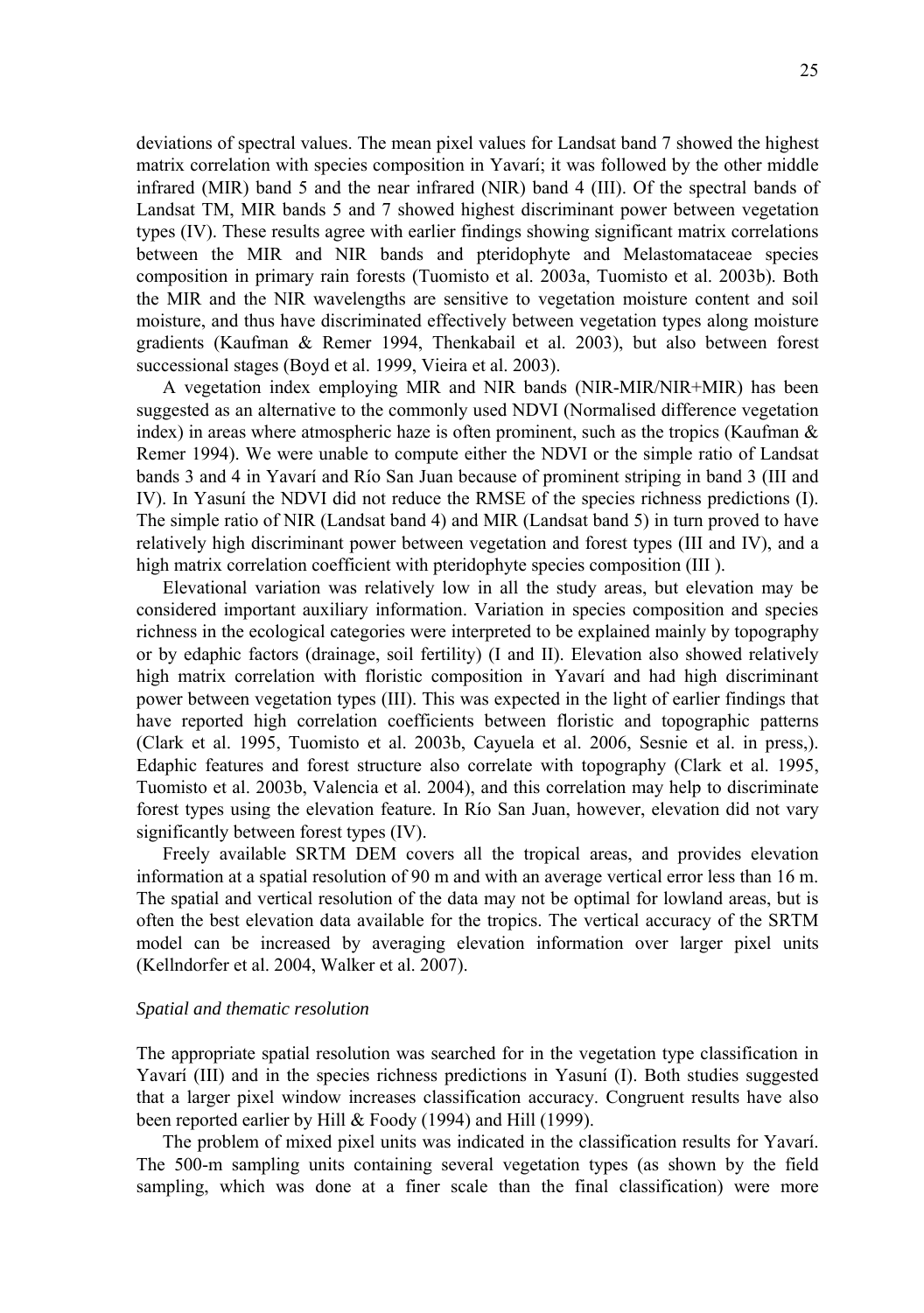deviations of spectral values. The mean pixel values for Landsat band 7 showed the highest matrix correlation with species composition in Yavarí; it was followed by the other middle infrared (MIR) band 5 and the near infrared (NIR) band 4 (III). Of the spectral bands of Landsat TM, MIR bands 5 and 7 showed highest discriminant power between vegetation types (IV). These results agree with earlier findings showing significant matrix correlations between the MIR and NIR bands and pteridophyte and Melastomataceae species composition in primary rain forests (Tuomisto et al. 2003a, Tuomisto et al. 2003b). Both the MIR and the NIR wavelengths are sensitive to vegetation moisture content and soil moisture, and thus have discriminated effectively between vegetation types along moisture gradients (Kaufman & Remer 1994, Thenkabail et al. 2003), but also between forest successional stages (Boyd et al. 1999, Vieira et al. 2003).

A vegetation index employing MIR and NIR bands (NIR-MIR/NIR+MIR) has been suggested as an alternative to the commonly used NDVI (Normalised difference vegetation index) in areas where atmospheric haze is often prominent, such as the tropics (Kaufman & Remer 1994). We were unable to compute either the NDVI or the simple ratio of Landsat bands 3 and 4 in Yavarí and Río San Juan because of prominent striping in band 3 (III and IV). In Yasuní the NDVI did not reduce the RMSE of the species richness predictions (I). The simple ratio of NIR (Landsat band 4) and MIR (Landsat band 5) in turn proved to have relatively high discriminant power between vegetation and forest types (III and IV), and a high matrix correlation coefficient with pteridophyte species composition (III ).

Elevational variation was relatively low in all the study areas, but elevation may be considered important auxiliary information. Variation in species composition and species richness in the ecological categories were interpreted to be explained mainly by topography or by edaphic factors (drainage, soil fertility) (I and II). Elevation also showed relatively high matrix correlation with floristic composition in Yavarí and had high discriminant power between vegetation types (III). This was expected in the light of earlier findings that have reported high correlation coefficients between floristic and topographic patterns (Clark et al. 1995, Tuomisto et al. 2003b, Cayuela et al. 2006, Sesnie et al. in press,). Edaphic features and forest structure also correlate with topography (Clark et al. 1995, Tuomisto et al. 2003b, Valencia et al. 2004), and this correlation may help to discriminate forest types using the elevation feature. In Río San Juan, however, elevation did not vary significantly between forest types (IV).

Freely available SRTM DEM covers all the tropical areas, and provides elevation information at a spatial resolution of 90 m and with an average vertical error less than 16 m. The spatial and vertical resolution of the data may not be optimal for lowland areas, but is often the best elevation data available for the tropics. The vertical accuracy of the SRTM model can be increased by averaging elevation information over larger pixel units (Kellndorfer et al. 2004, Walker et al. 2007).

#### *Spatial and thematic resolution*

The appropriate spatial resolution was searched for in the vegetation type classification in Yavarí (III) and in the species richness predictions in Yasuní (I). Both studies suggested that a larger pixel window increases classification accuracy. Congruent results have also been reported earlier by Hill & Foody (1994) and Hill (1999).

The problem of mixed pixel units was indicated in the classification results for Yavarí. The 500-m sampling units containing several vegetation types (as shown by the field sampling, which was done at a finer scale than the final classification) were more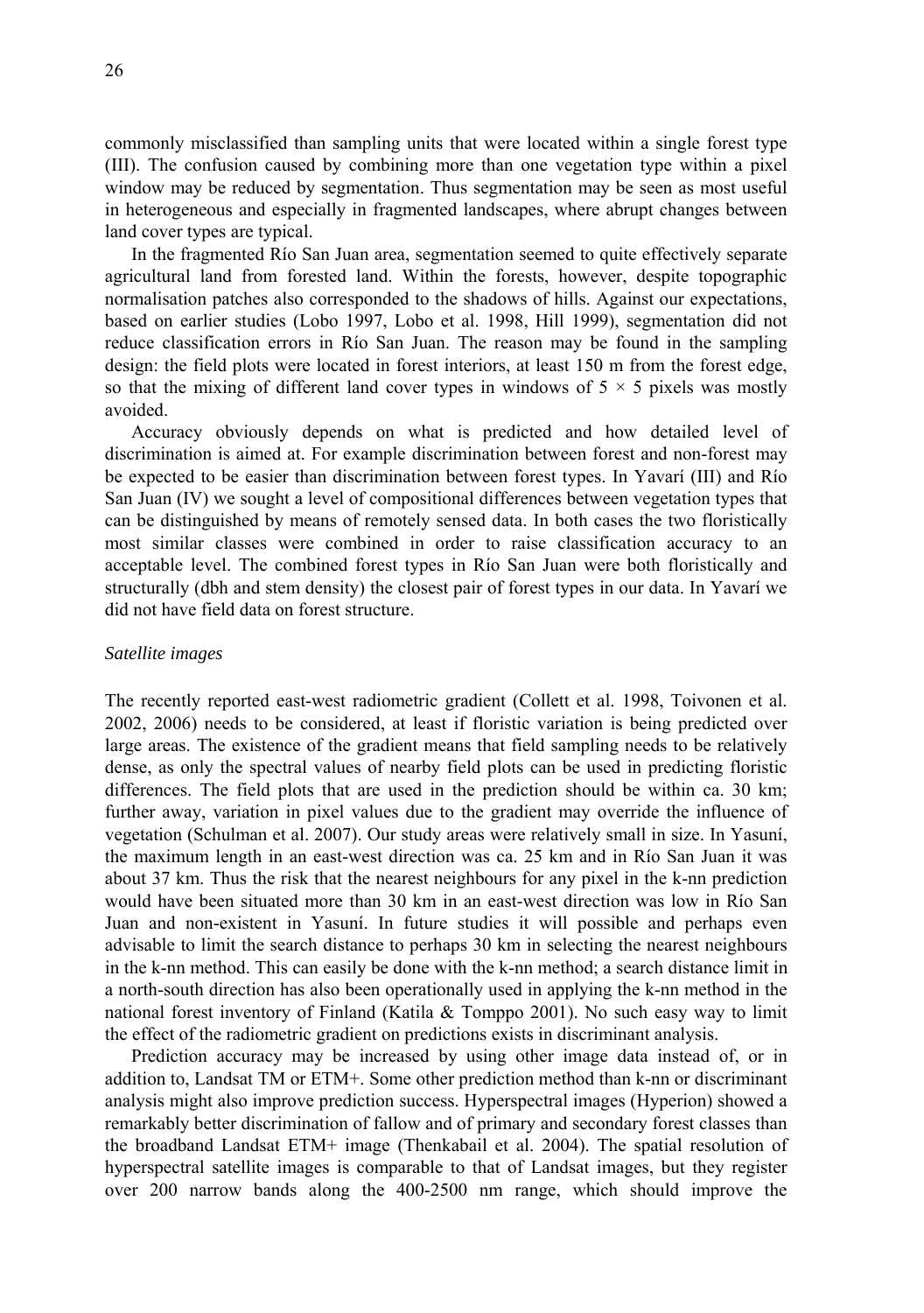commonly misclassified than sampling units that were located within a single forest type (III). The confusion caused by combining more than one vegetation type within a pixel window may be reduced by segmentation. Thus segmentation may be seen as most useful in heterogeneous and especially in fragmented landscapes, where abrupt changes between land cover types are typical.

In the fragmented Río San Juan area, segmentation seemed to quite effectively separate agricultural land from forested land. Within the forests, however, despite topographic normalisation patches also corresponded to the shadows of hills. Against our expectations, based on earlier studies (Lobo 1997, Lobo et al. 1998, Hill 1999), segmentation did not reduce classification errors in Río San Juan. The reason may be found in the sampling design: the field plots were located in forest interiors, at least 150 m from the forest edge, so that the mixing of different land cover types in windows of  $5 \times 5$  pixels was mostly avoided.

Accuracy obviously depends on what is predicted and how detailed level of discrimination is aimed at. For example discrimination between forest and non-forest may be expected to be easier than discrimination between forest types. In Yavarí (III) and Río San Juan (IV) we sought a level of compositional differences between vegetation types that can be distinguished by means of remotely sensed data. In both cases the two floristically most similar classes were combined in order to raise classification accuracy to an acceptable level. The combined forest types in Río San Juan were both floristically and structurally (dbh and stem density) the closest pair of forest types in our data. In Yavarí we did not have field data on forest structure.

### *Satellite images*

The recently reported east-west radiometric gradient (Collett et al. 1998, Toivonen et al. 2002, 2006) needs to be considered, at least if floristic variation is being predicted over large areas. The existence of the gradient means that field sampling needs to be relatively dense, as only the spectral values of nearby field plots can be used in predicting floristic differences. The field plots that are used in the prediction should be within ca. 30 km; further away, variation in pixel values due to the gradient may override the influence of vegetation (Schulman et al. 2007). Our study areas were relatively small in size. In Yasuní, the maximum length in an east-west direction was ca. 25 km and in Río San Juan it was about 37 km. Thus the risk that the nearest neighbours for any pixel in the k-nn prediction would have been situated more than 30 km in an east-west direction was low in Río San Juan and non-existent in Yasuní. In future studies it will possible and perhaps even advisable to limit the search distance to perhaps 30 km in selecting the nearest neighbours in the k-nn method. This can easily be done with the k-nn method; a search distance limit in a north-south direction has also been operationally used in applying the k-nn method in the national forest inventory of Finland (Katila & Tomppo 2001). No such easy way to limit the effect of the radiometric gradient on predictions exists in discriminant analysis.

Prediction accuracy may be increased by using other image data instead of, or in addition to, Landsat TM or ETM+. Some other prediction method than k-nn or discriminant analysis might also improve prediction success. Hyperspectral images (Hyperion) showed a remarkably better discrimination of fallow and of primary and secondary forest classes than the broadband Landsat ETM+ image (Thenkabail et al. 2004). The spatial resolution of hyperspectral satellite images is comparable to that of Landsat images, but they register over 200 narrow bands along the 400-2500 nm range, which should improve the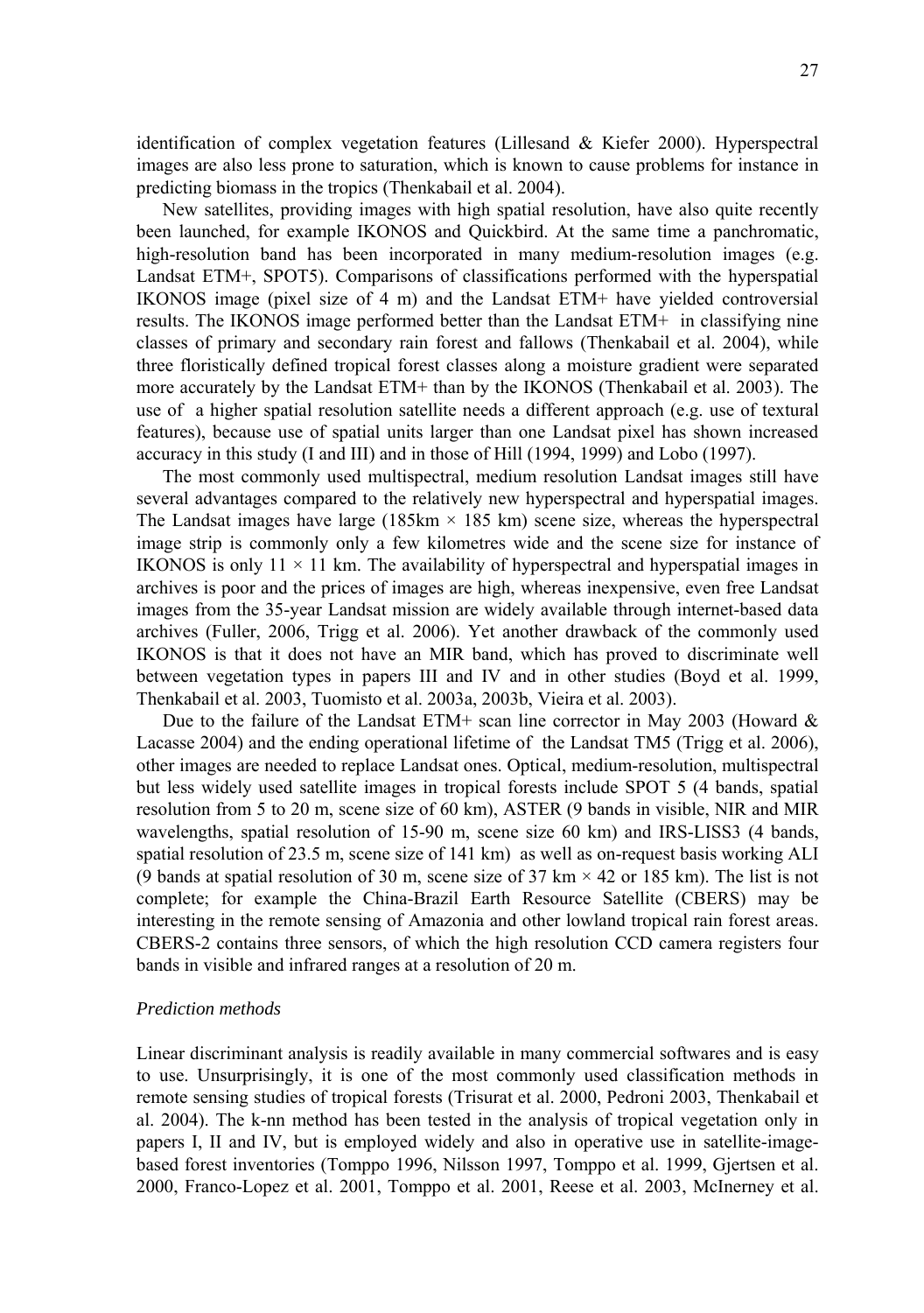identification of complex vegetation features (Lillesand & Kiefer 2000). Hyperspectral images are also less prone to saturation, which is known to cause problems for instance in predicting biomass in the tropics (Thenkabail et al. 2004).

New satellites, providing images with high spatial resolution, have also quite recently been launched, for example IKONOS and Quickbird. At the same time a panchromatic, high-resolution band has been incorporated in many medium-resolution images (e.g. Landsat ETM+, SPOT5). Comparisons of classifications performed with the hyperspatial IKONOS image (pixel size of 4 m) and the Landsat ETM+ have yielded controversial results. The IKONOS image performed better than the Landsat ETM+ in classifying nine classes of primary and secondary rain forest and fallows (Thenkabail et al. 2004), while three floristically defined tropical forest classes along a moisture gradient were separated more accurately by the Landsat ETM+ than by the IKONOS (Thenkabail et al. 2003). The use of a higher spatial resolution satellite needs a different approach (e.g. use of textural features), because use of spatial units larger than one Landsat pixel has shown increased accuracy in this study (I and III) and in those of Hill (1994, 1999) and Lobo (1997).

The most commonly used multispectral, medium resolution Landsat images still have several advantages compared to the relatively new hyperspectral and hyperspatial images. The Landsat images have large (185 km  $\times$  185 km) scene size, whereas the hyperspectral image strip is commonly only a few kilometres wide and the scene size for instance of IKONOS is only  $11 \times 11$  km. The availability of hyperspectral and hyperspatial images in archives is poor and the prices of images are high, whereas inexpensive, even free Landsat images from the 35-year Landsat mission are widely available through internet-based data archives (Fuller, 2006, Trigg et al. 2006). Yet another drawback of the commonly used IKONOS is that it does not have an MIR band, which has proved to discriminate well between vegetation types in papers III and IV and in other studies (Boyd et al. 1999, Thenkabail et al. 2003, Tuomisto et al. 2003a, 2003b, Vieira et al. 2003).

Due to the failure of the Landsat ETM+ scan line corrector in May 2003 (Howard & Lacasse 2004) and the ending operational lifetime of the Landsat TM5 (Trigg et al. 2006), other images are needed to replace Landsat ones. Optical, medium-resolution, multispectral but less widely used satellite images in tropical forests include SPOT 5 (4 bands, spatial resolution from 5 to 20 m, scene size of 60 km), ASTER (9 bands in visible, NIR and MIR wavelengths, spatial resolution of 15-90 m, scene size 60 km) and IRS-LISS3 (4 bands, spatial resolution of 23.5 m, scene size of 141 km) as well as on-request basis working ALI (9 bands at spatial resolution of 30 m, scene size of 37 km  $\times$  42 or 185 km). The list is not complete; for example the China-Brazil Earth Resource Satellite (CBERS) may be interesting in the remote sensing of Amazonia and other lowland tropical rain forest areas. CBERS-2 contains three sensors, of which the high resolution CCD camera registers four bands in visible and infrared ranges at a resolution of 20 m.

#### *Prediction methods*

Linear discriminant analysis is readily available in many commercial softwares and is easy to use. Unsurprisingly, it is one of the most commonly used classification methods in remote sensing studies of tropical forests (Trisurat et al. 2000, Pedroni 2003, Thenkabail et al. 2004). The k-nn method has been tested in the analysis of tropical vegetation only in papers I, II and IV, but is employed widely and also in operative use in satellite-imagebased forest inventories (Tomppo 1996, Nilsson 1997, Tomppo et al. 1999, Gjertsen et al. 2000, Franco-Lopez et al. 2001, Tomppo et al. 2001, Reese et al. 2003, McInerney et al.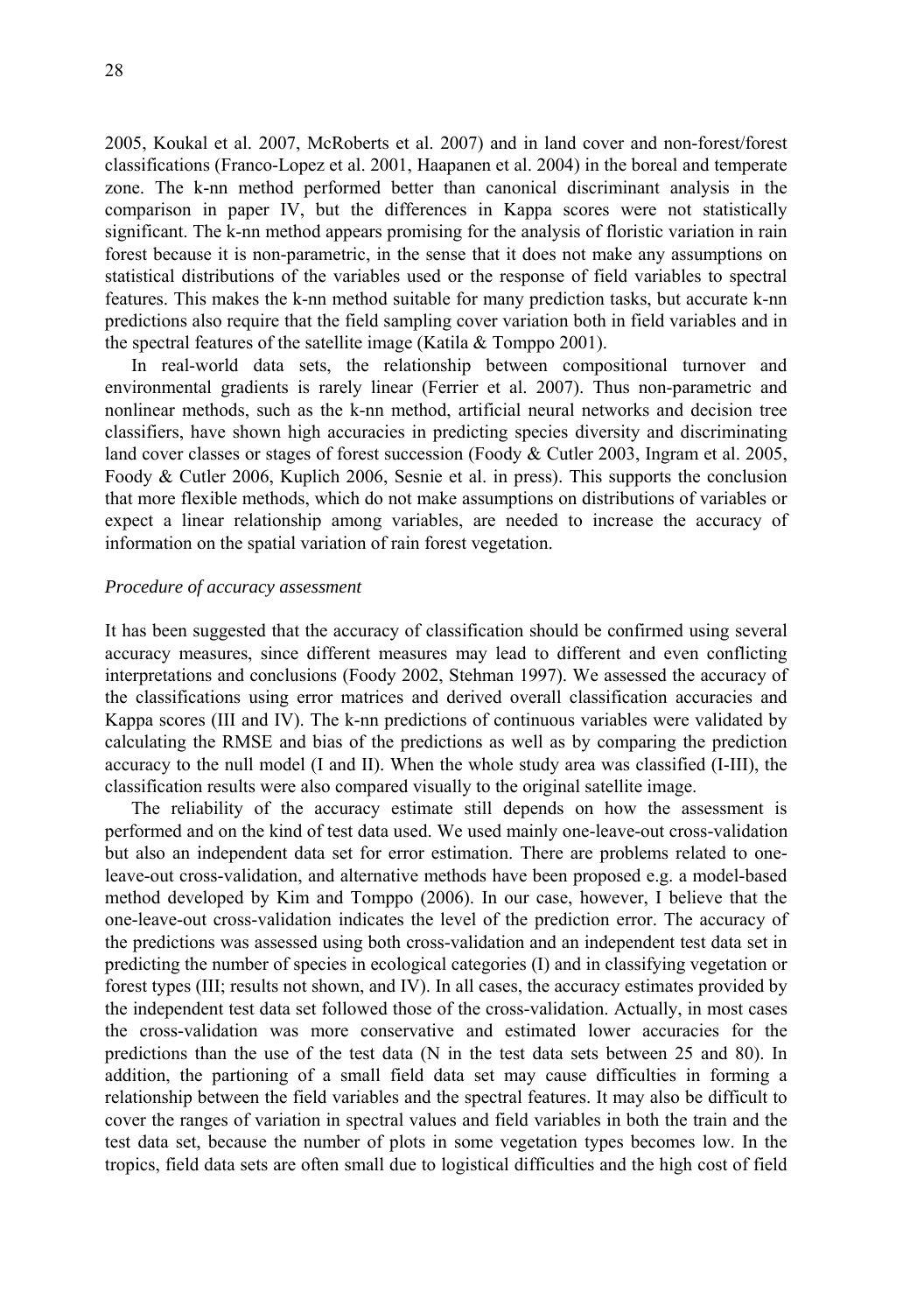2005, Koukal et al. 2007, McRoberts et al. 2007) and in land cover and non-forest/forest classifications (Franco-Lopez et al. 2001, Haapanen et al. 2004) in the boreal and temperate zone. The k-nn method performed better than canonical discriminant analysis in the comparison in paper IV, but the differences in Kappa scores were not statistically significant. The k-nn method appears promising for the analysis of floristic variation in rain forest because it is non-parametric, in the sense that it does not make any assumptions on statistical distributions of the variables used or the response of field variables to spectral features. This makes the k-nn method suitable for many prediction tasks, but accurate k-nn predictions also require that the field sampling cover variation both in field variables and in the spectral features of the satellite image (Katila & Tomppo 2001).

In real-world data sets, the relationship between compositional turnover and environmental gradients is rarely linear (Ferrier et al. 2007). Thus non-parametric and nonlinear methods, such as the k-nn method, artificial neural networks and decision tree classifiers, have shown high accuracies in predicting species diversity and discriminating land cover classes or stages of forest succession (Foody & Cutler 2003, Ingram et al. 2005, Foody & Cutler 2006, Kuplich 2006, Sesnie et al. in press). This supports the conclusion that more flexible methods, which do not make assumptions on distributions of variables or expect a linear relationship among variables, are needed to increase the accuracy of information on the spatial variation of rain forest vegetation.

### *Procedure of accuracy assessment*

It has been suggested that the accuracy of classification should be confirmed using several accuracy measures, since different measures may lead to different and even conflicting interpretations and conclusions (Foody 2002, Stehman 1997). We assessed the accuracy of the classifications using error matrices and derived overall classification accuracies and Kappa scores (III and IV). The k-nn predictions of continuous variables were validated by calculating the RMSE and bias of the predictions as well as by comparing the prediction accuracy to the null model (I and II). When the whole study area was classified (I-III), the classification results were also compared visually to the original satellite image.

The reliability of the accuracy estimate still depends on how the assessment is performed and on the kind of test data used. We used mainly one-leave-out cross-validation but also an independent data set for error estimation. There are problems related to oneleave-out cross-validation, and alternative methods have been proposed e.g. a model-based method developed by Kim and Tomppo (2006). In our case, however, I believe that the one-leave-out cross-validation indicates the level of the prediction error. The accuracy of the predictions was assessed using both cross-validation and an independent test data set in predicting the number of species in ecological categories (I) and in classifying vegetation or forest types (III; results not shown, and IV). In all cases, the accuracy estimates provided by the independent test data set followed those of the cross-validation. Actually, in most cases the cross-validation was more conservative and estimated lower accuracies for the predictions than the use of the test data (N in the test data sets between 25 and 80). In addition, the partioning of a small field data set may cause difficulties in forming a relationship between the field variables and the spectral features. It may also be difficult to cover the ranges of variation in spectral values and field variables in both the train and the test data set, because the number of plots in some vegetation types becomes low. In the tropics, field data sets are often small due to logistical difficulties and the high cost of field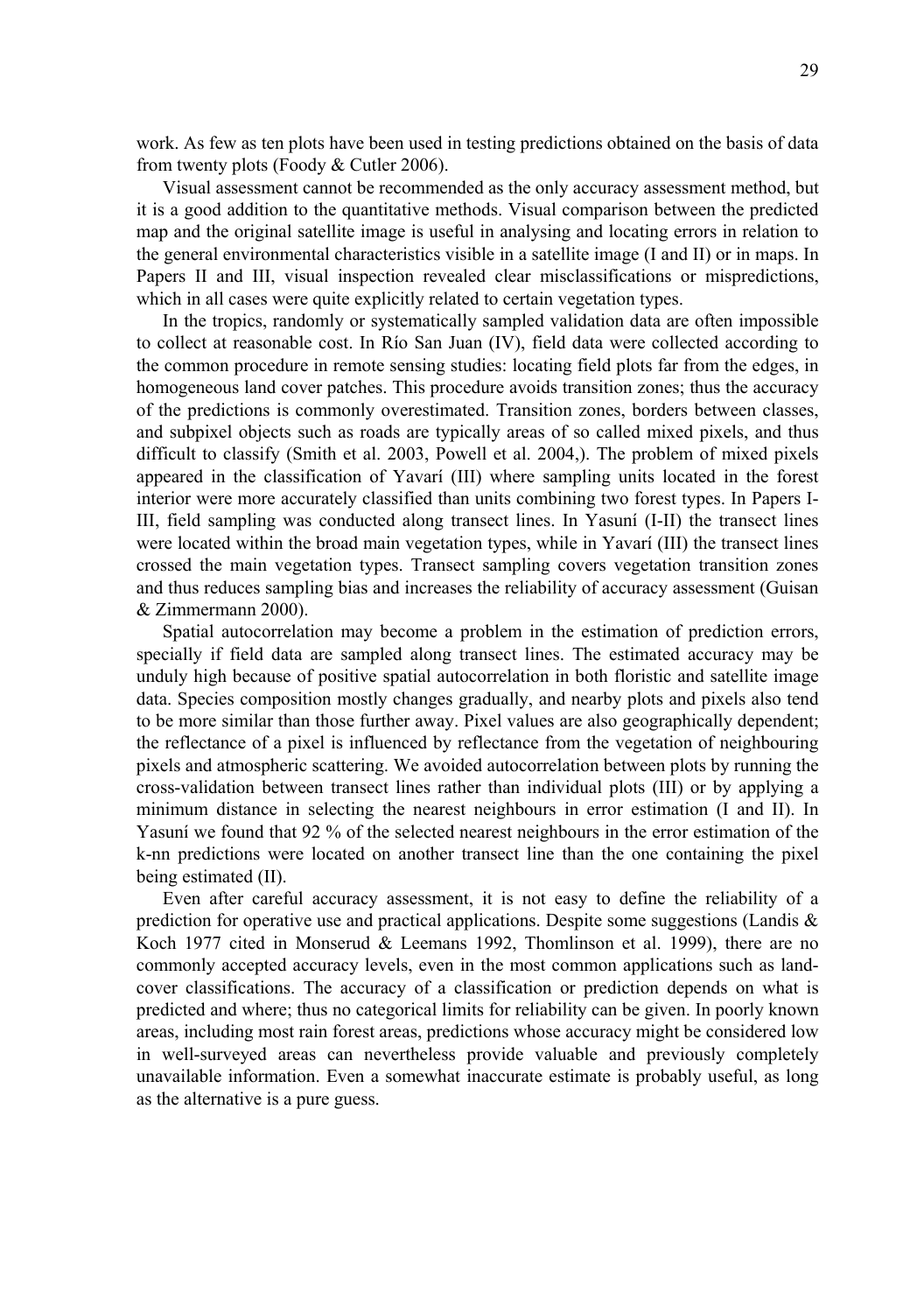work. As few as ten plots have been used in testing predictions obtained on the basis of data from twenty plots (Foody & Cutler 2006).

Visual assessment cannot be recommended as the only accuracy assessment method, but it is a good addition to the quantitative methods. Visual comparison between the predicted map and the original satellite image is useful in analysing and locating errors in relation to the general environmental characteristics visible in a satellite image (I and II) or in maps. In Papers II and III, visual inspection revealed clear misclassifications or mispredictions, which in all cases were quite explicitly related to certain vegetation types.

In the tropics, randomly or systematically sampled validation data are often impossible to collect at reasonable cost. In Río San Juan (IV), field data were collected according to the common procedure in remote sensing studies: locating field plots far from the edges, in homogeneous land cover patches. This procedure avoids transition zones; thus the accuracy of the predictions is commonly overestimated. Transition zones, borders between classes, and subpixel objects such as roads are typically areas of so called mixed pixels, and thus difficult to classify (Smith et al. 2003, Powell et al. 2004,). The problem of mixed pixels appeared in the classification of Yavarí (III) where sampling units located in the forest interior were more accurately classified than units combining two forest types. In Papers I-III, field sampling was conducted along transect lines. In Yasuní (I-II) the transect lines were located within the broad main vegetation types, while in Yavarí (III) the transect lines crossed the main vegetation types. Transect sampling covers vegetation transition zones and thus reduces sampling bias and increases the reliability of accuracy assessment (Guisan & Zimmermann 2000).

Spatial autocorrelation may become a problem in the estimation of prediction errors, specially if field data are sampled along transect lines. The estimated accuracy may be unduly high because of positive spatial autocorrelation in both floristic and satellite image data. Species composition mostly changes gradually, and nearby plots and pixels also tend to be more similar than those further away. Pixel values are also geographically dependent; the reflectance of a pixel is influenced by reflectance from the vegetation of neighbouring pixels and atmospheric scattering. We avoided autocorrelation between plots by running the cross-validation between transect lines rather than individual plots (III) or by applying a minimum distance in selecting the nearest neighbours in error estimation (I and II). In Yasuní we found that 92 % of the selected nearest neighbours in the error estimation of the k-nn predictions were located on another transect line than the one containing the pixel being estimated (II).

Even after careful accuracy assessment, it is not easy to define the reliability of a prediction for operative use and practical applications. Despite some suggestions (Landis & Koch 1977 cited in Monserud & Leemans 1992, Thomlinson et al. 1999), there are no commonly accepted accuracy levels, even in the most common applications such as landcover classifications. The accuracy of a classification or prediction depends on what is predicted and where; thus no categorical limits for reliability can be given. In poorly known areas, including most rain forest areas, predictions whose accuracy might be considered low in well-surveyed areas can nevertheless provide valuable and previously completely unavailable information. Even a somewhat inaccurate estimate is probably useful, as long as the alternative is a pure guess.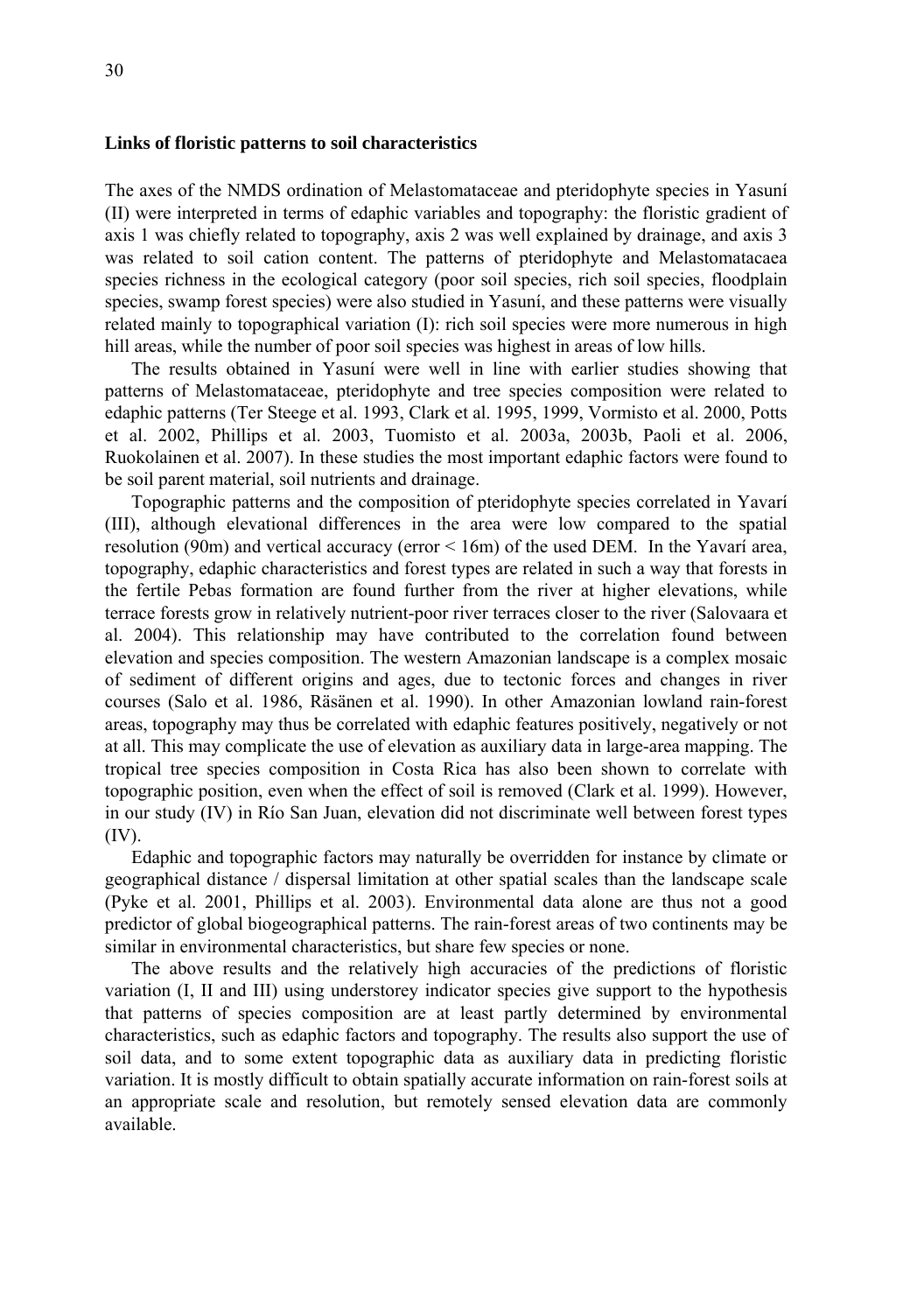### **Links of floristic patterns to soil characteristics**

The axes of the NMDS ordination of Melastomataceae and pteridophyte species in Yasuní (II) were interpreted in terms of edaphic variables and topography: the floristic gradient of axis 1 was chiefly related to topography, axis 2 was well explained by drainage, and axis 3 was related to soil cation content. The patterns of pteridophyte and Melastomatacaea species richness in the ecological category (poor soil species, rich soil species, floodplain species, swamp forest species) were also studied in Yasuní, and these patterns were visually related mainly to topographical variation (I): rich soil species were more numerous in high hill areas, while the number of poor soil species was highest in areas of low hills.

The results obtained in Yasuní were well in line with earlier studies showing that patterns of Melastomataceae, pteridophyte and tree species composition were related to edaphic patterns (Ter Steege et al. 1993, Clark et al. 1995, 1999, Vormisto et al. 2000, Potts et al. 2002, Phillips et al. 2003, Tuomisto et al. 2003a, 2003b, Paoli et al. 2006, Ruokolainen et al. 2007). In these studies the most important edaphic factors were found to be soil parent material, soil nutrients and drainage.

Topographic patterns and the composition of pteridophyte species correlated in Yavarí (III), although elevational differences in the area were low compared to the spatial resolution (90m) and vertical accuracy (error < 16m) of the used DEM. In the Yavarí area, topography, edaphic characteristics and forest types are related in such a way that forests in the fertile Pebas formation are found further from the river at higher elevations, while terrace forests grow in relatively nutrient-poor river terraces closer to the river (Salovaara et al. 2004). This relationship may have contributed to the correlation found between elevation and species composition. The western Amazonian landscape is a complex mosaic of sediment of different origins and ages, due to tectonic forces and changes in river courses (Salo et al. 1986, Räsänen et al. 1990). In other Amazonian lowland rain-forest areas, topography may thus be correlated with edaphic features positively, negatively or not at all. This may complicate the use of elevation as auxiliary data in large-area mapping. The tropical tree species composition in Costa Rica has also been shown to correlate with topographic position, even when the effect of soil is removed (Clark et al. 1999). However, in our study (IV) in Río San Juan, elevation did not discriminate well between forest types (IV).

Edaphic and topographic factors may naturally be overridden for instance by climate or geographical distance / dispersal limitation at other spatial scales than the landscape scale (Pyke et al. 2001, Phillips et al. 2003). Environmental data alone are thus not a good predictor of global biogeographical patterns. The rain-forest areas of two continents may be similar in environmental characteristics, but share few species or none.

The above results and the relatively high accuracies of the predictions of floristic variation (I, II and III) using understorey indicator species give support to the hypothesis that patterns of species composition are at least partly determined by environmental characteristics, such as edaphic factors and topography. The results also support the use of soil data, and to some extent topographic data as auxiliary data in predicting floristic variation. It is mostly difficult to obtain spatially accurate information on rain-forest soils at an appropriate scale and resolution, but remotely sensed elevation data are commonly available.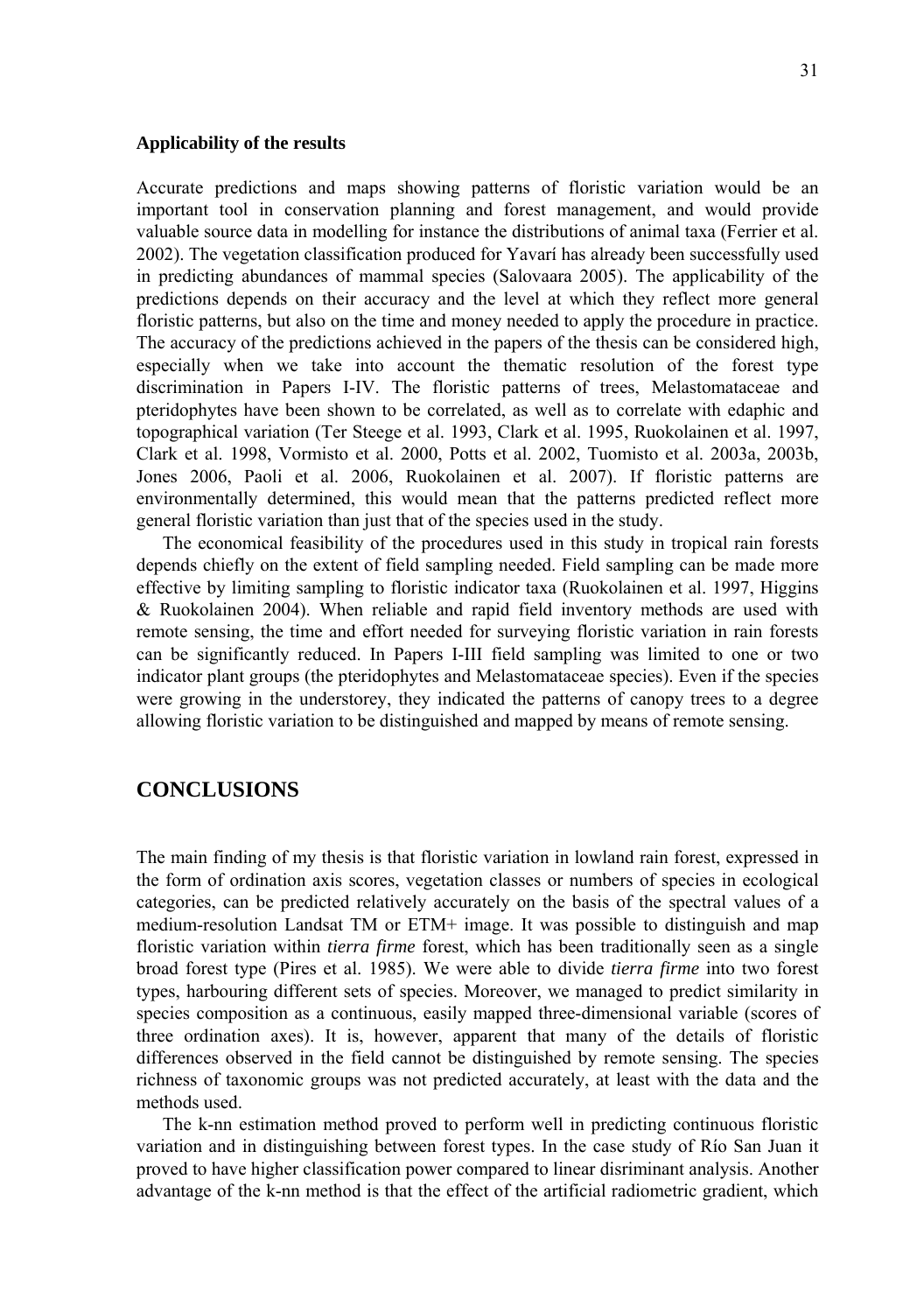### **Applicability of the results**

Accurate predictions and maps showing patterns of floristic variation would be an important tool in conservation planning and forest management, and would provide valuable source data in modelling for instance the distributions of animal taxa (Ferrier et al. 2002). The vegetation classification produced for Yavarí has already been successfully used in predicting abundances of mammal species (Salovaara 2005). The applicability of the predictions depends on their accuracy and the level at which they reflect more general floristic patterns, but also on the time and money needed to apply the procedure in practice. The accuracy of the predictions achieved in the papers of the thesis can be considered high, especially when we take into account the thematic resolution of the forest type discrimination in Papers I-IV. The floristic patterns of trees, Melastomataceae and pteridophytes have been shown to be correlated, as well as to correlate with edaphic and topographical variation (Ter Steege et al. 1993, Clark et al. 1995, Ruokolainen et al. 1997, Clark et al. 1998, Vormisto et al. 2000, Potts et al. 2002, Tuomisto et al. 2003a, 2003b, Jones 2006, Paoli et al. 2006, Ruokolainen et al. 2007). If floristic patterns are environmentally determined, this would mean that the patterns predicted reflect more general floristic variation than just that of the species used in the study.

The economical feasibility of the procedures used in this study in tropical rain forests depends chiefly on the extent of field sampling needed. Field sampling can be made more effective by limiting sampling to floristic indicator taxa (Ruokolainen et al. 1997, Higgins & Ruokolainen 2004). When reliable and rapid field inventory methods are used with remote sensing, the time and effort needed for surveying floristic variation in rain forests can be significantly reduced. In Papers I-III field sampling was limited to one or two indicator plant groups (the pteridophytes and Melastomataceae species). Even if the species were growing in the understorey, they indicated the patterns of canopy trees to a degree allowing floristic variation to be distinguished and mapped by means of remote sensing.

# **CONCLUSIONS**

The main finding of my thesis is that floristic variation in lowland rain forest, expressed in the form of ordination axis scores, vegetation classes or numbers of species in ecological categories, can be predicted relatively accurately on the basis of the spectral values of a medium-resolution Landsat TM or ETM+ image. It was possible to distinguish and map floristic variation within *tierra firme* forest, which has been traditionally seen as a single broad forest type (Pires et al. 1985). We were able to divide *tierra firme* into two forest types, harbouring different sets of species. Moreover, we managed to predict similarity in species composition as a continuous, easily mapped three-dimensional variable (scores of three ordination axes). It is, however, apparent that many of the details of floristic differences observed in the field cannot be distinguished by remote sensing. The species richness of taxonomic groups was not predicted accurately, at least with the data and the methods used.

The k-nn estimation method proved to perform well in predicting continuous floristic variation and in distinguishing between forest types. In the case study of Río San Juan it proved to have higher classification power compared to linear disriminant analysis. Another advantage of the k-nn method is that the effect of the artificial radiometric gradient, which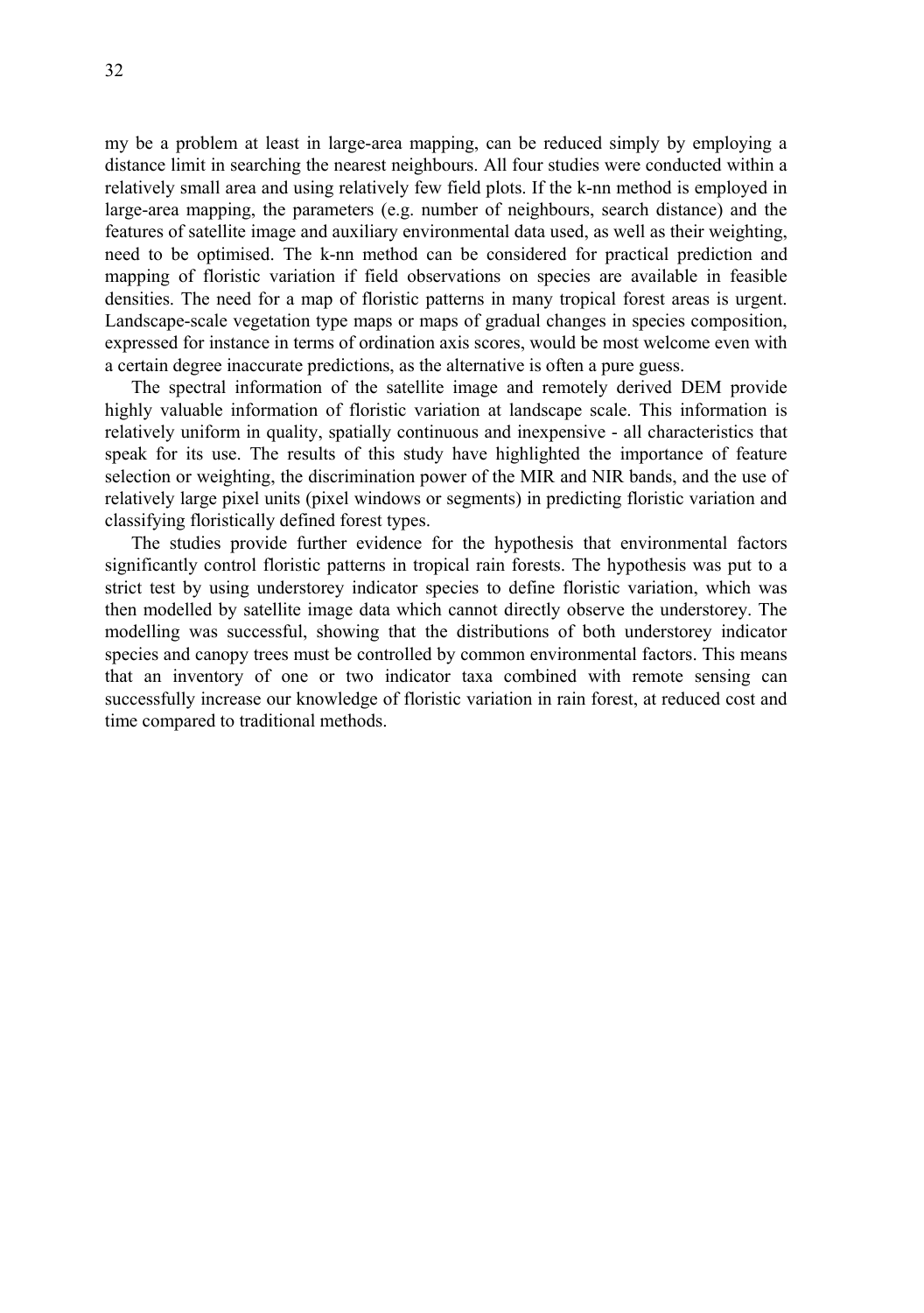my be a problem at least in large-area mapping, can be reduced simply by employing a distance limit in searching the nearest neighbours. All four studies were conducted within a relatively small area and using relatively few field plots. If the k-nn method is employed in large-area mapping, the parameters (e.g. number of neighbours, search distance) and the features of satellite image and auxiliary environmental data used, as well as their weighting, need to be optimised. The k-nn method can be considered for practical prediction and mapping of floristic variation if field observations on species are available in feasible densities. The need for a map of floristic patterns in many tropical forest areas is urgent. Landscape-scale vegetation type maps or maps of gradual changes in species composition, expressed for instance in terms of ordination axis scores, would be most welcome even with a certain degree inaccurate predictions, as the alternative is often a pure guess.

The spectral information of the satellite image and remotely derived DEM provide highly valuable information of floristic variation at landscape scale. This information is relatively uniform in quality, spatially continuous and inexpensive - all characteristics that speak for its use. The results of this study have highlighted the importance of feature selection or weighting, the discrimination power of the MIR and NIR bands, and the use of relatively large pixel units (pixel windows or segments) in predicting floristic variation and classifying floristically defined forest types.

The studies provide further evidence for the hypothesis that environmental factors significantly control floristic patterns in tropical rain forests. The hypothesis was put to a strict test by using understorey indicator species to define floristic variation, which was then modelled by satellite image data which cannot directly observe the understorey. The modelling was successful, showing that the distributions of both understorey indicator species and canopy trees must be controlled by common environmental factors. This means that an inventory of one or two indicator taxa combined with remote sensing can successfully increase our knowledge of floristic variation in rain forest, at reduced cost and time compared to traditional methods.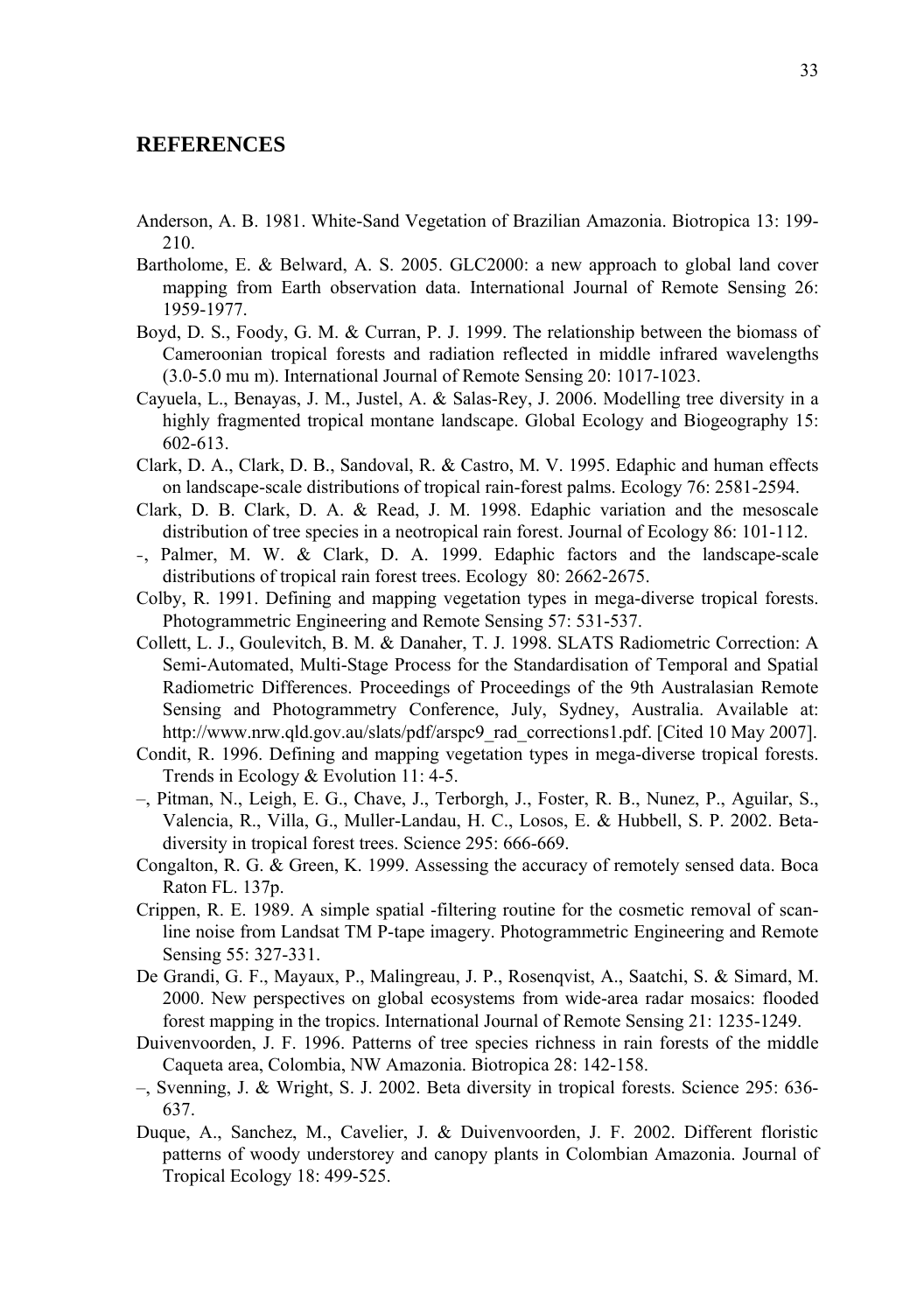# **REFERENCES**

- Anderson, A. B. 1981. White-Sand Vegetation of Brazilian Amazonia. Biotropica 13: 199- 210.
- Bartholome, E. & Belward, A. S. 2005. GLC2000: a new approach to global land cover mapping from Earth observation data. International Journal of Remote Sensing 26: 1959-1977.
- Boyd, D. S., Foody, G. M. & Curran, P. J. 1999. The relationship between the biomass of Cameroonian tropical forests and radiation reflected in middle infrared wavelengths (3.0-5.0 mu m). International Journal of Remote Sensing 20: 1017-1023.
- Cayuela, L., Benayas, J. M., Justel, A. & Salas-Rey, J. 2006. Modelling tree diversity in a highly fragmented tropical montane landscape. Global Ecology and Biogeography 15: 602-613.
- Clark, D. A., Clark, D. B., Sandoval, R. & Castro, M. V. 1995. Edaphic and human effects on landscape-scale distributions of tropical rain-forest palms. Ecology 76: 2581-2594.
- Clark, D. B. Clark, D. A. & Read, J. M. 1998. Edaphic variation and the mesoscale distribution of tree species in a neotropical rain forest. Journal of Ecology 86: 101-112.
- –, Palmer, M. W. & Clark, D. A. 1999. Edaphic factors and the landscape-scale distributions of tropical rain forest trees. Ecology 80: 2662-2675.
- Colby, R. 1991. Defining and mapping vegetation types in mega-diverse tropical forests. Photogrammetric Engineering and Remote Sensing 57: 531-537.
- Collett, L. J., Goulevitch, B. M. & Danaher, T. J. 1998. SLATS Radiometric Correction: A Semi-Automated, Multi-Stage Process for the Standardisation of Temporal and Spatial Radiometric Differences. Proceedings of Proceedings of the 9th Australasian Remote Sensing and Photogrammetry Conference, July, Sydney, Australia. Available at: http://www.nrw.qld.gov.au/slats/pdf/arspc9\_rad\_corrections1.pdf. [Cited 10 May 2007].
- Condit, R. 1996. Defining and mapping vegetation types in mega-diverse tropical forests. Trends in Ecology & Evolution 11: 4-5.
- –, Pitman, N., Leigh, E. G., Chave, J., Terborgh, J., Foster, R. B., Nunez, P., Aguilar, S., Valencia, R., Villa, G., Muller-Landau, H. C., Losos, E. & Hubbell, S. P. 2002. Betadiversity in tropical forest trees. Science 295: 666-669.
- Congalton, R. G. & Green, K. 1999. Assessing the accuracy of remotely sensed data. Boca Raton FL. 137p.
- Crippen, R. E. 1989. A simple spatial -filtering routine for the cosmetic removal of scanline noise from Landsat TM P-tape imagery. Photogrammetric Engineering and Remote Sensing 55: 327-331.
- De Grandi, G. F., Mayaux, P., Malingreau, J. P., Rosenqvist, A., Saatchi, S. & Simard, M. 2000. New perspectives on global ecosystems from wide-area radar mosaics: flooded forest mapping in the tropics. International Journal of Remote Sensing 21: 1235-1249.
- Duivenvoorden, J. F. 1996. Patterns of tree species richness in rain forests of the middle Caqueta area, Colombia, NW Amazonia. Biotropica 28: 142-158.
- –, Svenning, J. & Wright, S. J. 2002. Beta diversity in tropical forests. Science 295: 636- 637.
- Duque, A., Sanchez, M., Cavelier, J. & Duivenvoorden, J. F. 2002. Different floristic patterns of woody understorey and canopy plants in Colombian Amazonia. Journal of Tropical Ecology 18: 499-525.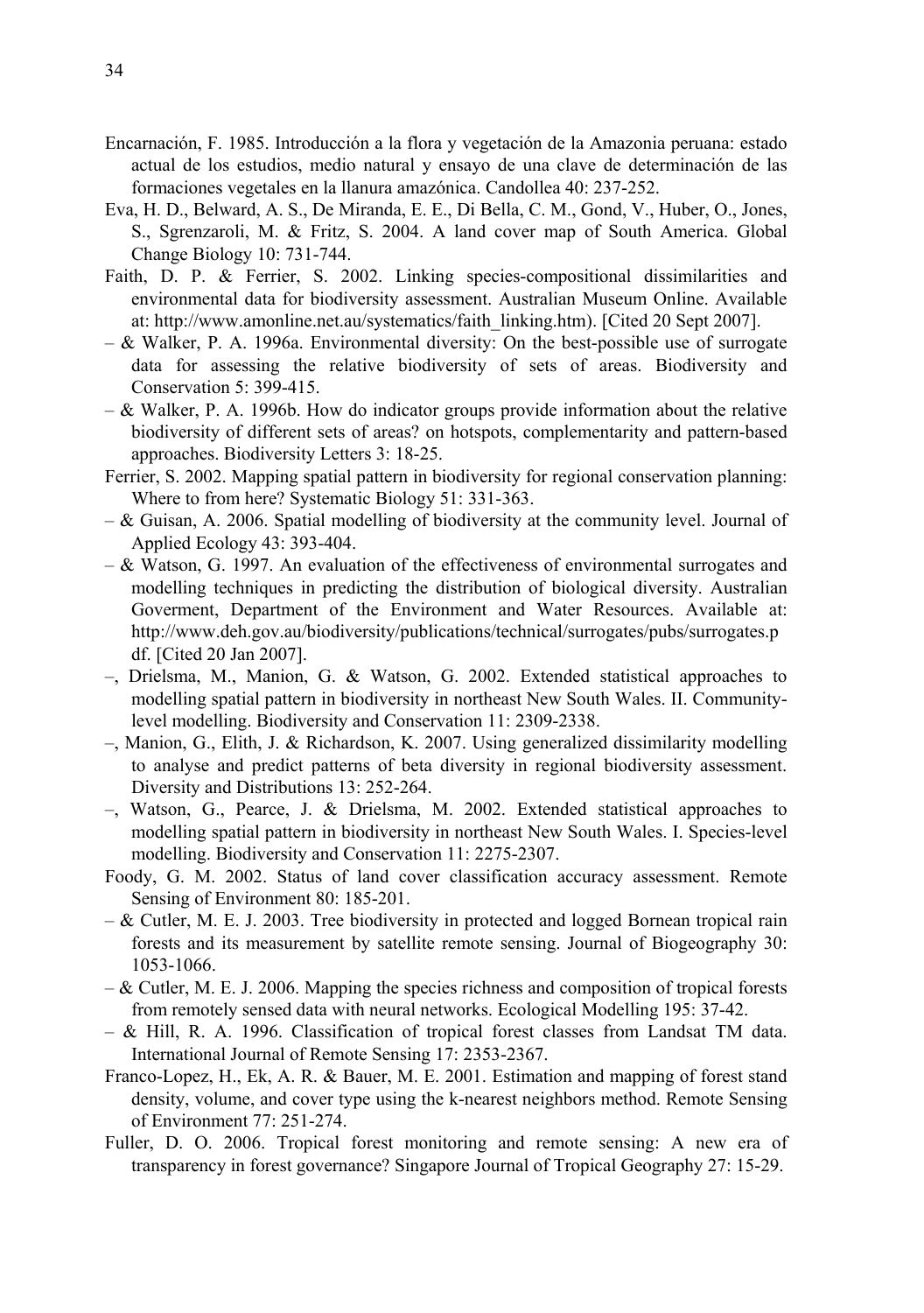- Encarnación, F. 1985. Introducción a la flora y vegetación de la Amazonia peruana: estado actual de los estudios, medio natural y ensayo de una clave de determinación de las formaciones vegetales en la llanura amazónica. Candollea 40: 237-252.
- Eva, H. D., Belward, A. S., De Miranda, E. E., Di Bella, C. M., Gond, V., Huber, O., Jones, S., Sgrenzaroli, M. & Fritz, S. 2004. A land cover map of South America. Global Change Biology 10: 731-744.
- Faith, D. P. & Ferrier, S. 2002. Linking species-compositional dissimilarities and environmental data for biodiversity assessment. Australian Museum Online. Available at: http://www.amonline.net.au/systematics/faith\_linking.htm). [Cited 20 Sept 2007].
- $-$  & Walker, P. A. 1996a. Environmental diversity: On the best-possible use of surrogate data for assessing the relative biodiversity of sets of areas. Biodiversity and Conservation 5: 399-415.
- $-$  & Walker, P. A. 1996b. How do indicator groups provide information about the relative biodiversity of different sets of areas? on hotspots, complementarity and pattern-based approaches. Biodiversity Letters 3: 18-25.
- Ferrier, S. 2002. Mapping spatial pattern in biodiversity for regional conservation planning: Where to from here? Systematic Biology 51: 331-363.
- & Guisan, A. 2006. Spatial modelling of biodiversity at the community level. Journal of Applied Ecology 43: 393-404.
- $-$  & Watson, G. 1997. An evaluation of the effectiveness of environmental surrogates and modelling techniques in predicting the distribution of biological diversity. Australian Goverment, Department of the Environment and Water Resources. Available at: http://www.deh.gov.au/biodiversity/publications/technical/surrogates/pubs/surrogates.p df. [Cited 20 Jan 2007].
- –, Drielsma, M., Manion, G. & Watson, G. 2002. Extended statistical approaches to modelling spatial pattern in biodiversity in northeast New South Wales. II. Communitylevel modelling. Biodiversity and Conservation 11: 2309-2338.
- –, Manion, G., Elith, J. & Richardson, K. 2007. Using generalized dissimilarity modelling to analyse and predict patterns of beta diversity in regional biodiversity assessment. Diversity and Distributions 13: 252-264.
- –, Watson, G., Pearce, J. & Drielsma, M. 2002. Extended statistical approaches to modelling spatial pattern in biodiversity in northeast New South Wales. I. Species-level modelling. Biodiversity and Conservation 11: 2275-2307.
- Foody, G. M. 2002. Status of land cover classification accuracy assessment. Remote Sensing of Environment 80: 185-201.
- & Cutler, M. E. J. 2003. Tree biodiversity in protected and logged Bornean tropical rain forests and its measurement by satellite remote sensing. Journal of Biogeography 30: 1053-1066.
- $-\&$  Cutler, M. E. J. 2006. Mapping the species richness and composition of tropical forests from remotely sensed data with neural networks. Ecological Modelling 195: 37-42.
- & Hill, R. A. 1996. Classification of tropical forest classes from Landsat TM data. International Journal of Remote Sensing 17: 2353-2367.
- Franco-Lopez, H., Ek, A. R. & Bauer, M. E. 2001. Estimation and mapping of forest stand density, volume, and cover type using the k-nearest neighbors method. Remote Sensing of Environment 77: 251-274.
- Fuller, D. O. 2006. Tropical forest monitoring and remote sensing: A new era of transparency in forest governance? Singapore Journal of Tropical Geography 27: 15-29.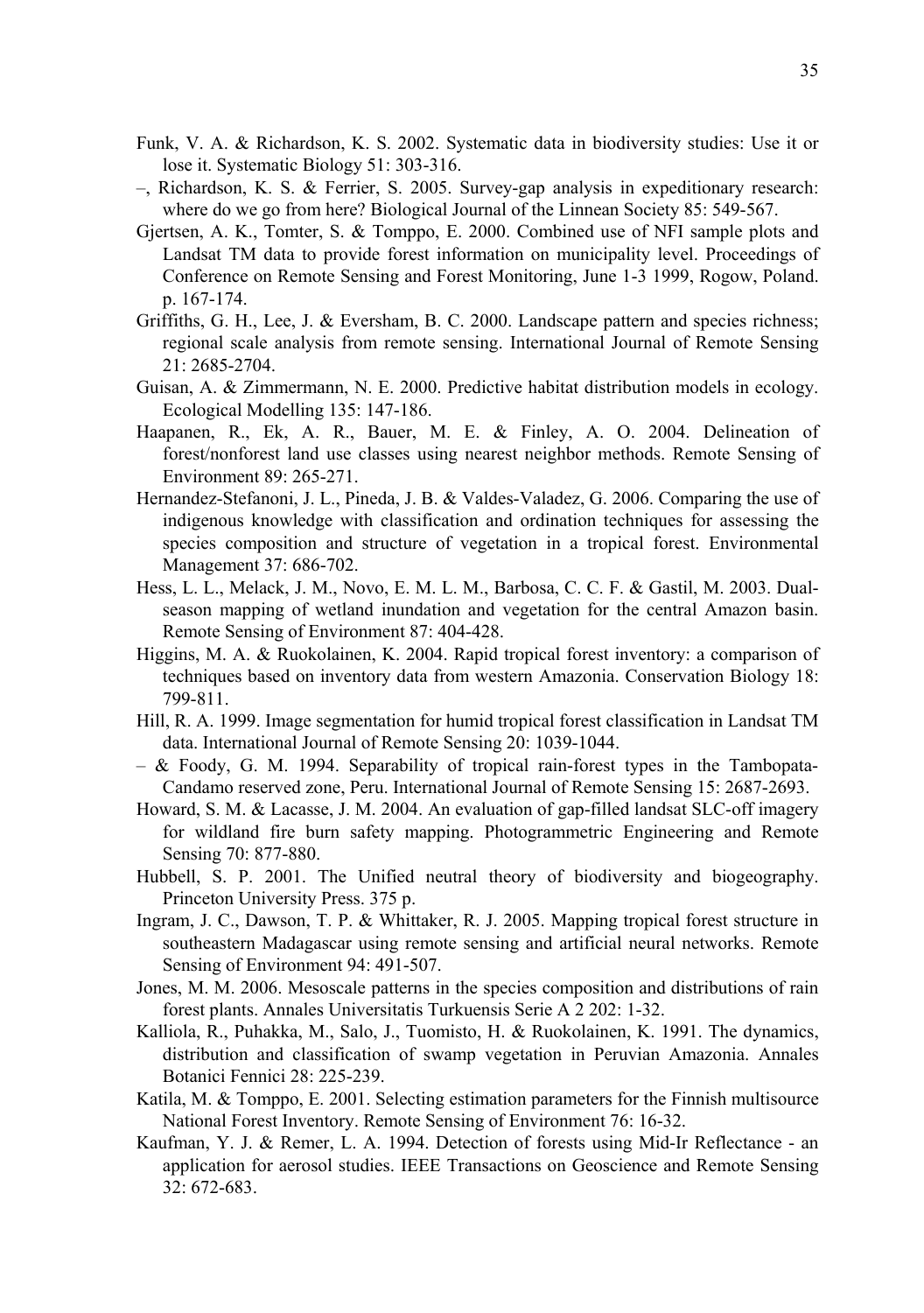- Funk, V. A. & Richardson, K. S. 2002. Systematic data in biodiversity studies: Use it or lose it. Systematic Biology 51: 303-316.
- –, Richardson, K. S. & Ferrier, S. 2005. Survey-gap analysis in expeditionary research: where do we go from here? Biological Journal of the Linnean Society 85: 549-567.
- Gjertsen, A. K., Tomter, S. & Tomppo, E. 2000. Combined use of NFI sample plots and Landsat TM data to provide forest information on municipality level. Proceedings of Conference on Remote Sensing and Forest Monitoring, June 1-3 1999, Rogow, Poland. p. 167-174.
- Griffiths, G. H., Lee, J. & Eversham, B. C. 2000. Landscape pattern and species richness; regional scale analysis from remote sensing. International Journal of Remote Sensing 21: 2685-2704.
- Guisan, A. & Zimmermann, N. E. 2000. Predictive habitat distribution models in ecology. Ecological Modelling 135: 147-186.
- Haapanen, R., Ek, A. R., Bauer, M. E. & Finley, A. O. 2004. Delineation of forest/nonforest land use classes using nearest neighbor methods. Remote Sensing of Environment 89: 265-271.
- Hernandez-Stefanoni, J. L., Pineda, J. B. & Valdes-Valadez, G. 2006. Comparing the use of indigenous knowledge with classification and ordination techniques for assessing the species composition and structure of vegetation in a tropical forest. Environmental Management 37: 686-702.
- Hess, L. L., Melack, J. M., Novo, E. M. L. M., Barbosa, C. C. F. & Gastil, M. 2003. Dualseason mapping of wetland inundation and vegetation for the central Amazon basin. Remote Sensing of Environment 87: 404-428.
- Higgins, M. A. & Ruokolainen, K. 2004. Rapid tropical forest inventory: a comparison of techniques based on inventory data from western Amazonia. Conservation Biology 18: 799-811.
- Hill, R. A. 1999. Image segmentation for humid tropical forest classification in Landsat TM data. International Journal of Remote Sensing 20: 1039-1044.
- & Foody, G. M. 1994. Separability of tropical rain-forest types in the Tambopata-Candamo reserved zone, Peru. International Journal of Remote Sensing 15: 2687-2693.
- Howard, S. M. & Lacasse, J. M. 2004. An evaluation of gap-filled landsat SLC-off imagery for wildland fire burn safety mapping. Photogrammetric Engineering and Remote Sensing 70: 877-880.
- Hubbell, S. P. 2001. The Unified neutral theory of biodiversity and biogeography. Princeton University Press. 375 p.
- Ingram, J. C., Dawson, T. P. & Whittaker, R. J. 2005. Mapping tropical forest structure in southeastern Madagascar using remote sensing and artificial neural networks. Remote Sensing of Environment 94: 491-507.
- Jones, M. M. 2006. Mesoscale patterns in the species composition and distributions of rain forest plants. Annales Universitatis Turkuensis Serie A 2 202: 1-32.
- Kalliola, R., Puhakka, M., Salo, J., Tuomisto, H. & Ruokolainen, K. 1991. The dynamics, distribution and classification of swamp vegetation in Peruvian Amazonia. Annales Botanici Fennici 28: 225-239.
- Katila, M. & Tomppo, E. 2001. Selecting estimation parameters for the Finnish multisource National Forest Inventory. Remote Sensing of Environment 76: 16-32.
- Kaufman, Y. J. & Remer, L. A. 1994. Detection of forests using Mid-Ir Reflectance an application for aerosol studies. IEEE Transactions on Geoscience and Remote Sensing 32: 672-683.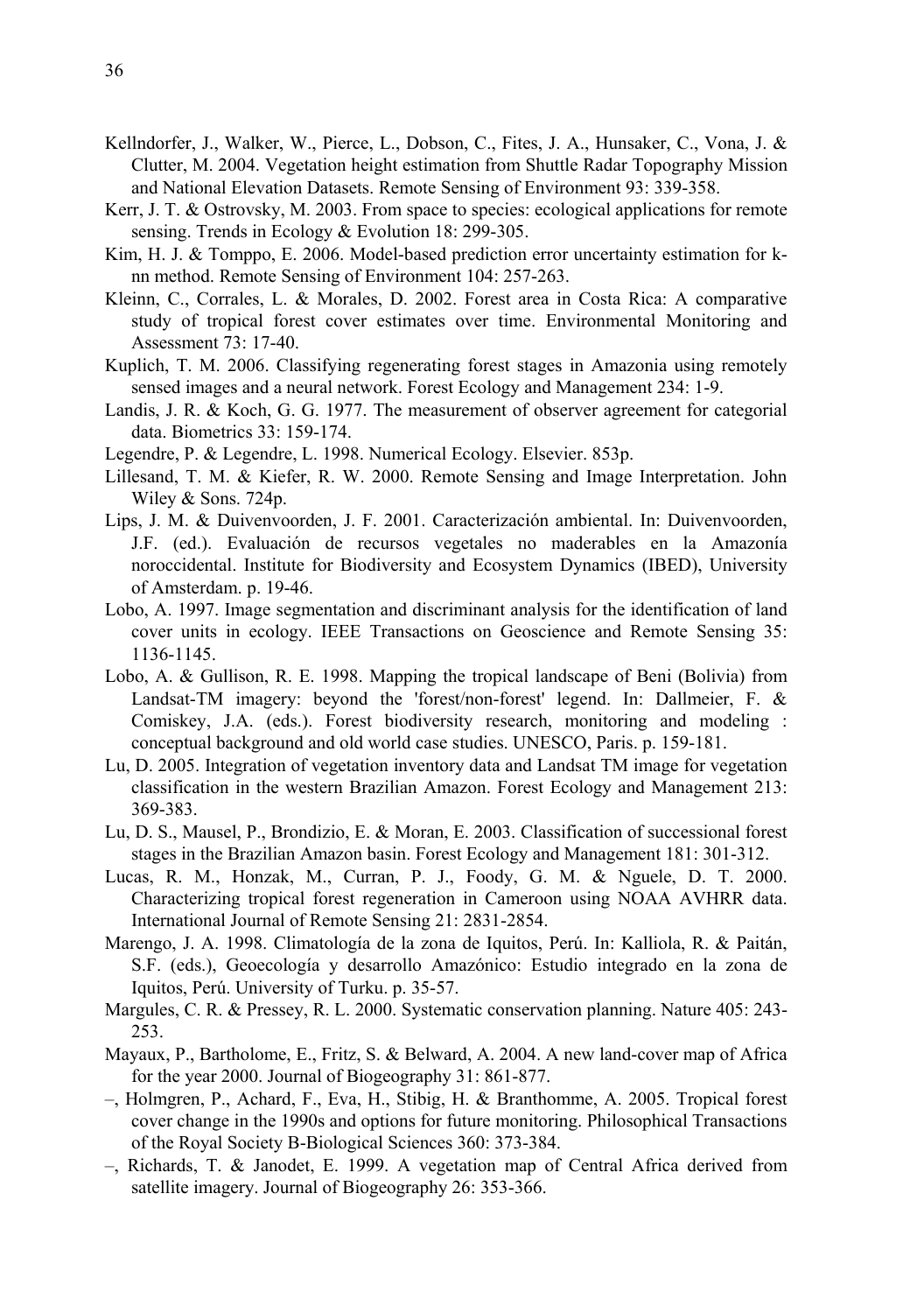- Kellndorfer, J., Walker, W., Pierce, L., Dobson, C., Fites, J. A., Hunsaker, C., Vona, J. & Clutter, M. 2004. Vegetation height estimation from Shuttle Radar Topography Mission and National Elevation Datasets. Remote Sensing of Environment 93: 339-358.
- Kerr, J. T. & Ostrovsky, M. 2003. From space to species: ecological applications for remote sensing. Trends in Ecology & Evolution 18: 299-305.
- Kim, H. J. & Tomppo, E. 2006. Model-based prediction error uncertainty estimation for knn method. Remote Sensing of Environment 104: 257-263.
- Kleinn, C., Corrales, L. & Morales, D. 2002. Forest area in Costa Rica: A comparative study of tropical forest cover estimates over time. Environmental Monitoring and Assessment 73: 17-40.
- Kuplich, T. M. 2006. Classifying regenerating forest stages in Amazonia using remotely sensed images and a neural network. Forest Ecology and Management 234: 1-9.
- Landis, J. R. & Koch, G. G. 1977. The measurement of observer agreement for categorial data. Biometrics 33: 159-174.
- Legendre, P. & Legendre, L. 1998. Numerical Ecology. Elsevier. 853p.
- Lillesand, T. M. & Kiefer, R. W. 2000. Remote Sensing and Image Interpretation. John Wiley & Sons. 724p.
- Lips, J. M. & Duivenvoorden, J. F. 2001. Caracterización ambiental. In: Duivenvoorden, J.F. (ed.). Evaluación de recursos vegetales no maderables en la Amazonía noroccidental. Institute for Biodiversity and Ecosystem Dynamics (IBED), University of Amsterdam. p. 19-46.
- Lobo, A. 1997. Image segmentation and discriminant analysis for the identification of land cover units in ecology. IEEE Transactions on Geoscience and Remote Sensing 35: 1136-1145.
- Lobo, A. & Gullison, R. E. 1998. Mapping the tropical landscape of Beni (Bolivia) from Landsat-TM imagery: beyond the 'forest/non-forest' legend. In: Dallmeier, F. & Comiskey, J.A. (eds.). Forest biodiversity research, monitoring and modeling : conceptual background and old world case studies. UNESCO, Paris. p. 159-181.
- Lu, D. 2005. Integration of vegetation inventory data and Landsat TM image for vegetation classification in the western Brazilian Amazon. Forest Ecology and Management 213: 369-383.
- Lu, D. S., Mausel, P., Brondizio, E. & Moran, E. 2003. Classification of successional forest stages in the Brazilian Amazon basin. Forest Ecology and Management 181: 301-312.
- Lucas, R. M., Honzak, M., Curran, P. J., Foody, G. M. & Nguele, D. T. 2000. Characterizing tropical forest regeneration in Cameroon using NOAA AVHRR data. International Journal of Remote Sensing 21: 2831-2854.
- Marengo, J. A. 1998. Climatología de la zona de Iquitos, Perú. In: Kalliola, R. & Paitán, S.F. (eds.), Geoecología y desarrollo Amazónico: Estudio integrado en la zona de Iquitos, Perú. University of Turku. p. 35-57.
- Margules, C. R. & Pressey, R. L. 2000. Systematic conservation planning. Nature 405: 243- 253.
- Mayaux, P., Bartholome, E., Fritz, S. & Belward, A. 2004. A new land-cover map of Africa for the year 2000. Journal of Biogeography 31: 861-877.
- –, Holmgren, P., Achard, F., Eva, H., Stibig, H. & Branthomme, A. 2005. Tropical forest cover change in the 1990s and options for future monitoring. Philosophical Transactions of the Royal Society B-Biological Sciences 360: 373-384.
- –, Richards, T. & Janodet, E. 1999. A vegetation map of Central Africa derived from satellite imagery. Journal of Biogeography 26: 353-366.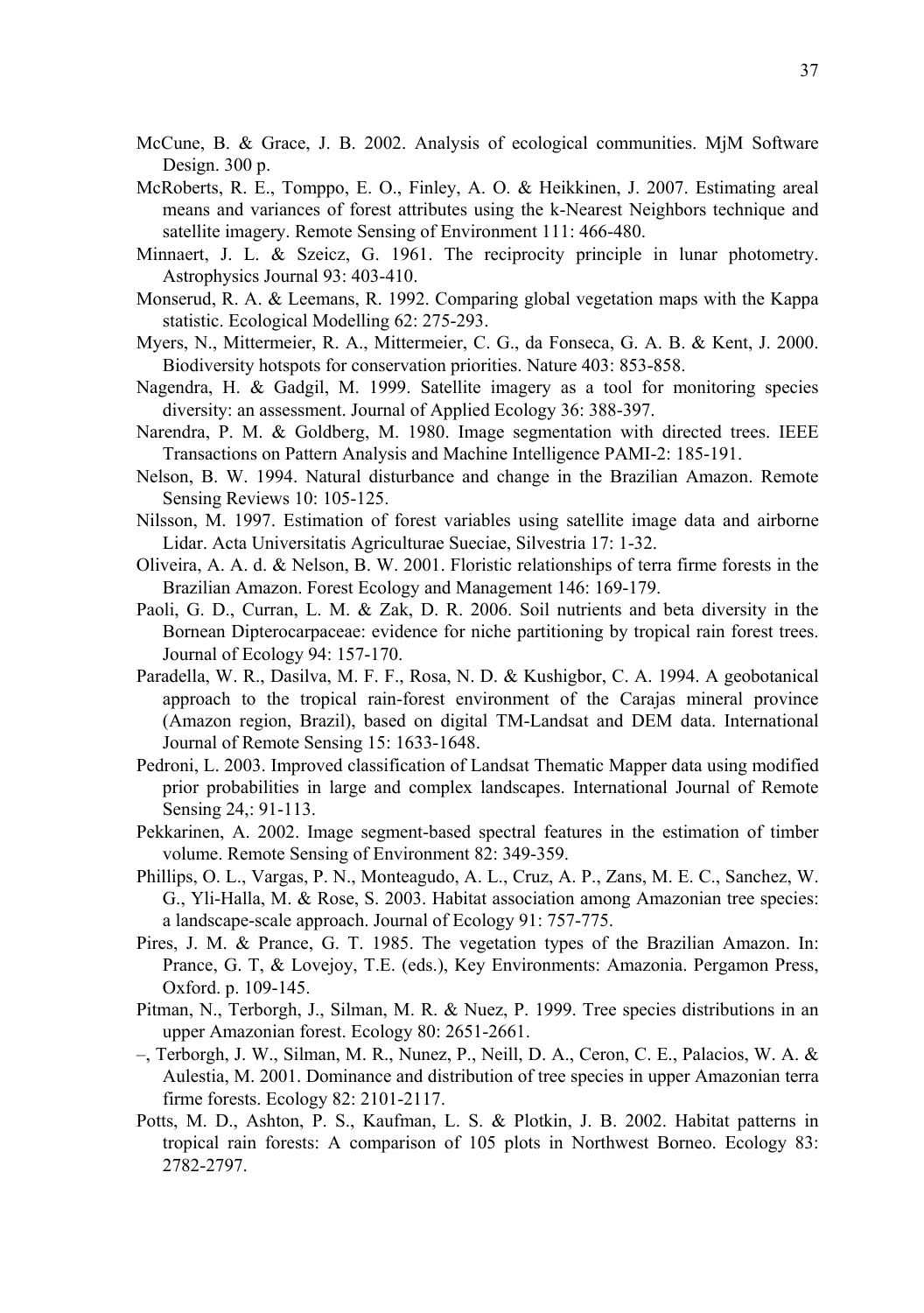- McCune, B. & Grace, J. B. 2002. Analysis of ecological communities. MjM Software Design. 300 p.
- McRoberts, R. E., Tomppo, E. O., Finley, A. O. & Heikkinen, J. 2007. Estimating areal means and variances of forest attributes using the k-Nearest Neighbors technique and satellite imagery. Remote Sensing of Environment 111: 466-480.
- Minnaert, J. L. & Szeicz, G. 1961. The reciprocity principle in lunar photometry. Astrophysics Journal 93: 403-410.
- Monserud, R. A. & Leemans, R. 1992. Comparing global vegetation maps with the Kappa statistic. Ecological Modelling 62: 275-293.
- Myers, N., Mittermeier, R. A., Mittermeier, C. G., da Fonseca, G. A. B. & Kent, J. 2000. Biodiversity hotspots for conservation priorities. Nature 403: 853-858.
- Nagendra, H. & Gadgil, M. 1999. Satellite imagery as a tool for monitoring species diversity: an assessment. Journal of Applied Ecology 36: 388-397.
- Narendra, P. M. & Goldberg, M. 1980. Image segmentation with directed trees. IEEE Transactions on Pattern Analysis and Machine Intelligence PAMI-2: 185-191.
- Nelson, B. W. 1994. Natural disturbance and change in the Brazilian Amazon. Remote Sensing Reviews 10: 105-125.
- Nilsson, M. 1997. Estimation of forest variables using satellite image data and airborne Lidar. Acta Universitatis Agriculturae Sueciae, Silvestria 17: 1-32.
- Oliveira, A. A. d. & Nelson, B. W. 2001. Floristic relationships of terra firme forests in the Brazilian Amazon. Forest Ecology and Management 146: 169-179.
- Paoli, G. D., Curran, L. M. & Zak, D. R. 2006. Soil nutrients and beta diversity in the Bornean Dipterocarpaceae: evidence for niche partitioning by tropical rain forest trees. Journal of Ecology 94: 157-170.
- Paradella, W. R., Dasilva, M. F. F., Rosa, N. D. & Kushigbor, C. A. 1994. A geobotanical approach to the tropical rain-forest environment of the Carajas mineral province (Amazon region, Brazil), based on digital TM-Landsat and DEM data. International Journal of Remote Sensing 15: 1633-1648.
- Pedroni, L. 2003. Improved classification of Landsat Thematic Mapper data using modified prior probabilities in large and complex landscapes. International Journal of Remote Sensing 24,: 91-113.
- Pekkarinen, A. 2002. Image segment-based spectral features in the estimation of timber volume. Remote Sensing of Environment 82: 349-359.
- Phillips, O. L., Vargas, P. N., Monteagudo, A. L., Cruz, A. P., Zans, M. E. C., Sanchez, W. G., Yli-Halla, M. & Rose, S. 2003. Habitat association among Amazonian tree species: a landscape-scale approach. Journal of Ecology 91: 757-775.
- Pires, J. M. & Prance, G. T. 1985. The vegetation types of the Brazilian Amazon. In: Prance, G. T, & Lovejoy, T.E. (eds.), Key Environments: Amazonia. Pergamon Press, Oxford. p. 109-145.
- Pitman, N., Terborgh, J., Silman, M. R. & Nuez, P. 1999. Tree species distributions in an upper Amazonian forest. Ecology 80: 2651-2661.
- –, Terborgh, J. W., Silman, M. R., Nunez, P., Neill, D. A., Ceron, C. E., Palacios, W. A. & Aulestia, M. 2001. Dominance and distribution of tree species in upper Amazonian terra firme forests. Ecology 82: 2101-2117.
- Potts, M. D., Ashton, P. S., Kaufman, L. S. & Plotkin, J. B. 2002. Habitat patterns in tropical rain forests: A comparison of 105 plots in Northwest Borneo. Ecology 83: 2782-2797.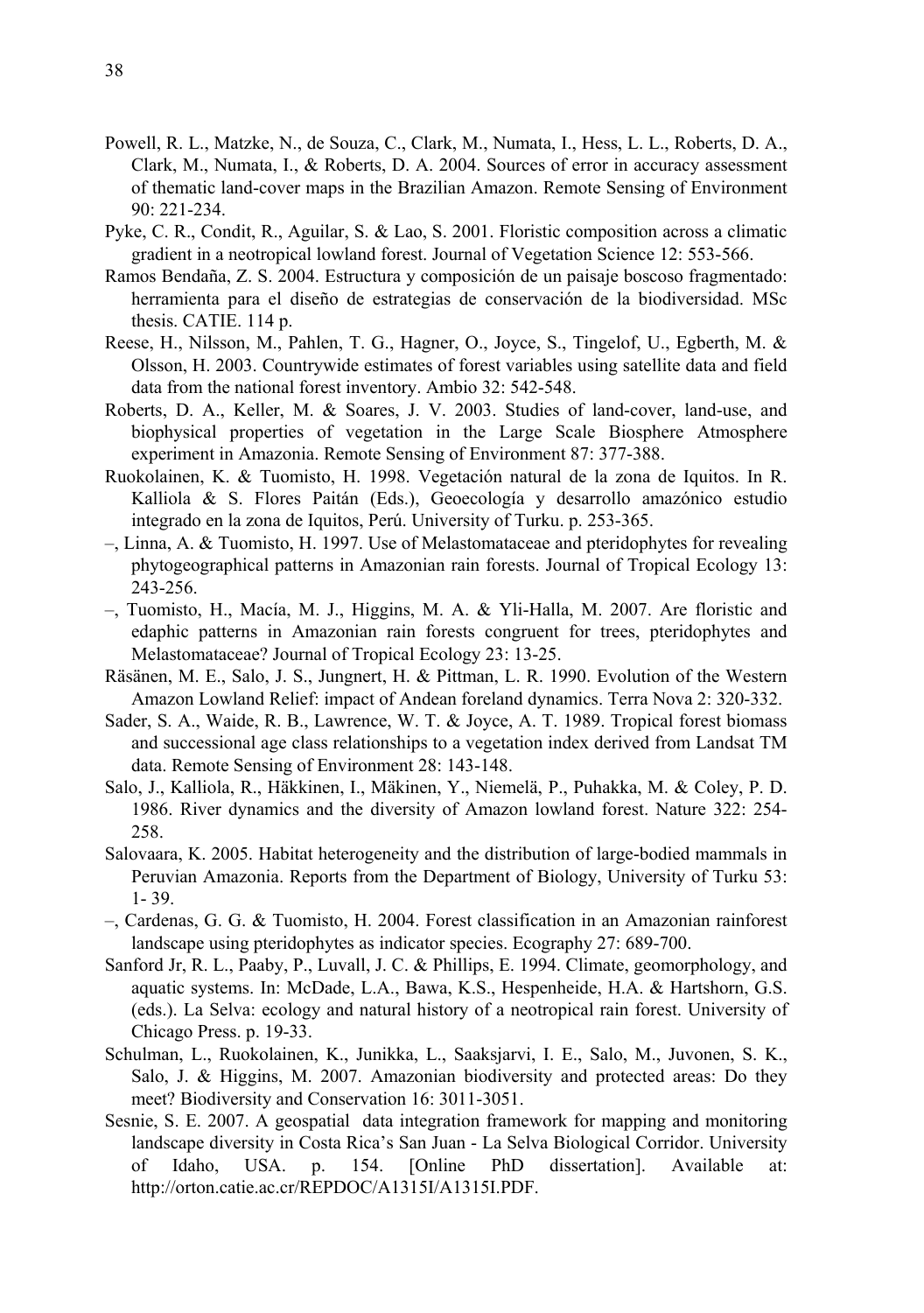- Powell, R. L., Matzke, N., de Souza, C., Clark, M., Numata, I., Hess, L. L., Roberts, D. A., Clark, M., Numata, I., & Roberts, D. A. 2004. Sources of error in accuracy assessment of thematic land-cover maps in the Brazilian Amazon. Remote Sensing of Environment 90: 221-234.
- Pyke, C. R., Condit, R., Aguilar, S. & Lao, S. 2001. Floristic composition across a climatic gradient in a neotropical lowland forest. Journal of Vegetation Science 12: 553-566.
- Ramos Bendaña, Z. S. 2004. Estructura y composición de un paisaje boscoso fragmentado: herramienta para el diseño de estrategias de conservación de la biodiversidad. MSc thesis. CATIE. 114 p.
- Reese, H., Nilsson, M., Pahlen, T. G., Hagner, O., Joyce, S., Tingelof, U., Egberth, M. & Olsson, H. 2003. Countrywide estimates of forest variables using satellite data and field data from the national forest inventory. Ambio 32: 542-548.
- Roberts, D. A., Keller, M. & Soares, J. V. 2003. Studies of land-cover, land-use, and biophysical properties of vegetation in the Large Scale Biosphere Atmosphere experiment in Amazonia. Remote Sensing of Environment 87: 377-388.
- Ruokolainen, K. & Tuomisto, H. 1998. Vegetación natural de la zona de Iquitos. In R. Kalliola & S. Flores Paitán (Eds.), Geoecología y desarrollo amazónico estudio integrado en la zona de Iquitos, Perú. University of Turku. p. 253-365.
- –, Linna, A. & Tuomisto, H. 1997. Use of Melastomataceae and pteridophytes for revealing phytogeographical patterns in Amazonian rain forests. Journal of Tropical Ecology 13: 243-256.
- –, Tuomisto, H., Macía, M. J., Higgins, M. A. & Yli-Halla, M. 2007. Are floristic and edaphic patterns in Amazonian rain forests congruent for trees, pteridophytes and Melastomataceae? Journal of Tropical Ecology 23: 13-25.
- Räsänen, M. E., Salo, J. S., Jungnert, H. & Pittman, L. R. 1990. Evolution of the Western Amazon Lowland Relief: impact of Andean foreland dynamics. Terra Nova 2: 320-332.
- Sader, S. A., Waide, R. B., Lawrence, W. T. & Joyce, A. T. 1989. Tropical forest biomass and successional age class relationships to a vegetation index derived from Landsat TM data. Remote Sensing of Environment 28: 143-148.
- Salo, J., Kalliola, R., Häkkinen, I., Mäkinen, Y., Niemelä, P., Puhakka, M. & Coley, P. D. 1986. River dynamics and the diversity of Amazon lowland forest. Nature 322: 254- 258.
- Salovaara, K. 2005. Habitat heterogeneity and the distribution of large-bodied mammals in Peruvian Amazonia. Reports from the Department of Biology, University of Turku 53: 1- 39.
- –, Cardenas, G. G. & Tuomisto, H. 2004. Forest classification in an Amazonian rainforest landscape using pteridophytes as indicator species. Ecography 27: 689-700.
- Sanford Jr, R. L., Paaby, P., Luvall, J. C. & Phillips, E. 1994. Climate, geomorphology, and aquatic systems. In: McDade, L.A., Bawa, K.S., Hespenheide, H.A. & Hartshorn, G.S. (eds.). La Selva: ecology and natural history of a neotropical rain forest. University of Chicago Press. p. 19-33.
- Schulman, L., Ruokolainen, K., Junikka, L., Saaksjarvi, I. E., Salo, M., Juvonen, S. K., Salo, J. & Higgins, M. 2007. Amazonian biodiversity and protected areas: Do they meet? Biodiversity and Conservation 16: 3011-3051.
- Sesnie, S. E. 2007. A geospatial data integration framework for mapping and monitoring landscape diversity in Costa Rica's San Juan - La Selva Biological Corridor. University of Idaho, USA. p. 154. [Online PhD dissertation]. Available at: http://orton.catie.ac.cr/REPDOC/A1315I/A1315I.PDF.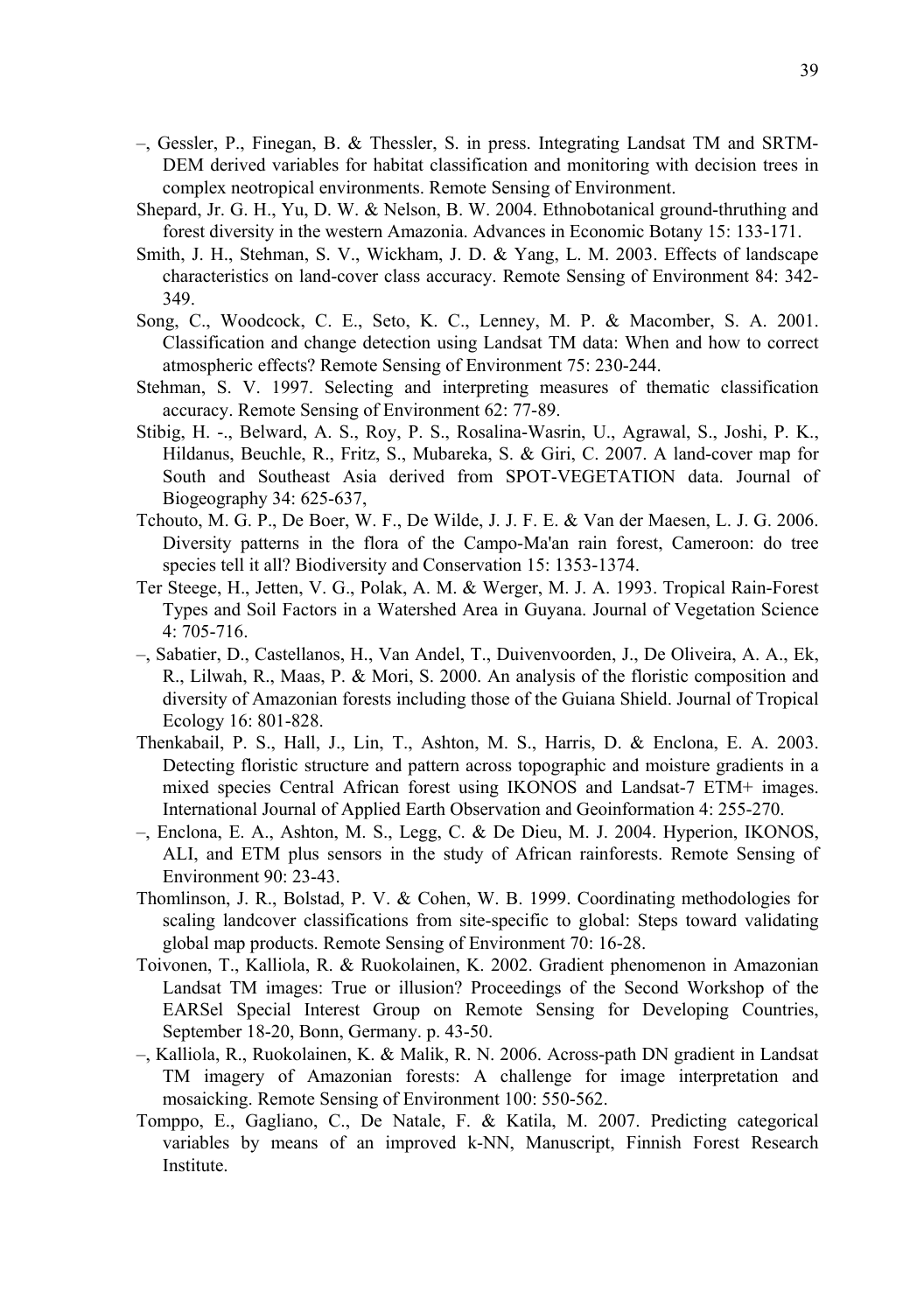- –, Gessler, P., Finegan, B. & Thessler, S. in press. Integrating Landsat TM and SRTM-DEM derived variables for habitat classification and monitoring with decision trees in complex neotropical environments. Remote Sensing of Environment.
- Shepard, Jr. G. H., Yu, D. W. & Nelson, B. W. 2004. Ethnobotanical ground-thruthing and forest diversity in the western Amazonia. Advances in Economic Botany 15: 133-171.
- Smith, J. H., Stehman, S. V., Wickham, J. D. & Yang, L. M. 2003. Effects of landscape characteristics on land-cover class accuracy. Remote Sensing of Environment 84: 342- 349.
- Song, C., Woodcock, C. E., Seto, K. C., Lenney, M. P. & Macomber, S. A. 2001. Classification and change detection using Landsat TM data: When and how to correct atmospheric effects? Remote Sensing of Environment 75: 230-244.
- Stehman, S. V. 1997. Selecting and interpreting measures of thematic classification accuracy. Remote Sensing of Environment 62: 77-89.
- Stibig, H. -., Belward, A. S., Roy, P. S., Rosalina-Wasrin, U., Agrawal, S., Joshi, P. K., Hildanus, Beuchle, R., Fritz, S., Mubareka, S. & Giri, C. 2007. A land-cover map for South and Southeast Asia derived from SPOT-VEGETATION data. Journal of Biogeography 34: 625-637,
- Tchouto, M. G. P., De Boer, W. F., De Wilde, J. J. F. E. & Van der Maesen, L. J. G. 2006. Diversity patterns in the flora of the Campo-Ma'an rain forest, Cameroon: do tree species tell it all? Biodiversity and Conservation 15: 1353-1374.
- Ter Steege, H., Jetten, V. G., Polak, A. M. & Werger, M. J. A. 1993. Tropical Rain-Forest Types and Soil Factors in a Watershed Area in Guyana. Journal of Vegetation Science 4: 705-716.
- –, Sabatier, D., Castellanos, H., Van Andel, T., Duivenvoorden, J., De Oliveira, A. A., Ek, R., Lilwah, R., Maas, P. & Mori, S. 2000. An analysis of the floristic composition and diversity of Amazonian forests including those of the Guiana Shield. Journal of Tropical Ecology 16: 801-828.
- Thenkabail, P. S., Hall, J., Lin, T., Ashton, M. S., Harris, D. & Enclona, E. A. 2003. Detecting floristic structure and pattern across topographic and moisture gradients in a mixed species Central African forest using IKONOS and Landsat-7 ETM+ images. International Journal of Applied Earth Observation and Geoinformation 4: 255-270.
- –, Enclona, E. A., Ashton, M. S., Legg, C. & De Dieu, M. J. 2004. Hyperion, IKONOS, ALI, and ETM plus sensors in the study of African rainforests. Remote Sensing of Environment 90: 23-43.
- Thomlinson, J. R., Bolstad, P. V. & Cohen, W. B. 1999. Coordinating methodologies for scaling landcover classifications from site-specific to global: Steps toward validating global map products. Remote Sensing of Environment 70: 16-28.
- Toivonen, T., Kalliola, R. & Ruokolainen, K. 2002. Gradient phenomenon in Amazonian Landsat TM images: True or illusion? Proceedings of the Second Workshop of the EARSel Special Interest Group on Remote Sensing for Developing Countries, September 18-20, Bonn, Germany. p. 43-50.
- –, Kalliola, R., Ruokolainen, K. & Malik, R. N. 2006. Across-path DN gradient in Landsat TM imagery of Amazonian forests: A challenge for image interpretation and mosaicking. Remote Sensing of Environment 100: 550-562.
- Tomppo, E., Gagliano, C., De Natale, F. & Katila, M. 2007. Predicting categorical variables by means of an improved k-NN, Manuscript, Finnish Forest Research Institute.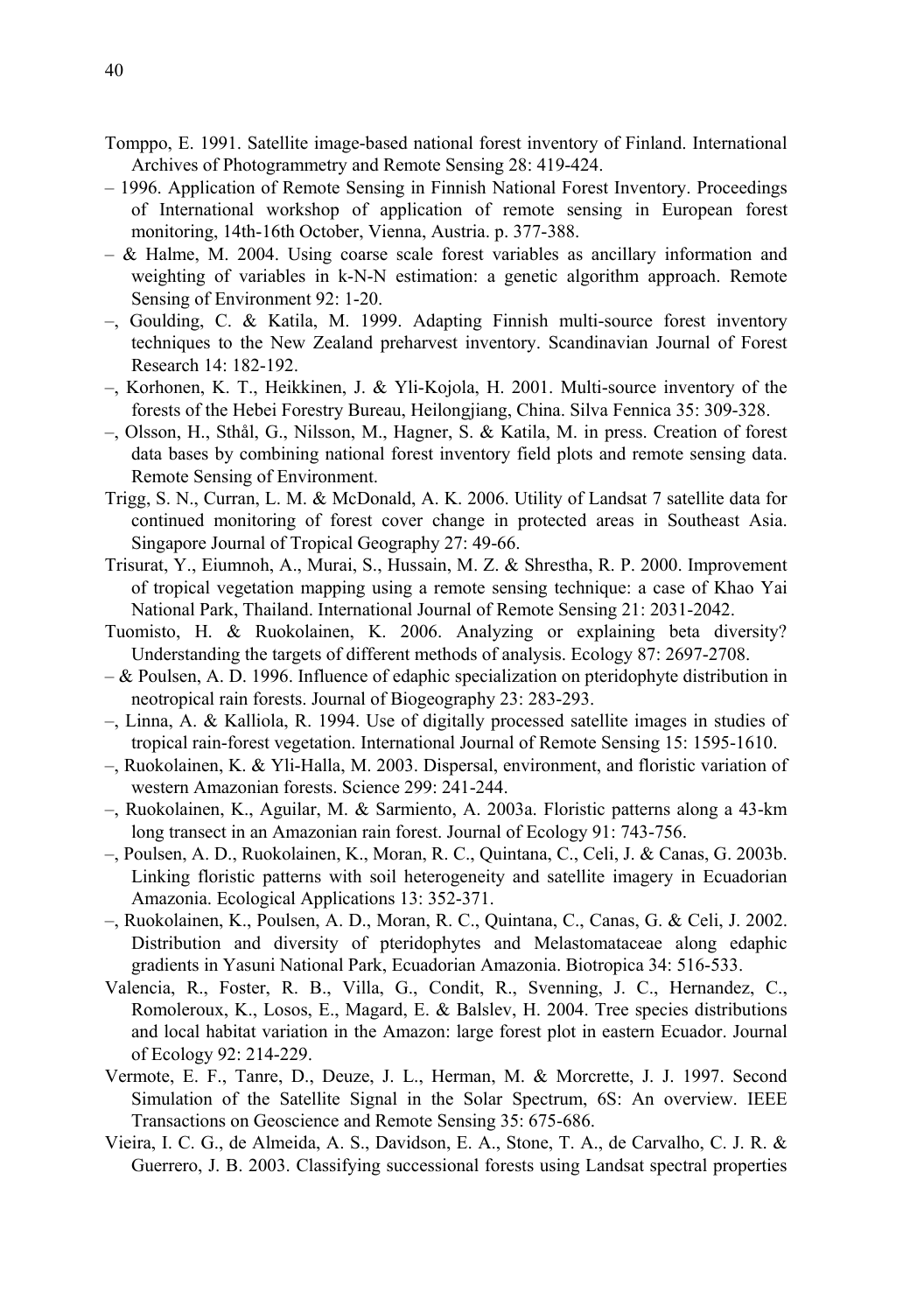- Tomppo, E. 1991. Satellite image-based national forest inventory of Finland. International Archives of Photogrammetry and Remote Sensing 28: 419-424.
- 1996. Application of Remote Sensing in Finnish National Forest Inventory. Proceedings of International workshop of application of remote sensing in European forest monitoring, 14th-16th October, Vienna, Austria. p. 377-388.
- & Halme, M. 2004. Using coarse scale forest variables as ancillary information and weighting of variables in k-N-N estimation: a genetic algorithm approach. Remote Sensing of Environment 92: 1-20.
- –, Goulding, C. & Katila, M. 1999. Adapting Finnish multi-source forest inventory techniques to the New Zealand preharvest inventory. Scandinavian Journal of Forest Research 14: 182-192.
- –, Korhonen, K. T., Heikkinen, J. & Yli-Kojola, H. 2001. Multi-source inventory of the forests of the Hebei Forestry Bureau, Heilongjiang, China. Silva Fennica 35: 309-328.
- –, Olsson, H., Sthål, G., Nilsson, M., Hagner, S. & Katila, M. in press. Creation of forest data bases by combining national forest inventory field plots and remote sensing data. Remote Sensing of Environment.
- Trigg, S. N., Curran, L. M. & McDonald, A. K. 2006. Utility of Landsat 7 satellite data for continued monitoring of forest cover change in protected areas in Southeast Asia. Singapore Journal of Tropical Geography 27: 49-66.
- Trisurat, Y., Eiumnoh, A., Murai, S., Hussain, M. Z. & Shrestha, R. P. 2000. Improvement of tropical vegetation mapping using a remote sensing technique: a case of Khao Yai National Park, Thailand. International Journal of Remote Sensing 21: 2031-2042.
- Tuomisto, H. & Ruokolainen, K. 2006. Analyzing or explaining beta diversity? Understanding the targets of different methods of analysis. Ecology 87: 2697-2708.
- & Poulsen, A. D. 1996. Influence of edaphic specialization on pteridophyte distribution in neotropical rain forests. Journal of Biogeography 23: 283-293.
- –, Linna, A. & Kalliola, R. 1994. Use of digitally processed satellite images in studies of tropical rain-forest vegetation. International Journal of Remote Sensing 15: 1595-1610.
- –, Ruokolainen, K. & Yli-Halla, M. 2003. Dispersal, environment, and floristic variation of western Amazonian forests. Science 299: 241-244.
- –, Ruokolainen, K., Aguilar, M. & Sarmiento, A. 2003a. Floristic patterns along a 43-km long transect in an Amazonian rain forest. Journal of Ecology 91: 743-756.
- –, Poulsen, A. D., Ruokolainen, K., Moran, R. C., Quintana, C., Celi, J. & Canas, G. 2003b. Linking floristic patterns with soil heterogeneity and satellite imagery in Ecuadorian Amazonia. Ecological Applications 13: 352-371.
- –, Ruokolainen, K., Poulsen, A. D., Moran, R. C., Quintana, C., Canas, G. & Celi, J. 2002. Distribution and diversity of pteridophytes and Melastomataceae along edaphic gradients in Yasuni National Park, Ecuadorian Amazonia. Biotropica 34: 516-533.
- Valencia, R., Foster, R. B., Villa, G., Condit, R., Svenning, J. C., Hernandez, C., Romoleroux, K., Losos, E., Magard, E. & Balslev, H. 2004. Tree species distributions and local habitat variation in the Amazon: large forest plot in eastern Ecuador. Journal of Ecology 92: 214-229.
- Vermote, E. F., Tanre, D., Deuze, J. L., Herman, M. & Morcrette, J. J. 1997. Second Simulation of the Satellite Signal in the Solar Spectrum, 6S: An overview. IEEE Transactions on Geoscience and Remote Sensing 35: 675-686.
- Vieira, I. C. G., de Almeida, A. S., Davidson, E. A., Stone, T. A., de Carvalho, C. J. R. & Guerrero, J. B. 2003. Classifying successional forests using Landsat spectral properties